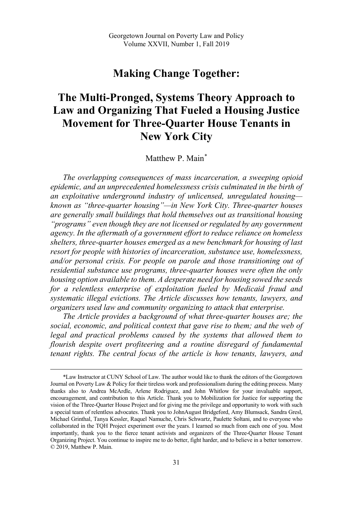## **Making Change Together:**

# **The Multi-Pronged, Systems Theory Approach to Law and Organizing That Fueled a Housing Justice Movement for Three-Quarter House Tenants in New York City**

Matthew P. Main\*

*The overlapping consequences of mass incarceration, a sweeping opioid epidemic, and an unprecedented homelessness crisis culminated in the birth of an exploitative underground industry of unlicensed, unregulated housing known as "three-quarter housing"—in New York City. Three-quarter houses are generally small buildings that hold themselves out as transitional housing "programs" even though they are not licensed or regulated by any government agency. In the aftermath of a government effort to reduce reliance on homeless shelters, three-quarter houses emerged as a new benchmark for housing of last resort for people with histories of incarceration, substance use, homelessness, and/or personal crisis. For people on parole and those transitioning out of residential substance use programs, three-quarter houses were often the only housing option available to them. A desperate need for housing sowed the seeds for a relentless enterprise of exploitation fueled by Medicaid fraud and systematic illegal evictions. The Article discusses how tenants, lawyers, and organizers used law and community organizing to attack that enterprise.* 

*The Article provides a background of what three-quarter houses are; the social, economic, and political context that gave rise to them; and the web of legal and practical problems caused by the systems that allowed them to flourish despite overt profiteering and a routine disregard of fundamental tenant rights. The central focus of the article is how tenants, lawyers, and* 

 <sup>\*</sup>Law Instructor at CUNY School of Law. The author would like to thank the editors of the Georgetown Journal on Poverty Law & Policy for their tireless work and professionalism during the editing process. Many thanks also to Andrea McArdle, Arlene Rodriguez, and John Whitlow for your invaluable support, encouragement, and contribution to this Article. Thank you to Mobilization for Justice for supporting the vision of the Three-Quarter House Project and for giving me the privilege and opportunity to work with such a special team of relentless advocates. Thank you to JohnAugust Bridgeford, Amy Blumsack, Sandra Gresl, Michael Grinthal, Tanya Kessler, Raquel Namuche, Chris Schwartz, Paulette Soltani, and to everyone who collaborated in the TQH Project experiment over the years. I learned so much from each one of you. Most importantly, thank you to the fierce tenant activists and organizers of the Three-Quarter House Tenant Organizing Project. You continue to inspire me to do better, fight harder, and to believe in a better tomorrow. © 2019, Matthew P. Main.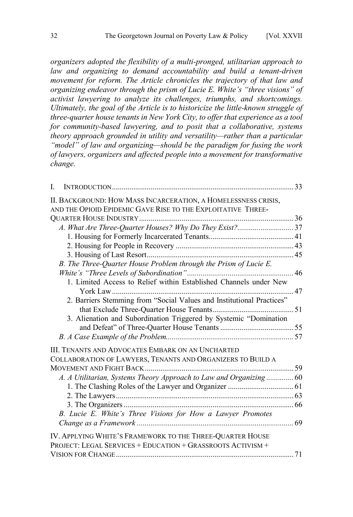*organizers adopted the flexibility of a multi-pronged, utilitarian approach to law and organizing to demand accountability and build a tenant-driven movement for reform. The Article chronicles the trajectory of that law and organizing endeavor through the prism of Lucie E. White's "three visions" of activist lawyering to analyze its challenges, triumphs, and shortcomings. Ultimately, the goal of the Article is to historicize the little-known struggle of three-quarter house tenants in New York City, to offer that experience as a tool for community-based lawyering, and to posit that a collaborative, systems theory approach grounded in utility and versatility—rather than a particular "model" of law and organizing—should be the paradigm for fusing the work of lawyers, organizers and affected people into a movement for transformative change.* 

| I.                                                                    |  |
|-----------------------------------------------------------------------|--|
| II. BACKGROUND: HOW MASS INCARCERATION, A HOMELESSNESS CRISIS,        |  |
| AND THE OPIOID EPIDEMIC GAVE RISE TO THE EXPLOITATIVE THREE-          |  |
|                                                                       |  |
|                                                                       |  |
|                                                                       |  |
|                                                                       |  |
|                                                                       |  |
| B. The Three-Quarter House Problem through the Prism of Lucie E.      |  |
|                                                                       |  |
| 1. Limited Access to Relief within Established Channels under New     |  |
|                                                                       |  |
| 2. Barriers Stemming from "Social Values and Institutional Practices" |  |
|                                                                       |  |
| 3. Alienation and Subordination Triggered by Systemic "Domination     |  |
|                                                                       |  |
|                                                                       |  |
|                                                                       |  |
| III. TENANTS AND ADVOCATES EMBARK ON AN UNCHARTED                     |  |
| COLLABORATION OF LAWYERS, TENANTS AND ORGANIZERS TO BUILD A           |  |
|                                                                       |  |
| A. A Utilitarian, Systems Theory Approach to Law and Organizing 60    |  |
|                                                                       |  |
|                                                                       |  |
|                                                                       |  |
| B. Lucie E. White's Three Visions for How a Lawyer Promotes           |  |
|                                                                       |  |
| IV. APPLYING WHITE'S FRAMEWORK TO THE THREE-QUARTER HOUSE             |  |
| PROJECT: LEGAL SERVICES + EDUCATION + GRASSROOTS ACTIVISM +           |  |
|                                                                       |  |
|                                                                       |  |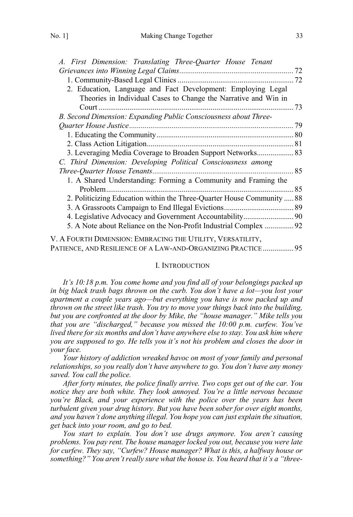<span id="page-2-0"></span>

| A. First Dimension: Translating Three-Quarter House Tenant                                                                      |  |
|---------------------------------------------------------------------------------------------------------------------------------|--|
|                                                                                                                                 |  |
|                                                                                                                                 |  |
| 2. Education, Language and Fact Development: Employing Legal<br>Theories in Individual Cases to Change the Narrative and Win in |  |
|                                                                                                                                 |  |
| B. Second Dimension: Expanding Public Consciousness about Three-                                                                |  |
|                                                                                                                                 |  |
|                                                                                                                                 |  |
|                                                                                                                                 |  |
| 3. Leveraging Media Coverage to Broaden Support Networks 83                                                                     |  |
| C. Third Dimension: Developing Political Consciousness among                                                                    |  |
|                                                                                                                                 |  |
| 1. A Shared Understanding: Forming a Community and Framing the                                                                  |  |
|                                                                                                                                 |  |
| 2. Politicizing Education within the Three-Quarter House Community  88                                                          |  |
|                                                                                                                                 |  |
|                                                                                                                                 |  |
| 5. A Note about Reliance on the Non-Profit Industrial Complex 92                                                                |  |
| V. A FOURTH DIMENSION: EMBRACING THE UTILITY, VERSATILITY,                                                                      |  |
|                                                                                                                                 |  |

PATIENCE, [AND RESILIENCE OF A LAW-AND-ORGANIZING PRACTICE ................ 95](#page-64-0)

## I. INTRODUCTION

*It's 10:18 p.m. You come home and you find all of your belongings packed up in big black trash bags thrown on the curb. You don't have a lot—you lost your apartment a couple years ago—but everything you have is now packed up and thrown on the street like trash. You try to move your things back into the building, but you are confronted at the door by Mike, the "house manager." Mike tells you that you are "discharged," because you missed the 10:00 p.m. curfew. You've lived there for six months and don't have anywhere else to stay. You ask him where you are supposed to go. He tells you it's not his problem and closes the door in your face.*

*Your history of addiction wreaked havoc on most of your family and personal relationships, so you really don't have anywhere to go. You don't have any money saved. You call the police.* 

*After forty minutes, the police finally arrive. Two cops get out of the car. You notice they are both white. They look annoyed. You're a little nervous because you're Black, and your experience with the police over the years has been turbulent given your drug history. But you have been sober for over eight months, and you haven't done anything illegal. You hope you can just explain the situation, get back into your room, and go to bed.* 

*You start to explain. You don't use drugs anymore. You aren't causing problems. You pay rent. The house manager locked you out, because you were late for curfew. They say, "Curfew? House manager? What is this, a halfway house or something?" You aren't really sure what the house is. You heard that it's a "three-*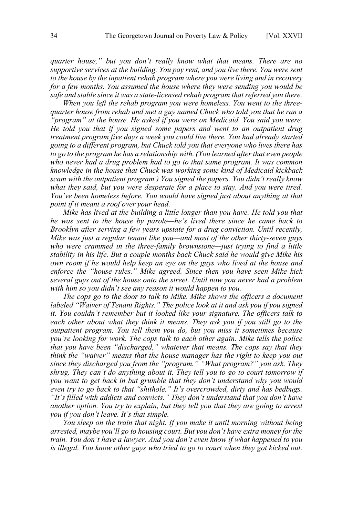*quarter house," but you don't really know what that means. There are no supportive services at the building. You pay rent, and you live there. You were sent to the house by the inpatient rehab program where you were living and in recovery for a few months. You assumed the house where they were sending you would be safe and stable since it was a state-licensed rehab program that referred you there.* 

*When you left the rehab program you were homeless. You went to the threequarter house from rehab and met a guy named Chuck who told you that he ran a "program" at the house. He asked if you were on Medicaid. You said you were. He told you that if you signed some papers and went to an outpatient drug treatment program five days a week you could live there. You had already started going to a different program, but Chuck told you that everyone who lives there has to go to the program he has a relationship with. (You learned after that even people who never had a drug problem had to go to that same program. It was common knowledge in the house that Chuck was working some kind of Medicaid kickback scam with the outpatient program.) You signed the papers. You didn't really know what they said, but you were desperate for a place to stay. And you were tired. You've been homeless before. You would have signed just about anything at that point if it meant a roof over your head.* 

*Mike has lived at the building a little longer than you have. He told you that he was sent to the house by parole—he's lived there since he came back to Brooklyn after serving a few years upstate for a drug conviction. Until recently, Mike was just a regular tenant like you—and most of the other thirty-seven guys who were crammed in the three-family brownstone—just trying to find a little stability in his life. But a couple months back Chuck said he would give Mike his own room if he would help keep an eye on the guys who lived at the house and enforce the "house rules." Mike agreed. Since then you have seen Mike kick several guys out of the house onto the street. Until now you never had a problem with him so you didn't see any reason it would happen to you.* 

*The cops go to the door to talk to Mike. Mike shows the officers a document labeled "Waiver of Tenant Rights." The police look at it and ask you if you signed it. You couldn't remember but it looked like your signature. The officers talk to each other about what they think it means. They ask you if you still go to the outpatient program. You tell them you do, but you miss it sometimes because you're looking for work. The cops talk to each other again. Mike tells the police that you have been "discharged," whatever that means. The cops say that they think the "waiver" means that the house manager has the right to keep you out since they discharged you from the "program." "What program?" you ask. They shrug. They can't do anything about it. They tell you to go to court tomorrow if you want to get back in but grumble that they don't understand why you would even try to go back to that "shithole." It's overcrowded, dirty and has bedbugs. "It's filled with addicts and convicts." They don't understand that you don't have another option. You try to explain, but they tell you that they are going to arrest you if you don't leave. It's that simple.* 

*You sleep on the train that night. If you make it until morning without being arrested, maybe you'll go to housing court. But you don't have extra money for the train. You don't have a lawyer. And you don't even know if what happened to you is illegal. You know other guys who tried to go to court when they got kicked out.*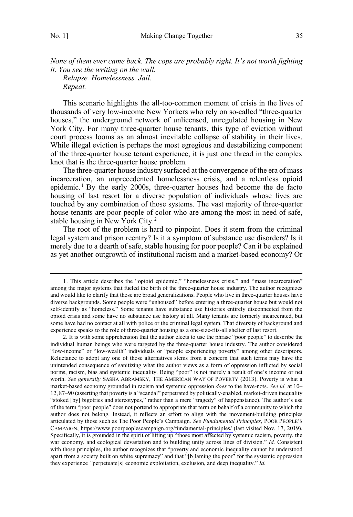*None of them ever came back. The cops are probably right. It's not worth fighting it. You see the writing on the wall.* 

*Relapse. Homelessness. Jail. Repeat.*

This scenario highlights the all-too-common moment of crisis in the lives of thousands of very low-income New Yorkers who rely on so-called "three-quarter houses," the underground network of unlicensed, unregulated housing in New York City. For many three-quarter house tenants, this type of eviction without court process looms as an almost inevitable collapse of stability in their lives. While illegal eviction is perhaps the most egregious and destabilizing component of the three-quarter house tenant experience, it is just one thread in the complex knot that is the three-quarter house problem.

The three-quarter house industry surfaced at the convergence of the era of mass incarceration, an unprecedented homelessness crisis, and a relentless opioid epidemic. <sup>1</sup> By the early 2000s, three-quarter houses had become the de facto housing of last resort for a diverse population of individuals whose lives are touched by any combination of those systems. The vast majority of three-quarter house tenants are poor people of color who are among the most in need of safe, stable housing in New York City.<sup>2</sup>

The root of the problem is hard to pinpoint. Does it stem from the criminal legal system and prison reentry? Is it a symptom of substance use disorders? Is it merely due to a dearth of safe, stable housing for poor people? Can it be explained as yet another outgrowth of institutional racism and a market-based economy? Or

 <sup>1.</sup> This article describes the "opioid epidemic," "homelessness crisis," and "mass incarceration" among the major systems that fueled the birth of the three-quarter house industry. The author recognizes and would like to clarify that those are broad generalizations. People who live in three-quarter houses have diverse backgrounds. Some people were "unhoused" before entering a three-quarter house but would not self-identify as "homeless." Some tenants have substance use histories entirely disconnected from the opioid crisis and some have no substance use history at all. Many tenants are formerly incarcerated, but some have had no contact at all with police or the criminal legal system. That diversity of background and experience speaks to the role of three-quarter housing as a one-size-fits-all shelter of last resort.

<sup>2.</sup> It is with some apprehension that the author elects to use the phrase "poor people" to describe the individual human beings who were targeted by the three-quarter house industry. The author considered "low-income" or "low-wealth" individuals or "people experiencing poverty" among other descriptors. Reluctance to adopt any one of those alternatives stems from a concern that such terms may have the unintended consequence of sanitizing what the author views as a form of oppression inflicted by social norms, racism, bias and systemic inequality. Being "poor" is not merely a result of one's income or net worth. *See generally* SASHA ABRAMSKY, THE AMERICAN WAY OF POVERTY (2013). Poverty is what a market-based economy grounded in racism and systemic oppression *does* to the have-nots. *See id.* at 10– 12, 87–90 (asserting that poverty is a "scandal" perpetrated by politically-enabled, market-driven inequality "stoked [by] bigotries and stereotypes," rather than a mere "tragedy" of happenstance). The author's use of the term "poor people" does not portend to appropriate that term on behalf of a community to which the author does not belong. Instead, it reflects an effort to align with the movement-building principles articulated by those such as The Poor People's Campaign. *See Fundamental Principles*, POOR PEOPLE'S CAMPAIGN,<https://www.poorpeoplescampaign.org/fundamental-principles/> (last visited Nov. 17, 2019). Specifically, it is grounded in the spirit of lifting up "those most affected by systemic racism, poverty, the war economy, and ecological devastation and to building unity across lines of division." *Id.* Consistent with those principles, the author recognizes that "poverty and economic inequality cannot be understood apart from a society built on white supremacy" and that "[b]laming the poor" for the systemic oppression they experience *"*perpetuate[s] economic exploitation, exclusion, and deep inequality." *Id.*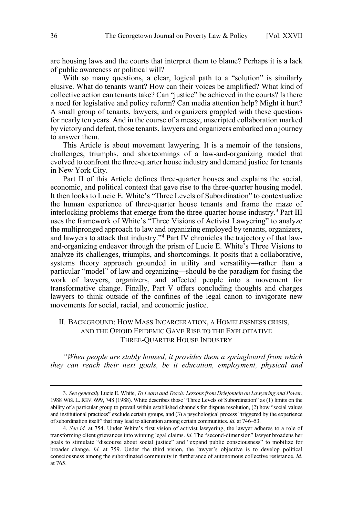<span id="page-5-0"></span>are housing laws and the courts that interpret them to blame? Perhaps it is a lack of public awareness or political will?

With so many questions, a clear, logical path to a "solution" is similarly elusive. What do tenants want? How can their voices be amplified? What kind of collective action can tenants take? Can "justice" be achieved in the courts? Is there a need for legislative and policy reform? Can media attention help? Might it hurt? A small group of tenants, lawyers, and organizers grappled with these questions for nearly ten years. And in the course of a messy, unscripted collaboration marked by victory and defeat, those tenants, lawyers and organizers embarked on a journey to answer them.

This Article is about movement lawyering. It is a memoir of the tensions, challenges, triumphs, and shortcomings of a law-and-organizing model that evolved to confront the three-quarter house industry and demand justice for tenants in New York City.

Part II of this Article defines three-quarter houses and explains the social, economic, and political context that gave rise to the three-quarter housing model. It then looks to Lucie E. White's "Three Levels of Subordination" to contextualize the human experience of three-quarter house tenants and frame the maze of interlocking problems that emerge from the three-quarter house industry.<sup>3</sup> Part III uses the framework of White's "Three Visions of Activist Lawyering" to analyze the multipronged approach to law and organizing employed by tenants, organizers, and lawyers to attack that industry."4 Part IV chronicles the trajectory of that lawand-organizing endeavor through the prism of Lucie E. White's Three Visions to analyze its challenges, triumphs, and shortcomings. It posits that a collaborative, systems theory approach grounded in utility and versatility—rather than a particular "model" of law and organizing—should be the paradigm for fusing the work of lawyers, organizers, and affected people into a movement for transformative change. Finally, Part V offers concluding thoughts and charges lawyers to think outside of the confines of the legal canon to invigorate new movements for social, racial, and economic justice.

## II. BACKGROUND: HOW MASS INCARCERATION, A HOMELESSNESS CRISIS, AND THE OPIOID EPIDEMIC GAVE RISE TO THE EXPLOITATIVE THREE-QUARTER HOUSE INDUSTRY

*"When people are stably housed, it provides them a springboard from which they can reach their next goals, be it education, employment, physical and* 

 <sup>3.</sup> *See generally* Lucie E. White, *To Learn and Teach: Lessons from Driefontein on Lawyering and Power*, 1988 WIS. L. REV. 699, 748 (1988). White describes those "Three Levels of Subordination" as (1) limits on the ability of a particular group to prevail within established channels for dispute resolution, (2) how "social values and institutional practices" exclude certain groups, and (3) a psychological process "triggered by the experience of subordination itself" that may lead to alienation among certain communities. *Id.* at 746–53.

<sup>4.</sup> *See id.* at 754. Under White's first vision of activist lawyering, the lawyer adheres to a role of transforming client grievances into winning legal claims. *Id.* The "second-dimension" lawyer broadens her goals to stimulate "discourse about social justice" and "expand public consciousness" to mobilize for broader change. *Id.* at 759. Under the third vision, the lawyer's objective is to develop political consciousness among the subordinated community in furtherance of autonomous collective resistance. *Id.*  at 765.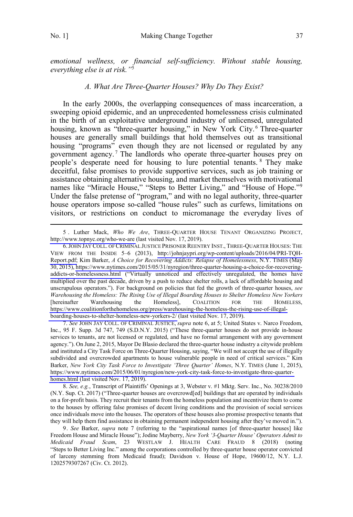<span id="page-6-0"></span>*emotional wellness, or financial self-sufficiency. Without stable housing, everything else is at risk."*<sup>5</sup>

#### *A. What Are Three-Quarter Houses? Why Do They Exist?*

In the early 2000s, the overlapping consequences of mass incarceration, a sweeping opioid epidemic, and an unprecedented homelessness crisis culminated in the birth of an exploitative underground industry of unlicensed, unregulated housing, known as "three-quarter housing," in New York City.<sup>6</sup> Three-quarter houses are generally small buildings that hold themselves out as transitional housing "programs" even though they are not licensed or regulated by any government agency.<sup>7</sup> The landlords who operate three-quarter houses prey on people's desperate need for housing to lure potential tenants. <sup>8</sup> They make deceitful, false promises to provide supportive services, such as job training or assistance obtaining alternative housing, and market themselves with motivational names like "Miracle House," "Steps to Better Living," and "House of Hope."<sup>9</sup> Under the false pretense of "program," and with no legal authority, three-quarter house operators impose so-called "house rules" such as curfews, limitations on visitors, or restrictions on conduct to micromanage the everyday lives of

5. Luther Mack, *Who We Are*, THREE-QUARTER HOUSE TENANT ORGANIZING PROJECT, <http://www.topnyc.org/who-we-are> (last visited Nov. 17, 2019).

*See* JOHN JAY COLL. OF CRIMINAL JUSTICE, *supra* note 6, at 5; United States v. Narco Freedom, 7. Inc., 95 F. Supp. 3d 747, 749 (S.D.N.Y. 2015) ("These three-quarter houses do not provide in-house services to tenants, are not licensed or regulated, and have no formal arrangement with any government agency."). On June 2, 2015, Mayor De Blasio declared the three-quarter house industry a citywide problem and instituted a City Task Force on Three-Quarter Housing, saying, "We will not accept the use of illegally subdivided and overcrowded apartments to house vulnerable people in need of critical services." Kim Barker, *New York City Task Force to Investigate 'Three Quarter' Homes*, N.Y. TIMES (June 1, 2015), [https://www.nytimes.com/2015/06/01/nyregion/new-york-city-task-force-to-investigate-three-quarter](https://www.nytimes.com/2015/06/01/nyregion/new-york-city-task-force-to-investigate-three-quarter-homes.html)[homes.html](https://www.nytimes.com/2015/06/01/nyregion/new-york-city-task-force-to-investigate-three-quarter-homes.html) (last visited Nov. 17, 2019).

8. *See, e.g.*, Transcript of Plaintiffs' Openings at 3, Webster v. #1 Mktg. Serv. Inc., No. 30238/2010 (N.Y. Sup. Ct. 2017) ("Three-quarter houses are overcrowd[ed] buildings that are operated by individuals on a for-profit basis. They recruit their tenants from the homeless population and incentivize them to come to the houses by offering false promises of decent living conditions and the provision of social services once individuals move into the houses. The operators of these houses also promise prospective tenants that they will help them find assistance in obtaining permanent independent housing after they've moved in.").

9. *See* Barker, *supra* note 7 (referring to the "aspirational names [of three-quarter houses] like Freedom House and Miracle House"); Jodine Mayberry, *New York '3-Quarter House' Operators Admit to Medicaid Fraud Scam*, 23 WESTLAW J. HEALTH CARE FRAUD 8 (2018) (noting "Steps to Better Living Inc." among the corporations controlled by three-quarter house operator convicted of larceny stemming from Medicaid fraud); Davidson v. House of Hope, 19600/12, N.Y. L.J. 1202579307267 (Civ. Ct. 2012).

<sup>6.</sup> JOHN JAY COLL. OF CRIMINAL JUSTICE PRISONER REENTRY INST., THREE-QUARTER HOUSES: THE VIEW FROM THE INSIDE 5–6 (2013), [http://johnjaypri.org/wp-content/uploads/2016/04/PRI-TQH-](http://johnjaypri.org/wp-content/uploads/2016/04/PRI-TQH-Report.pdf)[Report.pdf;](http://johnjaypri.org/wp-content/uploads/2016/04/PRI-TQH-Report.pdf) Kim Barker, *A Choice for Recovering Addicts: Relapse of Homelessness*, N.Y. TIMES (May 30, 2015), [https://www.nytimes.com/2015/05/31/nyregion/three-quarter-housing-a-choice-for-recovering](https://www.nytimes.com/2015/05/31/nyregion/three-quarter-housing-a-choice-for-recovering-addicts-or-homelessness.html)[addicts-or-homelessness.html](https://www.nytimes.com/2015/05/31/nyregion/three-quarter-housing-a-choice-for-recovering-addicts-or-homelessness.html) ("Virtually unnoticed and effectively unregulated, the homes have multiplied over the past decade, driven by a push to reduce shelter rolls, a lack of affordable housing and unscrupulous operators."). For background on policies that fed the growth of three-quarter houses, *see Warehousing the Homeless: The Rising Use of Illegal Boarding Houses to Shelter Homeless New Yorkers*  [hereinafter Warehousing the Homeless], COALITION FOR THE HOMELESS, [https://www.coalitionforthehomeless.org/press/warehousing-the-homeless-the-rising-use-of-illegal](https://www.coalitionforthehomeless.org/press/warehousing-the-homeless-the-rising-use-of-illegal-boarding-houses-to-shelter-homeless-new-yorkers-2/)[boarding-houses-to-shelter-homeless-new-yorkers-2/](https://www.coalitionforthehomeless.org/press/warehousing-the-homeless-the-rising-use-of-illegal-boarding-houses-to-shelter-homeless-new-yorkers-2/) (last visited Nov. 17, 2019).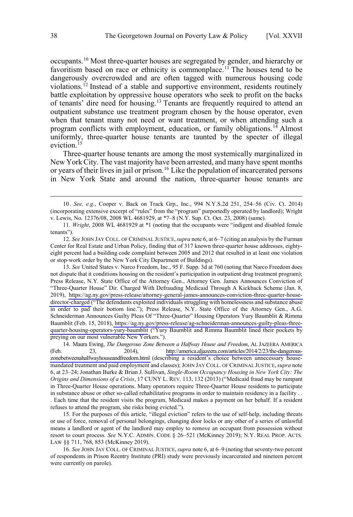occupants.10 Most three-quarter houses are segregated by gender, and hierarchy or favoritism based on race or ethnicity is commonplace.<sup>11</sup> The houses tend to be dangerously overcrowded and are often tagged with numerous housing code violations.<sup>12</sup> Instead of a stable and supportive environment, residents routinely battle exploitation by oppressive house operators who seek to profit on the backs of tenants' dire need for housing.<sup>13</sup> Tenants are frequently required to attend an outpatient substance use treatment program chosen by the house operator, even when that tenant many not need or want treatment, or when attending such a program conflicts with employment, education, or family obligations.<sup>14</sup> Almost uniformly, three-quarter house tenants are taunted by the specter of illegal eviction.<sup>15</sup>

Three-quarter house tenants are among the most systemically marginalized in New York City. The vast majority have been arrested, and many have spent months or years of their lives in jail or prison.<sup>16</sup> Like the population of incarcerated persons in New York State and around the nation, three-quarter house tenants are

13. See United States v. Narco Freedom, Inc., 95 F. Supp. 3d at 760 (noting that Narco Freedom does not dispute that it conditions housing on the resident's participation in outpatient drug treatment program); Press Release, N.Y. State Office of the Attorney Gen., Attorney Gen. James Announces Conviction of "Three-Quarter House" Dir. Charged With Defrauding Medicaid Through A Kickback Scheme (Jan. 8, 2019), [https://ag.ny.gov/press-release/attorney-general-james-announces-conviction-three-quarter-house](https://ag.ny.gov/press-release/attorney-general-james-announces-conviction-three-quarter-house-director-charged)[director-charged](https://ag.ny.gov/press-release/attorney-general-james-announces-conviction-three-quarter-house-director-charged) ("The defendants exploited individuals struggling with homelessness and substance abuse in order to pad their bottom line."); Press Release, N.Y. State Office of the Attorney Gen., A.G. Schneiderman Announces Guilty Pleas Of "Three-Quarter" Housing Operators Yury Baumblit & Rimma Baumblit (Feb. 15, 2018), [https://ag.ny.gov/press-release/ag-schneiderman-announces-guilty-pleas-three](https://ag.ny.gov/press-release/ag-schneiderman-announces-guilty-pleas-three-quarter-housing-operators-yury-baumblit)[quarter-housing-operators-yury-baumblit](https://ag.ny.gov/press-release/ag-schneiderman-announces-guilty-pleas-three-quarter-housing-operators-yury-baumblit) ("Yury Baumblit and Rimma Baumblit lined their pockets by preying on our most vulnerable New Yorkers.").

14. Maura Ewing, *The Dangerous Zone Between a Halfway House and Freedom*, AL JAZEERA AMERICA (Feb. 23, 2014), [http://america.aljazeera.com/articles/2014/2/23/the-dangerous](http://america.aljazeera.com/articles/2014/2/23/the-dangerous-zonebetweenahalfwayhouseandfreedom.html)[zonebetweenahalfwayhouseandfreedom.html](http://america.aljazeera.com/articles/2014/2/23/the-dangerous-zonebetweenahalfwayhouseandfreedom.html) (describing a resident's choice between unnecessary housemandated treatment and paid employment and classes); JOHN JAY COLL. OF CRIMINAL JUSTICE,*supra* note 6, at 23–24; Jonathan Burke & Brian J. Sullivan, *Single-Room Occupancy Housing in New York City: The Origins and Dimensions of a Crisis*, 17 CUNY L. REV. 113, 132 (2013) ("Medicaid fraud may be rampant in Three-Quarter House operations. Many operators require Three-Quarter House residents to participate in substance abuse or other so-called rehabilitative programs in order to maintain residency in a facility . . . Each time that the resident visits the program, Medicaid makes a payment on her behalf. If a resident refuses to attend the program, she risks being evicted.").

15. For the purposes of this article, "illegal eviction" refers to the use of self-help, including threats or use of force, removal of personal belongings, changing door locks or any other of a series of unlawful means a landlord or agent of the landlord may employ to remove an occupant from possession without resort to court process. *See* N.Y.C. ADMIN. CODE § 26–521 (McKinney 2019); N.Y. REAL PROP. ACTS. LAW §§ 711, 768, 853 (McKinney 2019).

16. *See* JOHN JAY COLL. OF CRIMINAL JUSTICE, *supra* note 6, at 6–9 (noting that seventy-two percent of respondents in Prison Reentry Institute (PRI) study were previously incarcerated and nineteen percent were currently on parole).

 <sup>10.</sup> *See, e.g.*, Cooper v. Back on Track Grp., Inc., <sup>994</sup> N.Y.S.2d 251, 254–56 (Civ. Ct. 2014) (incorporating extensive excerpt of "rules" from the "program" purportedly operated by landlord); Wright v. Lewis, No. 12376/08, 2008 WL 4681929, at \*7–8 (N.Y. Sup. Ct. Oct. 23, 2008) (same).

<sup>11.</sup> *Wright*, 2008 WL 4681929 at \*1 (noting that the occupants were "indigent and disabled female tenants").

<sup>12.</sup> *See* JOHN JAY COLL. OF CRIMINAL JUSTICE,*supra* note 6, at 6–7 (citing an analysis by the Furman Center for Real Estate and Urban Policy, finding that of 317 known three-quarter house addresses, eightyeight percent had a building code complaint between 2005 and 2012 that resulted in at least one violation or stop-work order by the New York City Department of Buildings).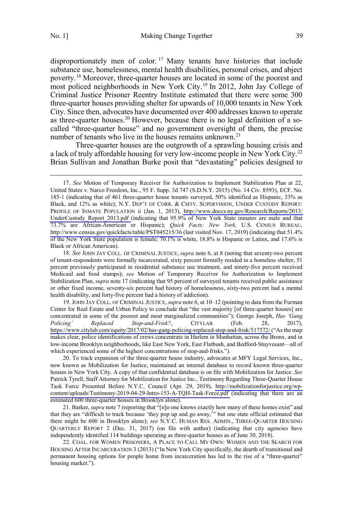disproportionately men of color.<sup>17</sup> Many tenants have histories that include substance use, homelessness, mental health disabilities, personal crises, and abject poverty.18 Moreover, three-quarter houses are located in some of the poorest and most policed neighborhoods in New York City.<sup>19</sup> In 2012, John Jay College of Criminal Justice Prisoner Reentry Institute estimated that there were some 300 three-quarter houses providing shelter for upwards of 10,000 tenants in New York City. Since then, advocates have documented over 400 addresses known to operate as three-quarter houses.<sup>20</sup> However, because there is no legal definition of a socalled "three-quarter house" and no government oversight of them, the precise number of tenants who live in the houses remains unknown.<sup>21</sup>

Three-quarter houses are the outgrowth of a sprawling housing crisis and a lack of truly affordable housing for very low-income people in New York City.<sup>22</sup> Brian Sullivan and Jonathan Burke posit that "devastating" policies designed to

19. JOHN JAY COLL. OF CRIMINAL JUSTICE, *supra* note 6, at 10–12 (pointing to data from the Furman Center for Real Estate and Urban Policy to conclude that "the vast majority [of three-quarter houses] are concentrated in some of the poorest and most marginalized communities"); George Joseph, *Has 'Gang Policing' Replaced Stop-and-Frisk?*, CITYLAB (Feb. 28, 2017), <https://www.citylab.com/equity/2017/02/has-gang-policing-replaced-stop-and-frisk/517572/> ("As the map makes clear, police identifications of crews concentrate in Harlem in Manhattan, across the Bronx, and in low-income Brooklyn neighborhoods, like East New York, East Flatbush, and Bedford-Stuyvesant—all of which experienced some of the highest concentrations of stop-and-frisks.").

20. To track expansion of the three-quarter house industry, advocates at MFY Legal Services, Inc., now known as Mobilization for Justice, maintained an internal database to record known three-quarter houses in New York City. A copy of that confidential database is on file with Mobilization for Justice. *See* Patrick Tyrell, Staff Attorney for Mobilization for Justice Inc., Testimony Regarding Three-Quarter House Task Force Presented Before N.Y.C. Council (Apr. 29, 2019), [http://mobilizationforjustice.org/wp](http://mobilizationforjustice.org/wp-content/uploads/Testimony-2019-04-29-Intro-153-A-TQH-Task-Force.pdf)[content/uploads/Testimony-2019-04-29-Intro-153-A-TQH-Task-Force.pdf](http://mobilizationforjustice.org/wp-content/uploads/Testimony-2019-04-29-Intro-153-A-TQH-Task-Force.pdf) (indicating that there are an estimated 600 three-quarter houses in Brooklyn alone).

21. Barker, *supra* note 7 (reporting that "[n]o one knows exactly how many of these homes exist" and that they are "difficult to track because 'they pop up and go away,'" but one state official estimated that there might be 600 in Brooklyn alone); *see* N.Y.C. HUMAN RES. ADMIN., THREE-QUARTER HOUSING QUARTERLY REPORT 2 (Dec. 31, 2017) (on file with author) (indicating that city agencies have independently identified 114 buildings operating as three-quarter houses as of June 30, 2018).

22. COAL. FOR WOMEN PRISONERS, A PLACE TO CALL MY OWN: WOMEN AND THE SEARCH FOR HOUSING AFTER INCARCERATION 3 (2013) ("In New York City specifically, the dearth of transitional and permanent housing options for people home from incarceration has led to the rise of a "three-quarter" housing market.").

<sup>17.</sup> See Motion of Temporary Receiver for Authorization to Implement Stabilization Plan at 22, United States v. Narco Freedom, Inc., 95 F. Supp. 3d 747 (S.D.N.Y. 2015) (No. 14 Civ. 8593), ECF. No. 185-1 (indicating that of 461 three-quarter house tenants surveyed, 50% identified as Hispanic, 33% as Black, and 12% as white); N.Y. DEP'T OF CORR. & CMTY. SUPERVISION, UNDER CUSTODY REPORT: PROFILE OF INMATE POPULATION ii (Jan. 1, 2013), [http://www.doccs.ny.gov/Research/Reports/2013/](http://www.doccs.ny.gov/Research/Reports/2013/UnderCustody_Report_2013.pdf) [UnderCustody\\_Report\\_2013.pdf](http://www.doccs.ny.gov/Research/Reports/2013/UnderCustody_Report_2013.pdf) (indicating that 95.9% of New York State inmates are male and that 73.7% are African-American or Hispanic); *Quick Facts: New York,* U.S. CENSUS BUREAU, <http://www.census.gov/quickfacts/table/PST045215/36> (last visited Nov. 17, 2019) (indicating that 51.4% of the New York State population is female; 70.1% is white, 18.8% is Hispanic or Latinx, and 17.6% is Black or African American).

<sup>18.</sup> *See* JOHN JAY COLL. OF CRIMINAL JUSTICE, *supra* note 6, at 8 (noting that seventy-two percent of tenant-respondents were formally incarcerated, sixty percent formally resided in a homeless shelter, 51 percent previously participated in residential substance use treatment, and ninety-five percent received Medicaid and food stamps); *see* Motion of Temporary Receiver for Authorization to Implement Stabilization Plan, *supra* note 17 (indicating that 95 percent of surveyed tenants received public assistance or other fixed income, seventy-six percent had history of homelessness, sixty-two percent had a mental health disability, and forty-five percent had a history of addiction).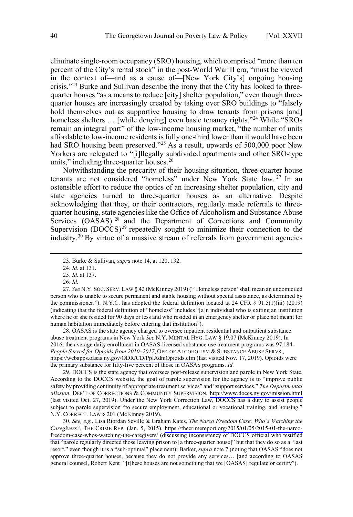eliminate single-room occupancy (SRO) housing, which comprised "more than ten percent of the City's rental stock" in the post-World War II era, "must be viewed in the context of—and as a cause of—[New York City's] ongoing housing crisis."23 Burke and Sullivan describe the irony that the City has looked to threequarter houses "as a means to reduce [city] shelter population," even though threequarter houses are increasingly created by taking over SRO buildings to "falsely hold themselves out as supportive housing to draw tenants from prisons [and] homeless shelters ... [while denying] even basic tenancy rights."<sup>24</sup> While "SROs" remain an integral part" of the low-income housing market, "the number of units affordable to low-income residents is fully one-third lower than it would have been had SRO housing been preserved."<sup>25</sup> As a result, upwards of 500,000 poor New Yorkers are relegated to "[i]llegally subdivided apartments and other SRO-type units," including three-quarter houses.<sup>26</sup>

Notwithstanding the precarity of their housing situation, three-quarter house tenants are not considered "homeless" under New York State law. <sup>27</sup> In an ostensible effort to reduce the optics of an increasing shelter population, city and state agencies turned to three-quarter houses as an alternative. Despite acknowledging that they, or their contractors, regularly made referrals to threequarter housing, state agencies like the Office of Alcoholism and Substance Abuse Services  $(OASAS)^{28}$  and the Department of Corrections and Community Supervision  $(DOCCS)^{29}$  repeatedly sought to minimize their connection to the industry.30 By virtue of a massive stream of referrals from government agencies

28. OASAS is the state agency charged to oversee inpatient residential and outpatient substance abuse treatment programs in New York *See* N.Y. MENTAL HYG. LAW § 19.07 (McKinney 2019). In 2016, the average daily enrollment in OASAS-licensed substance use treatment programs was 97,184. *People Served for Opioids from 2010–2017*, OFF. OF ALCOHOLISM & SUBSTANCE ABUSE SERVS., <https://webapps.oasas.ny.gov/ODR/CD/PplAdmOpioids.cfm> (last visited Nov. 17, 2019). Opioids were the primary substance for fifty-five percent of those in OASAS programs. *Id.*

29. DOCCS is the state agency that oversees post-release supervision and parole in New York State. According to the DOCCS website, the goal of parole supervision for the agency is to "improve public safety by providing continuity of appropriate treatment services" and "support services." *The Departmental Mission*, DEP'T OF CORRECTIONS & COMMUNITY SUPERVISION, <http://www.doccs.ny.gov/mission.html> (last visited Oct. 27, 2019). Under the New York Correction Law, DOCCS has a duty to assist people subject to parole supervision "to secure employment, educational or vocational training, and housing." N.Y. CORRECT. LAW § 201 (McKinney 2019).

30. *See, e.g.*, Lisa Riordan Seville & Graham Kates, *The Narco Freedom Case: Who's Watching the Caregivers?*, THE CRIME REP. (Jan. 5, 2015), [https://thecrimereport.org/2015/01/05/2015-01-the-narco](https://thecrimereport.org/2015/01/05/2015-01-the-narco-freedom-case-whos-watching-the-caregivers/)[freedom-case-whos-watching-the-caregivers/](https://thecrimereport.org/2015/01/05/2015-01-the-narco-freedom-case-whos-watching-the-caregivers/) (discussing inconsistency of DOCCS official who testified that "parole regularly directed those leaving prison to [a three-quarter house]" but that they do so as a "last resort," even though it is a "sub-optimal" placement); Barker, *supra* note 7 (noting that OASAS "does not approve three-quarter houses, because they do not provide any services… [and according to OASAS general counsel, Robert Kent] "[t]hese houses are not something that we [OASAS] regulate or certify").

 <sup>23.</sup> Burke & Sullivan, *supra* note 14, at 120, 132.

<sup>24.</sup> *Id.* at 131.

<sup>25.</sup> *Id.* at 137.

<sup>26.</sup> *Id.*

<sup>27.</sup> *See* N.Y. SOC. SERV. LAW § 42 (McKinney 2019) ("'Homeless person' shall mean an undomiciled person who is unable to secure permanent and stable housing without special assistance, as determined by the commissioner."). N.Y.C. has adopted the federal definition located at 24 CFR § 91.5(1)(iii) (2019) (indicating that the federal definition of "homeless" includes "[a]n individual who is exiting an institution where he or she resided for 90 days or less and who resided in an emergency shelter or place not meant for human habitation immediately before entering that institution").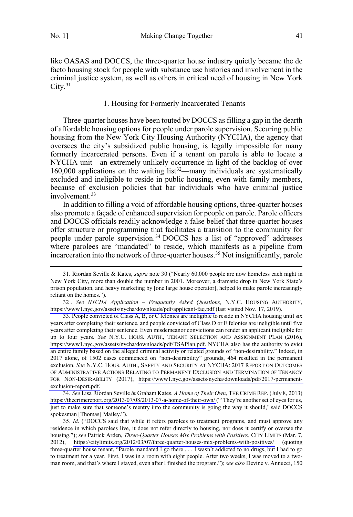<span id="page-10-0"></span>like OASAS and DOCCS, the three-quarter house industry quietly became the de facto housing stock for people with substance use histories and involvement in the criminal justice system, as well as others in critical need of housing in New York  $City.<sup>31</sup>$ 

## 1. Housing for Formerly Incarcerated Tenants

Three-quarter houses have been touted by DOCCS as filling a gap in the dearth of affordable housing options for people under parole supervision. Securing public housing from the New York City Housing Authority (NYCHA), the agency that oversees the city's subsidized public housing, is legally impossible for many formerly incarcerated persons. Even if a tenant on parole is able to locate a NYCHA unit—an extremely unlikely occurrence in light of the backlog of over 160,000 applications on the waiting  $list^{32}$ —many individuals are systematically excluded and ineligible to reside in public housing, even with family members, because of exclusion policies that bar individuals who have criminal justice involvement.<sup>33</sup>

In addition to filling a void of affordable housing options, three-quarter houses also promote a façade of enhanced supervision for people on parole. Parole officers and DOCCS officials readily acknowledge a false belief that three-quarter houses offer structure or programming that facilitates a transition to the community for people under parole supervision.<sup>34</sup> DOCCS has a list of "approved" addresses where parolees are "mandated" to reside, which manifests as a pipeline from incarceration into the network of three-quarter houses.35 Not insignificantly, parole

34. *See* Lisa Riordan Seville & Graham Kates, *A Home of Their Own*, THE CRIME REP. (July 8, 2013) <https://thecrimereport.org/2013/07/08/2013-07-a-home-of-their-own/> ("'They're another set of eyes for us, just to make sure that someone's reentry into the community is going the way it should,' said DOCCS spokesman [Thomas] Mailey.").

 <sup>31.</sup> Riordan Seville & Kates, *supra* note 30 ("Nearly 60,000 people are now homeless each night in New York City, more than double the number in 2001. Moreover, a dramatic drop in New York State's prison population, and heavy marketing by [one large house operator], helped to make parole increasingly reliant on the homes.").

<sup>32</sup> . *See NYCHA Application – Frequently Asked Questions,* N.Y.C. HOUSING AUTHORITY, <https://www1.nyc.gov/assets/nycha/downloads/pdf/applicant-faq.pdf> (last visited Nov. 17, 2019).

<sup>33.</sup>  People convicted of Class A, B, or C felonies are ineligible to reside in NYCHA housing until six years after completing their sentence, and people convicted of Class D or E felonies are ineligible until five years after completing their sentence. Even misdemeanor convictions can render an applicant ineligible for up to four years. *See* N.Y.C. HOUS. AUTH., TENANT SELECTION AND ASSIGNMENT PLAN (2016), [https://www1.nyc.gov/assets/nycha/downloads/pdf/TSAPlan.pdf.](https://www1.nyc.gov/assets/nycha/downloads/pdf/TSAPlan.pdf) NYCHA also has the authority to evict an entire family based on the alleged criminal activity or related grounds of "non-desirability." Indeed, in 2017 alone, of 1502 cases commenced on "non-desirability" grounds, 464 resulted in the permanent exclusion. *See* N.Y.C. HOUS. AUTH., SAFETY AND SECURITY AT NYCHA: 2017 REPORT ON OUTCOMES OF ADMINISTRATIVE ACTIONS RELATING TO PERMANENT EXCLUSION AND TERMINATION OF TENANCY FOR NON-DESIRABILITY (2017), [https://www1.nyc.gov/assets/nycha/downloads/pdf/2017-permanent](https://www1.nyc.gov/assets/nycha/downloads/pdf/2017-permanent-exclusion-report.pdf)[exclusion-report.pdf.](https://www1.nyc.gov/assets/nycha/downloads/pdf/2017-permanent-exclusion-report.pdf)

<sup>35.</sup>  *Id*. ("DOCCS said that while it refers parolees to treatment programs, and must approve any residence in which parolees live, it does not refer directly to housing, nor does it certify or oversee the housing."); *see* Patrick Arden, *Three-Quarter Houses Mix Problems with Positives*, CITY LIMITS (Mar. 7, 2012), <https://citylimits.org/2012/03/07/three-quarter-houses-mix-problems-with-positives/> (quoting three-quarter house tenant, "Parole mandated I go there . . . I wasn't addicted to no drugs, but I had to go to treatment for a year. First, I was in a room with eight people. After two weeks, I was moved to a twoman room, and that's where I stayed, even after I finished the program."); *see also* Devine v. Annucci, 150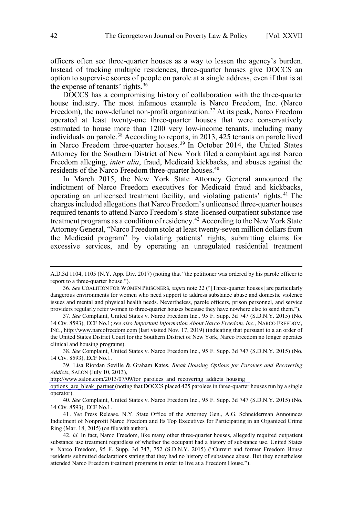officers often see three-quarter houses as a way to lessen the agency's burden. Instead of tracking multiple residences, three-quarter houses give DOCCS an option to supervise scores of people on parole at a single address, even if that is at the expense of tenants' rights.<sup>36</sup>

DOCCS has a compromising history of collaboration with the three-quarter house industry. The most infamous example is Narco Freedom, Inc. (Narco Freedom), the now-defunct non-profit organization.<sup>37</sup> At its peak, Narco Freedom operated at least twenty-one three-quarter houses that were conservatively estimated to house more than 1200 very low-income tenants, including many individuals on parole.<sup>38</sup> According to reports, in 2013, 425 tenants on parole lived in Narco Freedom three-quarter houses. <sup>39</sup> In October 2014, the United States Attorney for the Southern District of New York filed a complaint against Narco Freedom alleging, *inter alia*, fraud, Medicaid kickbacks, and abuses against the residents of the Narco Freedom three-quarter houses.<sup>40</sup>

In March 2015, the New York State Attorney General announced the indictment of Narco Freedom executives for Medicaid fraud and kickbacks, operating an unlicensed treatment facility, and violating patients' rights.<sup>41</sup> The charges included allegations that Narco Freedom's unlicensed three-quarter houses required tenants to attend Narco Freedom's state-licensed outpatient substance use treatment programs as a condition of residency.<sup>42</sup> According to the New York State Attorney General, "Narco Freedom stole at least twenty-seven million dollars from the Medicaid program" by violating patients' rights, submitting claims for excessive services, and by operating an unregulated residential treatment

38. *See* Complaint, United States v. Narco Freedom Inc., 95 F. Supp. 3d 747 (S.D.N.Y. 2015) (No. 14 Civ. 8593), ECF No.1.

http://www.salon.com/2013/07/09/for parolees and recovering addicts housing

[options\\_are\\_bleak\\_partner](http://www.salon.com/2013/07/09/for_parolees_and_recovering_addicts_housing_options_are_bleak_partner) (noting that DOCCS placed 425 parolees in three-quarter houses run by a single operator).

40. *See* Complaint, United States v. Narco Freedom Inc.*,* 95 F. Supp. 3d 747 (S.D.N.Y. 2015) (No. 14 Civ. 8593), ECF No.1.

41. *See* Press Release, N.Y. State Office of the Attorney Gen., A.G. Schneiderman Announces Indictment of Nonprofit Narco Freedom and Its Top Executives for Participating in an Organized Crime Ring (Mar. 18, 2015) (on file with author).

 $\overline{a}$ 

A.D.3d 1104, 1105 (N.Y. App. Div. 2017) (noting that "the petitioner was ordered by his parole officer to report to a three-quarter house.").

<sup>36.</sup> *See* COALITION FOR WOMEN PRISONERS, *supra* note 22 ("[Three-quarter houses] are particularly dangerous environments for women who need support to address substance abuse and domestic violence issues and mental and physical health needs. Nevertheless, parole officers, prison personnel, and service providers regularly refer women to three-quarter houses because they have nowhere else to send them.").

<sup>37.</sup>  *See* Complaint, United States v. Narco Freedom Inc.*,* 95 F. Supp. 3d 747 (S.D.N.Y. 2015) (No. 14 Civ. 8593), ECF No.1; *see also Important Information About Narco Freedom, Inc.,* NARCO FREEDOM, INC., [http://www.narcofreedom.com](http://www.narcofreedom.com/) (last visited Nov. 17, 2019) (indicating that pursuant to a an order of the United States District Court for the Southern District of New York, Narco Freedom no longer operates clinical and housing programs).

<sup>39.</sup> Lisa Riordan Seville & Graham Kates, *Bleak Housing Options for Parolees and Recovering Addicts*, SALON (July 10, 2013),

<sup>42.</sup> *Id.* In fact, Narco Freedom, like many other three-quarter houses, allegedly required outpatient substance use treatment regardless of whether the occupant had a history of substance use. United States v. Narco Freedom, 95 F. Supp. 3d 747, 752 (S.D.N.Y. 2015) ("Current and former Freedom House residents submitted declarations stating that they had no history of substance abuse. But they nonetheless attended Narco Freedom treatment programs in order to live at a Freedom House.").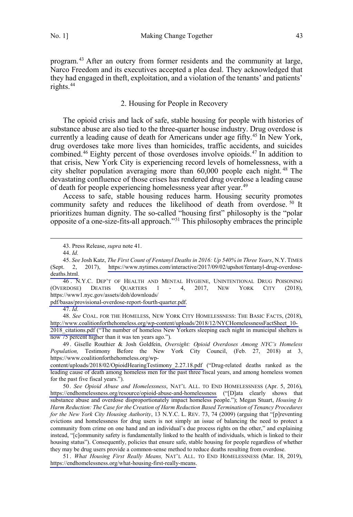<span id="page-12-0"></span>program. <sup>43</sup> After an outcry from former residents and the community at large, Narco Freedom and its executives accepted a plea deal. They acknowledged that they had engaged in theft, exploitation, and a violation of the tenants' and patients' rights.<sup>44</sup>

## 2. Housing for People in Recovery

The opioid crisis and lack of safe, stable housing for people with histories of substance abuse are also tied to the three-quarter house industry. Drug overdose is currently a leading cause of death for Americans under age fifty.<sup>45</sup> In New York, drug overdoses take more lives than homicides, traffic accidents, and suicides combined.<sup>46</sup> Eighty percent of those overdoses involve opioids.<sup>47</sup> In addition to that crisis, New York City is experiencing record levels of homelessness, with a city shelter population averaging more than 60,000 people each night. <sup>48</sup> The devastating confluence of those crises has rendered drug overdose a leading cause of death for people experiencing homelessness year after year. 49

Access to safe, stable housing reduces harm. Housing security promotes community safety and reduces the likelihood of death from overdose.<sup>50</sup> It prioritizes human dignity. The so-called "housing first" philosophy is the "polar opposite of a one-size-fits-all approach."51 This philosophy embraces the principle

46 . N.Y.C. DEP'T OF HEALTH AND MENTAL HYGIENE, UNINTENTIONAL DRUG POISONING (OVERDOSE) DEATHS QUARTERS 1 - 4, 2017, NEW YORK CITY (2018), https://www1.nyc.gov/assets/doh/downloads/

[pdf/basas/provisional-overdose-report-fourth-quarter.pdf](https://www1.nyc.gov/assets/doh/downloads/pdf/basas/provisional-overdose-report-fourth-quarter.pdf).

47. *Id.*

48. *See* COAL. FOR THE HOMELESS, NEW YORK CITY HOMELESSNESS: THE BASIC FACTS, (2018), [http://www.coalitionforthehomeless.org/wp-content/uploads/2018/12/NYCHomelessnessFactSheet\\_10-](http://www.coalitionforthehomeless.org/wp-content/uploads/2018/12/NYCHomelessnessFactSheet_10-2018_citations.pdf) 2018 citations.pdf ("The number of homeless New Yorkers sleeping each night in municipal shelters is now 75 percent higher than it was ten years ago.").

49 . Giselle Routhier & Josh Goldfein, *Oversight: Opioid Overdoses Among NYC's Homeless Population,* Testimony Before the New York City Council, (Feb. 27, 2018) at 3, https://www.coalitionforthehomeless.org/wp-

[content/uploads/2018/02/OpioidHearingTestimony\\_2.27.18.pdf](http://coalitionforthehomeless.org/wp-content/uploads/2018/02/OpioidHearingTestimony_2.27.18.pdf) ("Drug-related deaths ranked as the leading cause of death among homeless men for the past three fiscal years, and among homeless women for the past five fiscal years.").

50. *See Opioid Abuse and Homelessness*, NAT'L ALL. TO END HOMELESSNESS (Apr. 5, 2016), <https://endhomelessness.org/resource/opioid-abuse-and-homelessness> ("[D]ata clearly shows that substance abuse and overdose disproportionately impact homeless people."); Megan Stuart, *Housing Is Harm Reduction: The Case for the Creation of Harm Reduction Based Termination of Tenancy Procedures for the New York City Housing Authority*, 13 N.Y.C. L. REV. 73, 74 (2009) (arguing that "[p]reventing evictions and homelessness for drug users is not simply an issue of balancing the need to protect a community from crime on one hand and an individual's due process rights on the other," and explaining instead, "[c]ommunity safety is fundamentally linked to the health of individuals, which is linked to their housing status"). Consequently, policies that ensure safe, stable housing for people regardless of whether they may be drug users provide a common-sense method to reduce deaths resulting from overdose.

51 . *What Housing First Really Means,* NAT'L ALL. TO END HOMELESSNESS (Mar. 18, 2019), [https://endhomelessness.org/what-housing-first-really-means.](https://endhomelessness.org/what-housing-first-really-means/)

 <sup>43.</sup> Press Release, *supra* note 41.

<sup>44.</sup> *Id.*

<sup>45.</sup> *See* Josh Katz, *The First Count of Fentanyl Deaths in 2016: Up 540% in Three Years*, N.Y. TIMES (Sept. 2, 2017), [https://www.nytimes.com/interactive/2017/09/02/upshot/fentanyl-drug-overdose](https://www.nytimes.com/interactive/2017/09/02/upshot/fentanyl-drug-overdose-deaths.html)[deaths.html.](https://www.nytimes.com/interactive/2017/09/02/upshot/fentanyl-drug-overdose-deaths.html)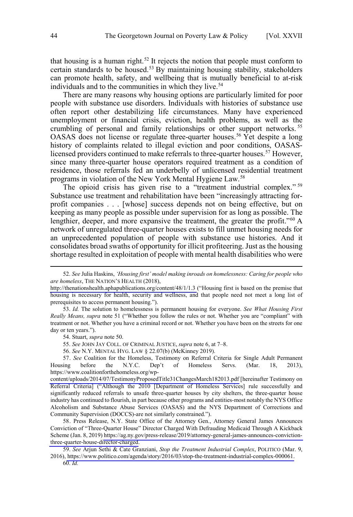that housing is a human right.<sup>52</sup> It rejects the notion that people must conform to certain standards to be housed.<sup>53</sup> By maintaining housing stability, stakeholders can promote health, safety, and wellbeing that is mutually beneficial to at-risk individuals and to the communities in which they live.<sup>54</sup>

There are many reasons why housing options are particularly limited for poor people with substance use disorders. Individuals with histories of substance use often report other destabilizing life circumstances. Many have experienced unemployment or financial crisis, eviction, health problems, as well as the crumbling of personal and family relationships or other support networks.<sup>55</sup> OASAS does not license or regulate three-quarter houses. <sup>56</sup> Yet despite a long history of complaints related to illegal eviction and poor conditions, OASASlicensed providers continued to make referrals to three-quarter houses.<sup>57</sup> However, since many three-quarter house operators required treatment as a condition of residence, those referrals fed an underbelly of unlicensed residential treatment programs in violation of the New York Mental Hygiene Law.58

The opioid crisis has given rise to a "treatment industrial complex."<sup>59</sup> Substance use treatment and rehabilitation have been "increasingly attracting forprofit companies . . . [whose] success depends not on being effective, but on keeping as many people as possible under supervision for as long as possible. The lengthier, deeper, and more expansive the treatment, the greater the profit."<sup>60</sup> A network of unregulated three-quarter houses exists to fill unmet housing needs for an unprecedented population of people with substance use histories. And it consolidates broad swaths of opportunity for illicit profiteering. Just as the housing shortage resulted in exploitation of people with mental health disabilities who were

54. Stuart, *supra* note 50.

55. *See* JOHN JAY COLL. OF CRIMINAL JUSTICE, *supra* note 6, at 7–8.

56. *See* N.Y. MENTAL HYG. LAW § 22.07(b) (McKinney 2019).

57. See Coalition for the Homeless, Testimony on Referral Criteria for Single Adult Permanent Housing before the N.Y.C. Dep't of Homeless Servs. (Mar. 18, 2013), https://www.coalitionforthehomeless.org/wp-

[content/uploads/2014/07/TestimonyProposedTitle31ChangesMarch182013.pdf](https://www.coalitionforthehomeless.org/wp-content/uploads/2014/07/TestimonyProposedTitle31ChangesMarch182013.pdf) [hereinafter Testimony on Referral Criteria] ("Although the 2010 [Department of Homeless Services] rule successfully and significantly reduced referrals to unsafe three-quarter houses by city shelters, the three-quarter house industry has continued to flourish, in part because other programs and entities-most notably the NYS Office Alcoholism and Substance Abuse Services (OASAS) and the NYS Department of Corrections and Community Supervision (DOCCS)-are not similarly constrained.").

58. Press Release, N.Y. State Office of the Attorney Gen., Attorney General James Announces Conviction of "Three-Quarter House" Director Charged With Defrauding Medicaid Through A Kickback Scheme (Jan. 8, 2019) [https://ag.ny.gov/press-release/2019/attorney-general-james-announces-conviction](https://ag.ny.gov/press-release/2019/attorney-general-james-announces-conviction-three-quarter-house-director-charged)[three-quarter-house-director-charged.](https://ag.ny.gov/press-release/2019/attorney-general-james-announces-conviction-three-quarter-house-director-charged)

*See* Arjun Sethi & Cate Granziani, *Stop the Treatment Industrial Complex*, POLITICO (Mar. 9, 59. 2016), [https://www.politico.com/agenda/story/2016/03/stop-the-treatment-industrial-complex-000061.](https://www.politico.com/agenda/story/2016/03/stop-the-treatment-industrial-complex-000061) 60. *Id.*

*See* Julia Haskins, *'Housing first' model making inroads on homelessness: Caring for people who*  52. *are homeless*, THE NATION'S HEALTH (2018),

<http://thenationshealth.aphapublications.org/content/48/1/1.3> ("Housing first is based on the premise that housing is necessary for health, security and wellness, and that people need not meet a long list of prerequisites to access permanent housing.").

<sup>53.</sup> *Id.* The solution to homelessness is permanent housing for everyone. *See What Housing First Really Means, supra* note 51 ("Whether you follow the rules or not. Whether you are "compliant" with treatment or not. Whether you have a criminal record or not. Whether you have been on the streets for one day or ten years.").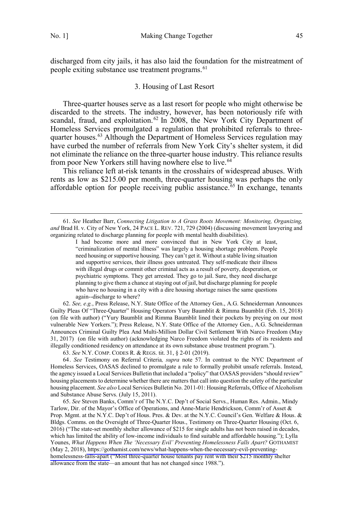<span id="page-14-0"></span>discharged from city jails, it has also laid the foundation for the mistreatment of people exiting substance use treatment programs.<sup>61</sup>

## 3. Housing of Last Resort

Three-quarter houses serve as a last resort for people who might otherwise be discarded to the streets. The industry, however, has been notoriously rife with scandal, fraud, and exploitation.<sup>62</sup> In 2008, the New York City Department of Homeless Services promulgated a regulation that prohibited referrals to threequarter houses.<sup>63</sup> Although the Department of Homeless Services regulation may have curbed the number of referrals from New York City's shelter system, it did not eliminate the reliance on the three-quarter house industry. This reliance results from poor New Yorkers still having nowhere else to live.<sup>64</sup>

This reliance left at-risk tenants in the crosshairs of widespread abuses. With rents as low as \$215.00 per month, three-quarter housing was perhaps the only affordable option for people receiving public assistance.<sup>65</sup> In exchange, tenants

62. *See, e.g.*, Press Release, N.Y. State Office of the Attorney Gen., A.G. Schneiderman Announces Guilty Pleas Of "Three-Quarter" Housing Operators Yury Baumblit & Rimma Baumblit (Feb. 15, 2018) (on file with author) ("Yury Baumblit and Rimma Baumblit lined their pockets by preying on our most vulnerable New Yorkers."); Press Release, N.Y. State Office of the Attorney Gen., A.G. Schneiderman Announces Criminal Guilty Plea And Multi-Million Dollar Civil Settlement With Narco Freedom (May 31, 2017) (on file with author) (acknowledging Narco Freedom violated the rights of its residents and illegally conditioned residency on attendance at its own substance abuse treatment program.").

63. *See* N.Y. COMP. CODES R. & REGS. tit. 31, § 2-01 (2019).

64. *See* Testimony on Referral Criteria*, supra* note 57. In contrast to the NYC Department of Homeless Services, OASAS declined to promulgate a rule to formally prohibit unsafe referrals. Instead, the agency issued a Local Services Bulletin that included a "policy" that OASAS providers "should review" housing placements to determine whether there are matters that call into question the safety of the particular housing placement. *See also* Local Services Bulletin No. 2011-01: Housing Referrals, Office of Alcoholism and Substance Abuse Servs. (July 15, 2011).

*See* Steven Banks, Comm'r of The N.Y.C. Dep't of Social Servs., Human Res. Admin., Mindy 65. Tarlow, Dir. of the Mayor's Office of Operations, and Anne-Marie Hendrickson, Comm'r of Asset & Prop. Mgmt. at the N.Y.C. Dep't of Hous. Pres. & Dev. at the N.Y.C. Council's Gen. Welfare & Hous. & Bldgs. Comms. on the Oversight of Three-Quarter Hous., Testimony on Three-Quarter Housing (Oct. 6, 2016) ("The state-set monthly shelter allowance of \$215 for single adults has not been raised in decades, which has limited the ability of low-income individuals to find suitable and affordable housing."); Lylla Younes, *What Happens When The 'Necessary Evil' Preventing Homelessness Falls Apart?* GOTHAMIST (May 2, 2018), [https://gothamist.com/news/what-happens-when-the-necessary-evil-preventing](https://gothamist.com/news/what-happens-when-the-necessary-evil-preventing-homelessness-falls-apart)[homelessness-falls-apart](https://gothamist.com/news/what-happens-when-the-necessary-evil-preventing-homelessness-falls-apart) ("Most three-quarter house tenants pay rent with their \$215 monthly shelter allowance from the state—an amount that has not changed since 1988.").

 <sup>61.</sup> *See* Heather Barr, *Connecting Litigation to A Grass Roots Movement: Monitoring, Organizing, and* Brad H. v. City of New York, 24 PACE L. REV. 721, 729 (2004) (discussing movement lawyering and organizing related to discharge planning for people with mental health disabilities).

I had become more and more convinced that in New York City at least, "criminalization of mental illness" was largely a housing shortage problem. People need housing or supportive housing. They can't get it. Without a stable living situation and supportive services, their illness goes untreated. They self-medicate their illness with illegal drugs or commit other criminal acts as a result of poverty, desperation, or psychiatric symptoms. They get arrested. They go to jail. Sure, they need discharge planning to give them a chance at staying out of jail, but discharge planning for people who have no housing in a city with a dire housing shortage raises the same questions again--discharge to where?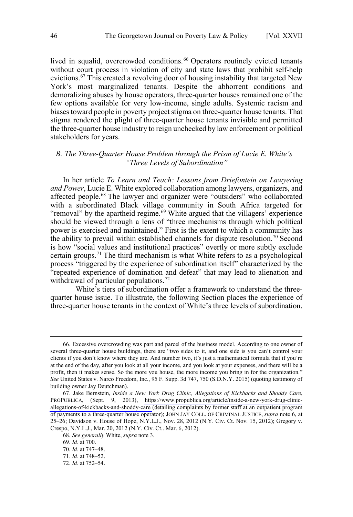<span id="page-15-0"></span>lived in squalid, overcrowded conditions.<sup>66</sup> Operators routinely evicted tenants without court process in violation of city and state laws that prohibit self-help evictions.<sup>67</sup> This created a revolving door of housing instability that targeted New York's most marginalized tenants. Despite the abhorrent conditions and demoralizing abuses by house operators, three-quarter houses remained one of the few options available for very low-income, single adults. Systemic racism and biases toward people in poverty project stigma on three-quarter house tenants. That stigma rendered the plight of three-quarter house tenants invisible and permitted the three-quarter house industry to reign unchecked by law enforcement or political stakeholders for years.

## *B. The Three-Quarter House Problem through the Prism of Lucie E. White's "Three Levels of Subordination"*

In her article *To Learn and Teach: Lessons from Driefontein on Lawyering and Power*, Lucie E. White explored collaboration among lawyers, organizers, and affected people.68 The lawyer and organizer were "outsiders" who collaborated with a subordinated Black village community in South Africa targeted for "removal" by the apartheid regime.<sup>69</sup> White argued that the villagers' experience should be viewed through a lens of "three mechanisms through which political power is exercised and maintained." First is the extent to which a community has the ability to prevail within established channels for dispute resolution.<sup>70</sup> Second is how "social values and institutional practices" overtly or more subtly exclude certain groups.71 The third mechanism is what White refers to as a psychological process "triggered by the experience of subordination itself" characterized by the "repeated experience of domination and defeat" that may lead to alienation and withdrawal of particular populations.<sup>72</sup>

White's tiers of subordination offer a framework to understand the threequarter house issue. To illustrate, the following Section places the experience of three-quarter house tenants in the context of White's three levels of subordination.

 <sup>66.</sup> Excessive overcrowding was part and parcel of the business model. According to one owner of several three-quarter house buildings, there are "two sides to it, and one side is you can't control your clients if you don't know where they are. And number two, it's just a mathematical formula that if you're at the end of the day, after you look at all your income, and you look at your expenses, and there will be a profit, then it makes sense. So the more you house, the more income you bring in for the organization." *See* United States v. Narco Freedom, Inc*.*, 95 F. Supp. 3d 747, 750 (S.D.N.Y. 2015) (quoting testimony of building owner Jay Deutchman).

<sup>67.</sup> Jake Bernstein, *Inside a New York Drug Clinic, Allegations of Kickbacks and Shoddy Care*, PROPUBLICA, (Sept. 9, 2013), [https://www.propublica.org/article/inside-a-new-york-drug-clinic](https://www.propublica.org/article/inside-a-new-york-drug-clinic-allegations-of-kickbacks-and-shoddy-care)[allegations-of-kickbacks-and-shoddy-care](https://www.propublica.org/article/inside-a-new-york-drug-clinic-allegations-of-kickbacks-and-shoddy-care) (detailing complaints by former staff at an outpatient program of payments to a three-quarter house operator); JOHN JAY COLL. OF CRIMINAL JUSTICE, *supra* note 6, at 25–26; Davidson v. House of Hope, N.Y.L.J., Nov. 28, 2012 (N.Y. Civ. Ct. Nov. 15, 2012); Gregory v. Crespo, N.Y.L.J., Mar. 20, 2012 (N.Y. Civ. Ct.. Mar. 6, 2012).

<sup>68.</sup> *See generally* White, *supra* note 3.

<sup>69.</sup> *Id.* at 700.

<sup>70.</sup> *Id.* at 747–48.

<sup>71.</sup> *Id.* at 748–52.

<sup>72.</sup> *Id.* at 752–54.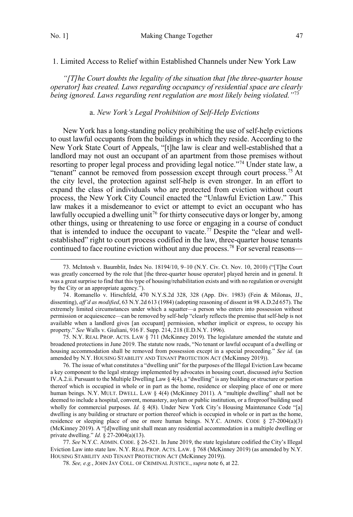<span id="page-16-0"></span>1. Limited Access to Relief within Established Channels under New York Law

*"[T]he Court doubts the legality of the situation that [the three-quarter house operator] has created. Laws regarding occupancy of residential space are clearly being ignored. Laws regarding rent regulation are most likely being violated."*<sup>73</sup>

## a. *New York's Legal Prohibition of Self-Help Evictions*

New York has a long-standing policy prohibiting the use of self-help evictions to oust lawful occupants from the buildings in which they reside. According to the New York State Court of Appeals, "[t]he law is clear and well-established that a landlord may not oust an occupant of an apartment from those premises without resorting to proper legal process and providing legal notice."<sup>74</sup> Under state law, a "tenant" cannot be removed from possession except through court process.<sup>75</sup> At the city level, the protection against self-help is even stronger. In an effort to expand the class of individuals who are protected from eviction without court process, the New York City Council enacted the "Unlawful Eviction Law." This law makes it a misdemeanor to evict or attempt to evict an occupant who has lawfully occupied a dwelling unit<sup>76</sup> for thirty consecutive days or longer by, among other things, using or threatening to use force or engaging in a course of conduct that is intended to induce the occupant to vacate.<sup>77</sup> Despite the "clear and wellestablished" right to court process codified in the law, three-quarter house tenants continued to face routine eviction without any due process.<sup>78</sup> For several reasons—

74. Romanello v. Hirschfeld, 470 N.Y.S.2d 328, 328 (App. Div. 1983) (Fein & Milonas, JJ., dissenting), *aff'd as modified*, 63 N.Y.2d 613 (1984) (adopting reasoning of dissent in 98 A.D.2d 657). The extremely limited circumstances under which a squatter—a person who enters into possession without permission or acquiescence—can be removed by self-help "clearly reflects the premise that self-help is not available when a landlord gives [an occupant] permission, whether implicit or express, to occupy his property." *See* Walls v. Giuliani, 916 F. Supp. 214, 218 (E.D.N.Y. 1996).

75. N.Y. REAL PROP. ACTS. LAW § 711 (McKinney 2019). The legislature amended the statute and broadened protections in June 2019. The statute now reads, "No tenant or lawful occupant of a dwelling or housing accommodation shall be removed from possession except in a special proceeding." *See id.* (as amended by N.Y. HOUSING STABILITY AND TENANT PROTECTION ACT (McKinney 2019)).

76. The issue of what constitutes a "dwelling unit" for the purposes of the Illegal Eviction Law became a key component to the legal strategy implemented by advocates in housing court, discussed *infra* Section IV.A.2.ii. Pursuant to the Multiple Dwelling Law § 4(4), a "dwelling" is any building or structure or portion thereof which is occupied in whole or in part as the home, residence or sleeping place of one or more human beings. N.Y. MULT. DWELL. LAW § 4(4) (McKinney 2011). A "multiple dwelling" shall not be deemed to include a hospital, convent, monastery, asylum or public institution, or a fireproof building used wholly for commercial purposes. *Id.* § 4(8). Under New York City's Housing Maintenance Code "[a] dwelling is any building or structure or portion thereof which is occupied in whole or in part as the home, residence or sleeping place of one or more human beings. N.Y.C. ADMIN. CODE § 27-2004(a)(3) (McKinney 2019). A "[d]welling unit shall mean any residential accommodation in a multiple dwelling or private dwelling." *Id.* § 27-2004(a)(13).

77. *See* N.Y.C. ADMIN. CODE. § 26-521. In June 2019, the state legislature codified the City's Illegal Eviction Law into state law. N.Y. REAL PROP. ACTS. LAW. § 768 (McKinney 2019) (as amended by N.Y. HOUSING STABILITY AND TENANT PROTECTION ACT (McKinney 2019)).

78. *See, e.g.*, JOHN JAY COLL. OF CRIMINAL JUSTICE., *supra* note 6, at 22.

 <sup>73.</sup> McIntosh v. Baumblit, Index No. 18194/10, 9–10 (N.Y. Civ. Ct. Nov. 10, 2010) ("[T]he Court was greatly concerned by the role that [the three-quarter house operator] played herein and in general. It was a great surprise to find that this type of housing/rehabilitation exists and with no regulation or oversight by the City or an appropriate agency.").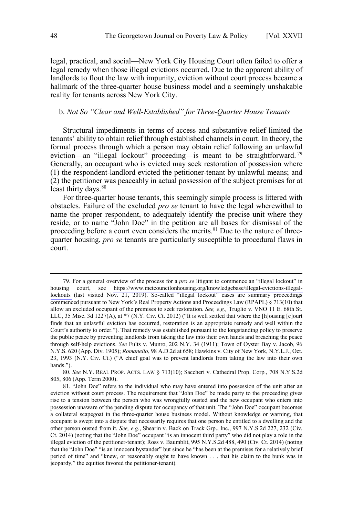legal, practical, and social—New York City Housing Court often failed to offer a legal remedy when those illegal evictions occurred. Due to the apparent ability of landlords to flout the law with impunity, eviction without court process became a hallmark of the three-quarter house business model and a seemingly unshakable reality for tenants across New York City.

## b. *Not So "Clear and Well-Established" for Three-Quarter House Tenants*

Structural impediments in terms of access and substantive relief limited the tenants' ability to obtain relief through established channels in court. In theory, the formal process through which a person may obtain relief following an unlawful eviction—an "illegal lockout" proceeding—is meant to be straightforward.<sup>79</sup> Generally, an occupant who is evicted may seek restoration of possession where (1) the respondent-landlord evicted the petitioner-tenant by unlawful means; and (2) the petitioner was peaceably in actual possession of the subject premises for at least thirty days.<sup>80</sup>

For three-quarter house tenants, this seemingly simple process is littered with obstacles. Failure of the excluded *pro se* tenant to have the legal wherewithal to name the proper respondent, to adequately identify the precise unit where they reside, or to name "John Doe" in the petition are all bases for dismissal of the proceeding before a court even considers the merits.<sup>81</sup> Due to the nature of threequarter housing, *pro se* tenants are particularly susceptible to procedural flaws in court.

80. *See* N.Y. REAL PROP. ACTS. LAW § 713(10); Saccheri v. Cathedral Prop. Corp*.*, 708 N.Y.S.2d 805, 806 (App. Term 2000).

For a general overview of the process for a *pro se* litigant to commence an "illegal lockout" in 79. housing court, see [https://www.metcouncilonhousing.org/knowledgebase/illegal-evictions-illegal](https://www.metcouncilonhousing.org/knowledgebase/illegal-evictions-illegal-lockouts/)[lockouts](https://www.metcouncilonhousing.org/knowledgebase/illegal-evictions-illegal-lockouts/) (last visited Nov. 21, 2019). So-called "illegal lockout" cases are summary proceedings commenced pursuant to New York's Real Property Actions and Proceedings Law (RPAPL) § 713(10) that allow an excluded occupant of the premises to seek restoration. *See, e.g.,* Truglio v. VNO 11 E. 68th St. LLC, 35 Misc. 3d 1227(A), at \*7 (N.Y. Civ. Ct. 2012) ("It is well settled that where the [h]ousing [c]ourt finds that an unlawful eviction has occurred, restoration is an appropriate remedy and well within the Court's authority to order."). That remedy was established pursuant to the longstanding policy to preserve the public peace by preventing landlords from taking the law into their own hands and breaching the peace through self-help evictions. *See* Fults v. Munro, 202 N.Y. 34 (1911); Town of Oyster Bay v. Jacob*,* 96 N.Y.S. 620 (App. Div. 1905); *Romanello*, 98 A.D.2d at 658; Hawkins v. City of New York, N.Y.L.J., Oct. 23, 1993 (N.Y. Civ. Ct.) ("A chief goal was to prevent landlords from taking the law into their own hands.").

<sup>81. &</sup>quot;John Doe" refers to the individual who may have entered into possession of the unit after an eviction without court process. The requirement that "John Doe" be made party to the proceeding gives rise to a tension between the person who was wrongfully ousted and the new occupant who enters into possession unaware of the pending dispute for occupancy of that unit. The "John Doe" occupant becomes a collateral scapegoat in the three-quarter house business model. Without knowledge or warning, that occupant is swept into a dispute that necessarily requires that one person be entitled to a dwelling and the other person ousted from it. *See, e.g.*, Shearin v. Back on Track Grp., Inc., 997 N.Y.S.2d 227, 232 (Civ. Ct. 2014) (noting that the "John Doe" occupant "is an innocent third party" who did not play a role in the illegal eviction of the petitioner-tenant); Ross v. Baumblit, 995 N.Y.S.2d 488, 490 (Civ. Ct. 2014) (noting that the "John Doe" "is an innocent bystander" but since he "has been at the premises for a relatively brief period of time" and "knew, or reasonably ought to have known . . . that his claim to the bunk was in jeopardy," the equities favored the petitioner-tenant).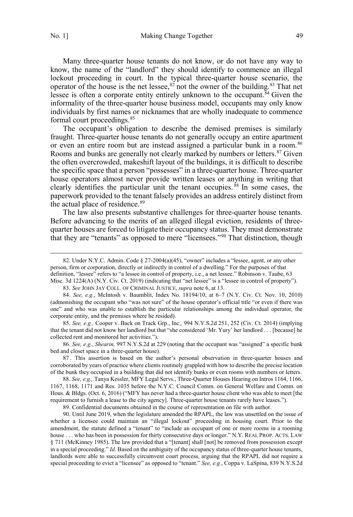Many three-quarter house tenants do not know, or do not have any way to know, the name of the "landlord" they should identify to commence an illegal lockout proceeding in court. In the typical three-quarter house scenario, the operator of the house is the net lessee,  $82$  not the owner of the building. $83$  That net lessee is often a corporate entity entirely unknown to the occupant.<sup>84</sup> Given the informality of the three-quarter house business model, occupants may only know individuals by first names or nicknames that are wholly inadequate to commence formal court proceedings.<sup>85</sup>

The occupant's obligation to describe the demised premises is similarly fraught. Three-quarter house tenants do not generally occupy an entire apartment or even an entire room but are instead assigned a particular bunk in a room.<sup>86</sup> Rooms and bunks are generally not clearly marked by numbers or letters.<sup>87</sup> Given the often overcrowded, makeshift layout of the buildings, it is difficult to describe the specific space that a person "possesses" in a three-quarter house. Three-quarter house operators almost never provide written leases or anything in writing that clearly identifies the particular unit the tenant occupies.  $88 \text{ In}$  some cases, the paperwork provided to the tenant falsely provides an address entirely distinct from the actual place of residence.<sup>89</sup>

The law also presents substantive challenges for three-quarter house tenants. Before advancing to the merits of an alleged illegal eviction, residents of threequarter houses are forced to litigate their occupancy status. They must demonstrate that they are "tenants" as opposed to mere "licensees."90 That distinction, though

85. *See, e.g.,* Cooper v. Back on Track Grp., Inc.*,* 994 N.Y.S.2d 251, 252 (Civ. Ct. 2014) (implying that the tenant did not know her landlord but that "she considered 'Mr. Yury' her landlord . . . [because] he collected rent and monitored her activities.").

86. *See, e.g.*, *Shearin,* 997 N.Y.S.2d at 229 (noting that the occupant was "assigned" a specific bunk bed and closet space in a three-quarter house).

87 . This assertion is based on the author's personal observation in three-quarter houses and corroborated by years of practice where clients routinely grappled with how to describe the precise location of the bunk they occupied in a building that did not identify bunks or even rooms with numbers or letters.

88. *See, e.g.,* Tanya Kessler, MFY Legal Servs., Three-Quarter Houses Hearing on Intros 1164, 1166, 1167, 1168, 1171 and Res. 1035 before the N.Y.C. Council Comm. on General Welfare and Comm. on Hous. & Bldgs. (Oct. 6, 2016) ("MFY has never had a three-quarter house client who was able to meet [the requirement to furnish a lease to the city agency]. Three-quarter house tenants rarely have leases.").

89. Confidential documents obtained in the course of representation on file with author.

90. Until June 2019, when the legislature amended the RPAPL, the law was unsettled on the issue of whether a licensee could maintain an "illegal lockout" proceeding in housing court. Prior to the amendment, the statute defined a "tenant" to "include an occupant of one or more rooms in a rooming house . . . who has been in possession for thirty consecutive days or longer." N.Y. REAL PROP. ACTS. LAW § 711 (McKinney 1985). The law provided that a "[tenant] shall [not] be removed from possession except in a special proceeding." *Id.* Based on the ambiguity of the occupancy status of three-quarter house tenants, landlords were able to successfully circumvent court process, arguing that the RPAPL did not require a special proceeding to evict a "licensee" as opposed to "tenant." *See, e.g.*, Coppa v. LaSpina, 839 N.Y.S.2d

 <sup>82.</sup> Under N.Y.C. Admin. Code § 27-2004(a)(45), "owner" includes a "lessee, agent, or any other person, firm or corporation, directly or indirectly in control of a dwelling." For the purposes of that definition, "lessee" refers to "a lessee in control of property, i.e., a net lessee." Robinson v. Taube, 63 Misc. 3d 1224(A) (N.Y. Civ. Ct. 2019) (indicating that "net lessee" is a "lessee in control of property").

<sup>83.</sup> *See* JOHN JAY COLL. OF CRIMINAL JUSTICE, *supra* note 6, at 13.

<sup>84.</sup> *See, e.g.*, McIntosh v. Baumblit, Index No. 18194/10, at 6–7 (N.Y. Civ. Ct. Nov. 10, 2010) (admonishing the occupant who "was not sure" of the house operator's official title "or even if there was one" and who was unable to establish the particular relationships among the individual operator, the corporate entity, and the premises where he resided).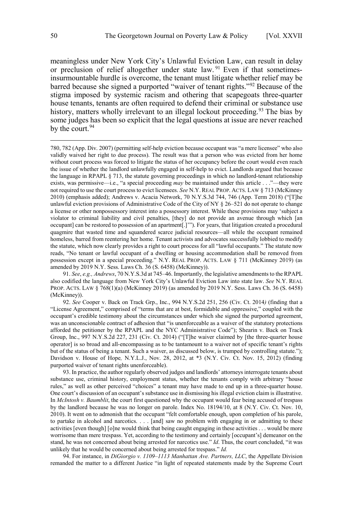meaningless under New York City's Unlawful Eviction Law, can result in delay or preclusion of relief altogether under state law. <sup>91</sup> Even if that sometimesinsurmountable hurdle is overcome, the tenant must litigate whether relief may be barred because she signed a purported "waiver of tenant rights."92 Because of the stigma imposed by systemic racism and othering that scapegoats three-quarter house tenants, tenants are often required to defend their criminal or substance use history, matters wholly irrelevant to an illegal lockout proceeding.<sup>93</sup> The bias by some judges has been so explicit that the legal questions at issue are never reached by the court.<sup>94</sup>

780, 782 (App. Div. 2007) (permitting self-help eviction because occupant was "a mere licensee" who also validly waived her right to due process). The result was that a person who was evicted from her home without court process was forced to litigate the status of her occupancy before the court would even reach the issue of whether the landlord unlawfully engaged in self-help to evict. Landlords argued that because the language in RPAPL § 713, the statute governing proceedings in which no landlord-tenant relationship exists, was permissive—i.e., "a special proceeding *may* be maintained under this article . . ."—they were not required to use the court process to evict licensees. *See* N.Y. REAL PROP. ACTS. LAW § 713 (McKinney 2010) (emphasis added); Andrews v. Acacia Network, 70 N.Y.S.3d 744, 746 (App. Term 2018) ("[T]he unlawful eviction provisions of Administrative Code of the City of NY § 26–521 do not operate to change a license or other nonpossessory interest into a possessory interest. While these provisions may 'subject a violator to criminal liability and civil penalties, [they] do not provide an avenue through which [an occupant] can be restored to possession of an apartment[.]'"). For years, that litigation created a procedural quagmire that wasted time and squandered scarce judicial resources—all while the occupant remained homeless, barred from reentering her home. Tenant activists and advocates successfully lobbied to modify the statute, which now clearly provides a right to court process for all "lawful occupants." The statute now reads, "No tenant or lawful occupant of a dwelling or housing accommodation shall be removed from possession except in a special proceeding." N.Y. REAL PROP. ACTS. LAW § 711 (McKinney 2019) (as amended by 2019 N.Y. Sess. Laws Ch. 36 (S. 6458) (McKinney)).

91. *See*, *e.g., Andrews*, 70 N.Y.S.3d at 745–46. Importantly, the legislative amendments to the RPAPL also codified the language from New York City's Unlawful Eviction Law into state law. *See* N.Y. REAL PROP. ACTS. LAW § 768(1)(a) (McKinney 2019) (as amended by 2019 N.Y. Sess. Laws Ch. 36 (S. 6458) (McKinney)).

92. *See* Cooper v. Back on Track Grp., Inc., 994 N.Y.S.2d 251, 256 (Civ. Ct. 2014*)* (finding that a "License Agreement," comprised of "terms that are at best, formidable and oppressive," coupled with the occupant's credible testimony about the circumstances under which she signed the purported agreement, was an unconscionable contract of adhesion that "is unenforceable as a waiver of the statutory protections afforded the petitioner by the RPAPL and the NYC Administrative Code"); Shearin v. Back on Track Group, Inc., 997 N.Y.S.2d 227, 231 (Civ. Ct. 2014) ("[T]he waiver claimed by [the three-quarter house operator] is so broad and all-encompassing as to be tantamount to a waiver not of specific tenant's rights but of the status of being a tenant. Such a waiver, as discussed below, is trumped by controlling statute."); Davidson v. House of Hope*,* N.Y.L.J., Nov. 28, 2012, at \*3 (N.Y. Civ. Ct. Nov. 15, 2012) (finding purported waiver of tenant rights unenforceable).

93. In practice, the author regularly observed judges and landlords' attorneys interrogate tenants about substance use, criminal history, employment status, whether the tenants comply with arbitrary "house rules," as well as other perceived "choices" a tenant may have made to end up in a three-quarter house. One court's discussion of an occupant's substance use in dismissing his illegal eviction claim is illustrative. In *McIntosh v. Baumblit*, the court first questioned why the occupant would fear being accused of trespass by the landlord because he was no longer on parole. Index No. 18194/10, at 8 (N.Y. Civ. Ct. Nov. 10, 2010). It went on to admonish that the occupant "felt comfortable enough, upon completion of his parole, to partake in alcohol and narcotics. . . . [and] saw no problem with engaging in or admitting to these activities [even though] [o]ne would think that being caught engaging in these activities . . . would be more worrisome than mere trespass. Yet, according to the testimony and certainly [occupant's] demeanor on the stand, he was not concerned about being arrested for narcotics use." *Id*. Thus, the court concluded, "it was unlikely that he would be concerned about being arrested for trespass." *Id.* 

94. For instance, in *DiGiorgio v. 1109–1113 Manhattan Ave. Partners, LLC*, the Appellate Division remanded the matter to a different Justice "in light of repeated statements made by the Supreme Court

 $\overline{a}$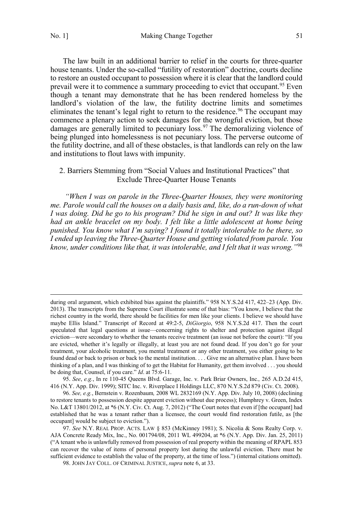$\overline{a}$ 

<span id="page-20-0"></span>The law built in an additional barrier to relief in the courts for three-quarter house tenants. Under the so-called "futility of restoration" doctrine, courts decline to restore an ousted occupant to possession where it is clear that the landlord could prevail were it to commence a summary proceeding to evict that occupant.<sup>95</sup> Even though a tenant may demonstrate that he has been rendered homeless by the landlord's violation of the law, the futility doctrine limits and sometimes eliminates the tenant's legal right to return to the residence.<sup>96</sup> The occupant may commence a plenary action to seek damages for the wrongful eviction, but those damages are generally limited to pecuniary loss.<sup>97</sup> The demoralizing violence of being plunged into homelessness is not pecuniary loss. The perverse outcome of the futility doctrine, and all of these obstacles, is that landlords can rely on the law and institutions to flout laws with impunity.

## 2. Barriers Stemming from "Social Values and Institutional Practices" that Exclude Three-Quarter House Tenants

*"When I was on parole in the Three-Quarter Houses, they were monitoring me. Parole would call the houses on a daily basis and, like, do a run-down of what I was doing. Did he go to his program? Did he sign in and out? It was like they had an ankle bracelet on my body. I felt like a little adolescent at home being punished. You know what I'm saying? I found it totally intolerable to be there, so I ended up leaving the Three-Quarter House and getting violated from parole. You know, under conditions like that, it was intolerable, and I felt that it was wrong."*<sup>98</sup>

95. *See*, *e.g.*, In re 110-45 Queens Blvd. Garage, Inc. v. Park Briar Owners, Inc.*,* 265 A.D.2d 415, 416 (N.Y. App. Div. 1999); SITC Inc. v. Riverplace I Holdings LLC, 870 N.Y.S.2d 879 (Civ. Ct. 2008).

96. *See, e.g.*, Bernstein v. Rozenbaum*,* 2008 WL 2832169 (N.Y. App. Div. July 10, 2008) (declining to restore tenants to possession despite apparent eviction without due process); Humphrey v. Green, Index No. L&T 13801/2012, at \*6 (N.Y. Civ. Ct. Aug. 7, 2012) ("The Court notes that even if [the occupant] had established that he was a tenant rather than a licensee, the court would find restoration futile, as [the occupant] would be subject to eviction.").

during oral argument, which exhibited bias against the plaintiffs." 958 N.Y.S.2d 417, 422-23 (App. Div. 2013). The transcripts from the Supreme Court illustrate some of that bias: "You know, I believe that the richest country in the world, there should be facilities for men like your clients. I believe we should have maybe Ellis Island." Transcript of Record at 49:2-5, *DiGiorgio*, 958 N.Y.S.2d 417. Then the court speculated that legal questions at issue—concerning rights to shelter and protection against illegal eviction—were secondary to whether the tenants receive treatment (an issue not before the court): "If you are evicted, whether it's legally or illegally, at least you are not found dead. If you don't go for your treatment, your alcoholic treatment, you mental treatment or any other treatment, you either going to be found dead or back to prison or back to the mental institution. . . . Give me an alternative plan. I have been thinking of a plan, and I was thinking of to get the Habitat for Humanity, get them involved . . . you should be doing that, Counsel, if you care." *Id*. at 75:6-11.

<sup>97.</sup> *See* N.Y. REAL PROP. ACTS. LAW § 853 (McKinney 1981); S. Nicolia & Sons Realty Corp. v. AJA Concrete Ready Mix, Inc., No. 001794/08, 2011 WL 499204, at \*6 (N.Y. App. Div. Jan. 25, 2011) ("A tenant who is unlawfully removed from possession of real property within the meaning of RPAPL 853 can recover the value of items of personal property lost during the unlawful eviction. There must be sufficient evidence to establish the value of the property, at the time of loss.") (internal citations omitted).

<sup>98.</sup> JOHN JAY COLL. OF CRIMINAL JUSTICE, *supra* note 6, at 33.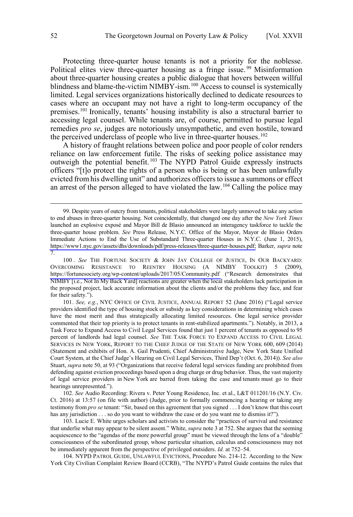Protecting three-quarter house tenants is not a priority for the noblesse. Political elites view three-quarter housing as a fringe issue.<sup>99</sup> Misinformation about three-quarter housing creates a public dialogue that hovers between willful blindness and blame-the-victim NIMBY-ism.<sup>100</sup> Access to counsel is systemically limited. Legal services organizations historically declined to dedicate resources to cases where an occupant may not have a right to long-term occupancy of the premises.101 Ironically, tenants' housing instability is also a structural barrier to accessing legal counsel. While tenants are, of course, permitted to pursue legal remedies *pro se*, judges are notoriously unsympathetic, and even hostile, toward the perceived underclass of people who live in three-quarter houses.<sup>102</sup>

A history of fraught relations between police and poor people of color renders reliance on law enforcement futile. The risks of seeking police assistance may outweigh the potential benefit. <sup>103</sup> The NYPD Patrol Guide expressly instructs officers "[t]o protect the rights of a person who is being or has been unlawfully evicted from his dwelling unit" and authorizes officers to issue a summons or effect an arrest of the person alleged to have violated the law.<sup>104</sup> Calling the police may

101. *See, e.g.*, NYC OFFICE OF CIVIL JUSTICE, ANNUAL REPORT 52 (June 2016) ("Legal service providers identified the type of housing stock or subsidy as key considerations in determining which cases have the most merit and thus strategically allocating limited resources. One legal service provider commented that their top priority is to protect tenants in rent-stabilized apartments."). Notably, in 2013, a Task Force to Expand Access to Civil Legal Services found that just 1 percent of tenants as opposed to 95 percent of landlords had legal counsel. *See* THE TASK FORCE TO EXPAND ACCESS TO CIVIL LEGAL SERVICES IN NEW YORK, REPORT TO THE CHIEF JUDGE OF THE STATE OF NEW YORK 600, 609 (2014) (Statement and exhibits of Hon. A. Gail Prudenti, Chief Administrative Judge, New York State Unified Court System, at the Chief Judge's Hearing on Civil Legal Services, Third Dep't (Oct. 6, 2014)). *See also*  Stuart, *supra* note 50, at 93 ("Organizations that receive federal legal services funding are prohibited from defending against eviction proceedings based upon a drug charge or drug behavior. Thus, the vast majority of legal service providers in New York are barred from taking the case and tenants must go to their hearings unrepresented.").

102. *See* Audio Recording: Rivera v. Peter Young Residence, Inc. et al., L&T 011201/16 (N.Y. Civ. Ct. 2016) at 13:57 (on file with author) (Judge, prior to formally commencing a hearing or taking any testimony from *pro se* tenant: "Sir, based on this agreement that you signed . . . I don't know that this court has any jurisdiction . . . so do you want to withdraw the case or do you want me to dismiss it?").

103. Lucie E. White urges scholars and activists to consider the "practices of survival and resistance that underlie what may appear to be silent assent." White, *supra* note 3 at 752. She argues that the seeming acquiescence to the "agendas of the more powerful group" must be viewed through the lens of a "double" consciousness of the subordinated group, whose particular situation, calculus and consciousness may not be immediately apparent from the perspective of privileged outsiders. *Id.* at 752–54.

104. NYPD PATROL GUIDE, UNLAWFUL EVICTIONS, Procedure No. 214-12. According to the New York City Civilian Complaint Review Board (CCRB), "The NYPD's Patrol Guide contains the rules that

Despite years of outcry from tenants, political stakeholders were largely unmoved to take any action 99. to end abuses in three-quarter housing. Not coincidentally, that changed one day after the *New York Times* launched an explosive exposé and Mayor Bill de Blasio announced an interagency taskforce to tackle the three-quarter house problem. *See* Press Release, N.Y.C. Office of the Mayor, Mayor de Blasio Orders Immediate Actions to End the Use of Substandard Three-quarter Houses in N.Y.C. (June 1, 2015), [https://www1.nyc.gov/assets/dhs/downloads/pdf/press-releases/three-quarter-houses.pdf;](https://www1.nyc.gov/assets/dhs/downloads/pdf/press-releases/three-quarter-houses.pdf) Barker, *supra* note 7.

<sup>100.</sup> See THE FORTUNE SOCIETY & JOHN JAY COLLEGE OF JUSTICE, IN OUR BACKYARD: OVERCOMING RESISTANCE TO REENTRY HOUSING (A NIMBY TOOLKIT) 5 (2009), <https://fortunesociety.org/wp-content/uploads/2017/05/Community.pdf> ("Research demonstrates that NIMBY [i.e., Not In My Back Yard] reactions are greater when the local stakeholders lack participation in the proposed project, lack accurate information about the clients and/or the problems they face, and fear for their safety.").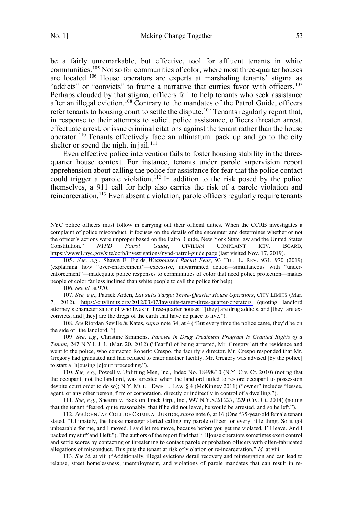$\overline{a}$ 

be a fairly unremarkable, but effective, tool for affluent tenants in white communities.<sup>105</sup> Not so for communities of color, where most three-quarter houses are located.<sup>106</sup> House operators are experts at marshaling tenants' stigma as "addicts" or "convicts" to frame a narrative that curries favor with officers.<sup>107</sup> Perhaps clouded by that stigma, officers fail to help tenants who seek assistance after an illegal eviction.<sup>108</sup> Contrary to the mandates of the Patrol Guide, officers refer tenants to housing court to settle the dispute.<sup>109</sup> Tenants regularly report that, in response to their attempts to solicit police assistance, officers threaten arrest, effectuate arrest, or issue criminal citations against the tenant rather than the house operator.<sup>110</sup> Tenants effectively face an ultimatum: pack up and go to the city shelter or spend the night in jail.<sup>111</sup>

Even effective police intervention fails to foster housing stability in the threequarter house context. For instance, tenants under parole supervision report apprehension about calling the police for assistance for fear that the police contact could trigger a parole violation.<sup>112</sup> In addition to the risk posed by the police themselves, a 911 call for help also carries the risk of a parole violation and reincarceration.<sup>113</sup> Even absent a violation, parole officers regularly require tenants

106. *See id.* at 970.

107. *See, e.g*., Patrick Arden, *Lawsuits Target Three-Quarter House Operators*, CITY LIMITS (Mar. 7, 2012), [https://citylimits.org/2012/03/07/lawsuits-target-three-quarter-operators](https://citylimits.org/2012/03/07/lawsuits-target-three-quarter-operators/) (quoting landlord attorney's characterization of who lives in three-quarter houses: "[they] are drug addicts, and [they] are exconvicts, and [they] are the dregs of the earth that have no place to live.").

108. *See* Riordan Seville & Kates, *supra* note 34, at 4 ("But every time the police came, they'd be on the side of [the landlord.]").

109. *See*, *e.g.*, Christine Simmons, *Parolee in Drug Treatment Program Is Granted Rights of a Tenant,* 247 N.Y.L.J. 1, (Mar. 20, 2012) ("Fearful of being arrested, Mr. Gregory left the residence and went to the police, who contacted Roberto Crespo, the facility's director. Mr. Crespo responded that Mr. Gregory had graduated and had refused to enter another facility. Mr. Gregory was advised [by the police] to start a [h]ousing [c]ourt proceeding.").

110. *See, e.g.,* Powell v. Uplifting Men, Inc*.*, Index No. 18498/10 (N.Y. Civ. Ct. 2010) (noting that the occupant, not the landlord, was arrested when the landlord failed to restore occupant to possession despite court order to do so); N.Y. MULT. DWELL. LAW § 4 (McKinney 2011) ("owner" includes "lessee, agent, or any other person, firm or corporation, directly or indirectly in control of a dwelling.").

111. *See*, *e.g.*, Shearin v. Back on Track Grp., Inc., 997 N.Y.S.2d 227, 229 (Civ. Ct. 2014) (noting that the tenant "feared, quite reasonably, that if he did not leave, he would be arrested, and so he left.").

112. *See* JOHN JAY COLL. OF CRIMINAL JUSTICE,*supra* note 6, at 16 (One "35-year-old female tenant stated, "Ultimately, the house manager started calling my parole officer for every little thing. So it got unbearable for me, and I moved. I said let me move, because before you get me violated, I'll leave. And I packed my stuff and I left."). The authors of the report find that "[H]ouse operators sometimes exert control and settle scores by contacting or threatening to contact parole or probation officers with often-fabricated allegations of misconduct. This puts the tenant at risk of violation or re-incarceration." *Id.* at viii.

113. *See id.* at viii ("Additionally, illegal evictions derail recovery and reintegration and can lead to relapse, street homelessness, unemployment, and violations of parole mandates that can result in re-

NYC police officers must follow in carrying out their official duties. When the CCRB investigates a complaint of police misconduct, it focuses on the details of the encounter and determines whether or not the officer's actions were improper based on the Patrol Guide, New York State law and the United States Constitution." *NYPD Patrol Guide*, CIVILIAN COMPLAINT REV. BOARD, <https://www1.nyc.gov/site/ccrb/investigations/nypd-patrol-guide.page> (last visited Nov. 17, 2019).

<sup>105</sup> . *See, e.g*., Shawn E. Fields, *Weaponized Racial Fear*, 93 TUL. L. REV. 931, 970 (2019) (explaining how "over-enforcement"—excessive, unwarranted action—simultaneous with "underenforcement"—inadequate police responses to communities of color that need police protection—makes people of color far less inclined than white people to call the police for help).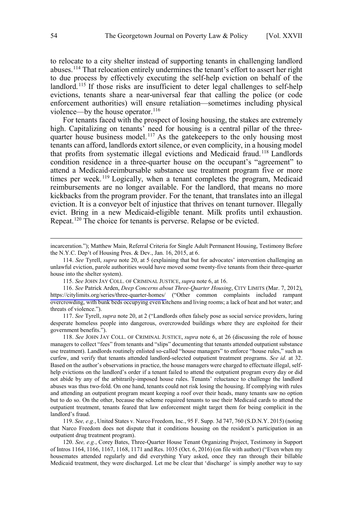to relocate to a city shelter instead of supporting tenants in challenging landlord abuses.<sup>114</sup> That relocation entirely undermines the tenant's effort to assert her right to due process by effectively executing the self-help eviction on behalf of the landlord.<sup>115</sup> If those risks are insufficient to deter legal challenges to self-help evictions, tenants share a near-universal fear that calling the police (or code enforcement authorities) will ensure retaliation—sometimes including physical violence—by the house operator. $116$ 

For tenants faced with the prospect of losing housing, the stakes are extremely high. Capitalizing on tenants<sup>3</sup> need for housing is a central pillar of the threequarter house business model.<sup>117</sup> As the gatekeepers to the only housing most tenants can afford, landlords extort silence, or even complicity, in a housing model that profits from systematic illegal evictions and Medicaid fraud.<sup>118</sup> Landlords condition residence in a three-quarter house on the occupant's "agreement" to attend a Medicaid-reimbursable substance use treatment program five or more times per week.<sup>119</sup> Logically, when a tenant completes the program, Medicaid reimbursements are no longer available. For the landlord, that means no more kickbacks from the program provider. For the tenant, that translates into an illegal eviction. It is a conveyor belt of injustice that thrives on tenant turnover. Illegally evict. Bring in a new Medicaid-eligible tenant. Milk profits until exhaustion. Repeat.<sup>120</sup> The choice for tenants is perverse. Relapse or be evicted.

118. *See* JOHN JAY COLL. OF CRIMINAL JUSTICE, *supra* note 6, at 26 (discussing the role of house managers to collect "fees" from tenants and "slips" documenting that tenants attended outpatient substance use treatment). Landlords routinely enlisted so-called "house managers" to enforce "house rules," such as curfew, and verify that tenants attended landlord-selected outpatient treatment programs. *See id.* at 32. Based on the author's observations in practice, the house managers were charged to effectuate illegal, selfhelp evictions on the landlord's order if a tenant failed to attend the outpatient program every day or did not abide by any of the arbitrarily-imposed house rules. Tenants' reluctance to challenge the landlord abuses was thus two-fold. On one hand, tenants could not risk losing the housing. If complying with rules and attending an outpatient program meant keeping a roof over their heads, many tenants saw no option but to do so. On the other, because the scheme required tenants to use their Medicaid cards to attend the outpatient treatment, tenants feared that law enforcement might target them for being complicit in the landlord's fraud.

119. *See, e.g.*, United States v. Narco Freedom, Inc., 95 F. Supp. 3d 747, 760 (S.D.N.Y. 2015) (noting that Narco Freedom does not dispute that it conditions housing on the resident's participation in an outpatient drug treatment program).

120. *See, e.g.*, Corey Bates, Three-Quarter House Tenant Organizing Project, Testimony in Support of Intros 1164, 1166, 1167, 1168, 1171 and Res. 1035 (Oct. 6, 2016) (on file with author) ("Even when my housemates attended regularly and did everything Yury asked, once they ran through their billable Medicaid treatment, they were discharged. Let me be clear that 'discharge' is simply another way to say

 $\overline{a}$ 

incarceration."); Matthew Main, Referral Criteria for Single Adult Permanent Housing, Testimony Before the N.Y.C. Dep't of Housing Pres. & Dev., Jan. 16, 2015, at 6.

<sup>114.</sup> *See* Tyrell, *supra* note 20, at 5 (explaining that but for advocates' intervention challenging an unlawful eviction, parole authorities would have moved some twenty-five tenants from their three-quarter house into the shelter system).

<sup>115.</sup> *See* JOHN JAY COLL. OF CRIMINAL JUSTICE, *supra* note 6, at 16.

*See* Patrick Arden, *Deep Concerns about Three-Quarter Housing*, CITY LIMITS (Mar. 7, 2012), 116. <https://citylimits.org/series/three-quarter-homes/> ("Other common complaints included rampant overcrowding, with bunk beds occupying even kitchens and living rooms; a lack of heat and hot water; and threats of violence.").

<sup>117.</sup> *See* Tyrell, *supra* note 20, at 2 ("Landlords often falsely pose as social service providers, luring desperate homeless people into dangerous, overcrowded buildings where they are exploited for their government benefits.").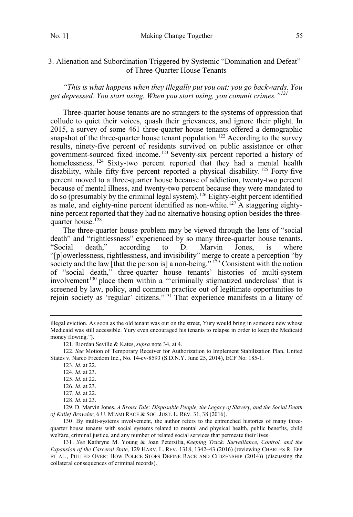## <span id="page-24-0"></span>3. Alienation and Subordination Triggered by Systemic "Domination and Defeat" of Three-Quarter House Tenants

*"This is what happens when they illegally put you out: you go backwards. You get depressed. You start using. When you start using, you commit crimes."<sup>121</sup>*

Three-quarter house tenants are no strangers to the systems of oppression that collude to quiet their voices, quash their grievances, and ignore their plight. In 2015, a survey of some 461 three-quarter house tenants offered a demographic snapshot of the three-quarter house tenant population.<sup>122</sup> According to the survey results, ninety-five percent of residents survived on public assistance or other government-sourced fixed income.123 Seventy-six percent reported a history of homelessness. <sup>124</sup> Sixty-two percent reported that they had a mental health disability, while fifty-five percent reported a physical disability.<sup>125</sup> Forty-five percent moved to a three-quarter house because of addiction, twenty-two percent because of mental illness, and twenty-two percent because they were mandated to do so (presumably by the criminal legal system).126 Eighty-eight percent identified as male, and eighty-nine percent identified as non-white.127 A staggering eightynine percent reported that they had no alternative housing option besides the threequarter house.<sup>128</sup>

The three-quarter house problem may be viewed through the lens of "social death" and "rightlessness" experienced by so many three-quarter house tenants. "Social death," according to D. Marvin Jones, is where "[p]owerlessness, rightlessness, and invisibility" merge to create a perception "by society and the law [that the person is] a non-being." <sup>129</sup> Consistent with the notion of "social death," three-quarter house tenants' histories of multi-system involvement<sup>130</sup> place them within a "'criminally stigmatized underclass' that is screened by law, policy, and common practice out of legitimate opportunities to rejoin society as 'regular' citizens."131 That experience manifests in a litany of

 $\overline{a}$ 

129. D. Marvin Jones, *A Bronx Tale: Disposable People, the Legacy of Slavery, and the Social Death of Kalief Browder*, 6 U. MIAMI RACE & SOC. JUST. L. REV. 31, 38 (2016).

130. By multi-systems involvement, the author refers to the entrenched histories of many threequarter house tenants with social systems related to mental and physical health, public benefits, child welfare, criminal justice, and any number of related social services that permeate their lives.

131. *See* Kathryne M. Young & Joan Petersilia, *Keeping Track: Surveillance, Control, and the Expansion of the Carceral State,* 129 HARV. L. REV. 1318, 1342–43 (2016) (reviewing CHARLES R. EPP ET AL., PULLED OVER: HOW POLICE STOPS DEFINE RACE AND CITIZENSHIP (2014)) (discussing the collateral consequences of criminal records).

illegal eviction. As soon as the old tenant was out on the street, Yury would bring in someone new whose Medicaid was still accessible. Yury even encouraged his tenants to relapse in order to keep the Medicaid money flowing.").

<sup>121.</sup> Riordan Seville & Kates, *supra* note 34, at 4.

<sup>122.</sup> *See* Motion of Temporary Receiver for Authorization to Implement Stabilization Plan, United States v. Narco Freedom Inc., No. 14-cv-8593 (S.D.N.Y. June 25, 2014), ECF No. 185-1.

<sup>123.</sup> *Id.* at 22.

<sup>124.</sup> *Id.* at 23.

<sup>125.</sup> *Id.* at 22.

<sup>126.</sup> *Id.* at 23.

<sup>127.</sup> *Id.* at 22.

<sup>128.</sup> *Id.* at 23.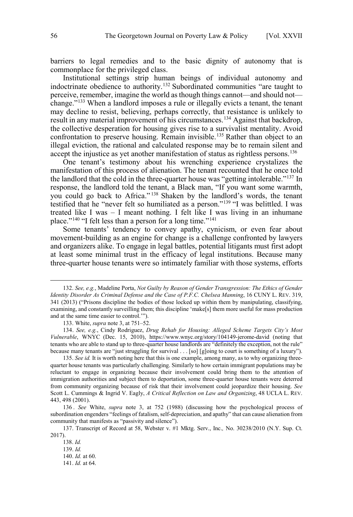barriers to legal remedies and to the basic dignity of autonomy that is commonplace for the privileged class.

Institutional settings strip human beings of individual autonomy and indoctrinate obedience to authority.<sup>132</sup> Subordinated communities "are taught to perceive, remember, imagine the world as though things cannot—and should not change."133 When a landlord imposes a rule or illegally evicts a tenant, the tenant may decline to resist, believing, perhaps correctly, that resistance is unlikely to result in any material improvement of his circumstances.<sup>134</sup> Against that backdrop, the collective desperation for housing gives rise to a survivalist mentality. Avoid confrontation to preserve housing. Remain invisible.<sup>135</sup> Rather than object to an illegal eviction, the rational and calculated response may be to remain silent and accept the injustice as yet another manifestation of status as rightless persons.<sup>136</sup>

One tenant's testimony about his wrenching experience crystalizes the manifestation of this process of alienation. The tenant recounted that he once told the landlord that the cold in the three-quarter house was "getting intolerable."<sup>137</sup> In response, the landlord told the tenant, a Black man, "If you want some warmth, you could go back to Africa." <sup>138</sup> Shaken by the landlord's words, the tenant testified that he "never felt so humiliated as a person."139 "I was belittled. I was treated like I was – I meant nothing. I felt like I was living in an inhumane place."<sup>140</sup> "I felt less than a person for a long time."<sup>141</sup>

Some tenants' tendency to convey apathy, cynicism, or even fear about movement-building as an engine for change is a challenge confronted by lawyers and organizers alike. To engage in legal battles, potential litigants must first adopt at least some minimal trust in the efficacy of legal institutions. Because many three-quarter house tenants were so intimately familiar with those systems, efforts

134. See, e.g., Cindy Rodriguez, *Drug Rehab for Housing: Alleged Scheme Targets City's Most Vulnerable*, WNYC (Dec. 15, 2010), <https://www.wnyc.org/story/104149-jerome-david> (noting that tenants who are able to stand up to three-quarter house landlords are "definitely the exception, not the rule" because many tenants are "just struggling for survival . . . [so] [g]oing to court is something of a luxury").

135. *See id.* It is worth noting here that this is one example, among many, as to why organizing threequarter house tenants was particularly challenging. Similarly to how certain immigrant populations may be reluctant to engage in organizing because their involvement could bring them to the attention of immigration authorities and subject them to deportation, some three-quarter house tenants were deterred from community organizing because of risk that their involvement could jeopardize their housing. *See*  Scott L. Cummings & Ingrid V. Eagly, *A Critical Reflection on Law and Organizing*, 48 UCLA L. REV. 443, 498 (2001).

136 . *See* White, *supra* note 3, at 752 (1988) (discussing how the psychological process of subordination engenders "feelings of fatalism, self-depreciation, and apathy" that can cause alienation from community that manifests as "passivity and silence").

137. Transcript of Record at 58, Webster v. #1 Mktg. Serv., Inc.*,* No. 30238/2010 (N.Y. Sup. Ct. 2017).

138. *Id.* 139. *Id.*  140. *Id.* at 60. 141. *Id.* at 64.

 <sup>132.</sup> *See, e.g.*, Madeline Porta, *Not Guilty by Reason of Gender Transgression: The Ethics of Gender Identity Disorder As Criminal Defense and the Case of P.F.C. Chelsea Manning*, 16 CUNY L. REV. 319, 341 (2013) ("Prisons discipline the bodies of those locked up within them by manipulating, classifying, examining, and constantly surveilling them; this discipline 'make[s] them more useful for mass production and at the same time easier to control.'").

<sup>133.</sup> White, *supra* note 3, at 751–52.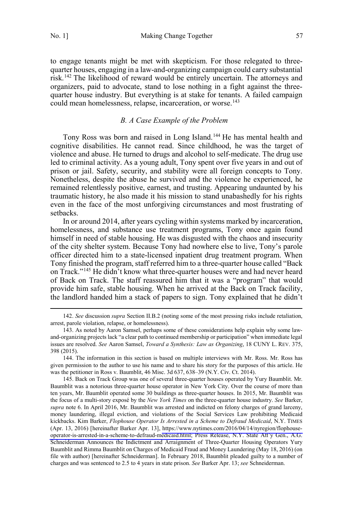<span id="page-26-0"></span>to engage tenants might be met with skepticism. For those relegated to threequarter houses, engaging in a law-and-organizing campaign could carry substantial risk.142 The likelihood of reward would be entirely uncertain. The attorneys and organizers, paid to advocate, stand to lose nothing in a fight against the threequarter house industry. But everything is at stake for tenants. A failed campaign could mean homelessness, relapse, incarceration, or worse.<sup>143</sup>

## *B. A Case Example of the Problem*

Tony Ross was born and raised in Long Island.144 He has mental health and cognitive disabilities. He cannot read. Since childhood, he was the target of violence and abuse. He turned to drugs and alcohol to self-medicate. The drug use led to criminal activity. As a young adult, Tony spent over five years in and out of prison or jail. Safety, security, and stability were all foreign concepts to Tony. Nonetheless, despite the abuse he survived and the violence he experienced, he remained relentlessly positive, earnest, and trusting. Appearing undaunted by his traumatic history, he also made it his mission to stand unabashedly for his rights even in the face of the most unforgiving circumstances and most frustrating of setbacks.

In or around 2014, after years cycling within systems marked by incarceration, homelessness, and substance use treatment programs, Tony once again found himself in need of stable housing. He was disgusted with the chaos and insecurity of the city shelter system. Because Tony had nowhere else to live, Tony's parole officer directed him to a state-licensed inpatient drug treatment program. When Tony finished the program, staff referred him to a three-quarter house called "Back on Track."145 He didn't know what three-quarter houses were and had never heard of Back on Track. The staff reassured him that it was a "program" that would provide him safe, stable housing. When he arrived at the Back on Track facility, the landlord handed him a stack of papers to sign. Tony explained that he didn't

 <sup>142.</sup> *See* discussion *supra* Section II.B.2 (noting some of the most pressing risks include retaliation, arrest, parole violation, relapse, or homelessness).

<sup>143.</sup> As noted by Aaron Samsel, perhaps some of these considerations help explain why some lawand-organizing projects lack "a clear path to continued membership or participation" when immediate legal issues are resolved. *See* Aaron Samsel, *Toward a Synthesis: Law as Organizing*, 18 CUNY L. REV. 375, 398 (2015).

<sup>144.</sup> The information in this section is based on multiple interviews with Mr. Ross. Mr. Ross has given permission to the author to use his name and to share his story for the purposes of this article. He was the petitioner in Ross v. Baumblit, 46 Misc. 3d 637, 638–39 (N.Y. Civ. Ct. 2014).

<sup>145.</sup> Back on Track Group was one of several three-quarter houses operated by Yury Baumblit. Mr. Baumblit was a notorious three-quarter house operator in New York City. Over the course of more than ten years, Mr. Baumblit operated some 30 buildings as three-quarter houses. In 2015, Mr. Baumblit was the focus of a multi-story exposé by the *New York Times* on the three-quarter house industry. *See* Barker, *supra* note 6. In April 2016, Mr. Baumblit was arrested and indicted on felony charges of grand larceny, money laundering, illegal eviction, and violations of the Social Services Law prohibiting Medicaid kickbacks. Kim Barker, *Flophouse Operator Is Arrested in a Scheme to Defraud Medicaid*, N.Y. TIMES (Apr. 13, 2016) [hereinafter Barker Apr. 13], [https://www.nytimes.com/2016/04/14/nyregion/flophouse](https://www.nytimes.com/2016/04/14/nyregion/flophouse-operator-is-arrested-in-a-scheme-to-defraud-medicaid.html)[operator-is-arrested-in-a-scheme-to-defraud-medicaid.html;](https://www.nytimes.com/2016/04/14/nyregion/flophouse-operator-is-arrested-in-a-scheme-to-defraud-medicaid.html) Press Release, N.Y. State Att'y Gen., A.G. Schneiderman Announces the Indictment and Arraignment of Three-Quarter Housing Operators Yury Baumblit and Rimma Baumblit on Charges of Medicaid Fraud and Money Laundering (May 18, 2016) (on file with author) [hereinafter Schneiderman]. In February 2018, Baumblit pleaded guilty to a number of charges and was sentenced to 2.5 to 4 years in state prison. *See* Barker Apr. 13; *see* Schneiderman.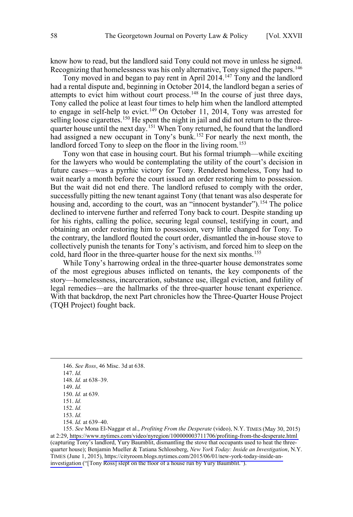know how to read, but the landlord said Tony could not move in unless he signed. Recognizing that homelessness was his only alternative, Tony signed the papers.<sup>146</sup>

Tony moved in and began to pay rent in April 2014.<sup>147</sup> Tony and the landlord had a rental dispute and, beginning in October 2014, the landlord began a series of attempts to evict him without court process.<sup>148</sup> In the course of just three days, Tony called the police at least four times to help him when the landlord attempted to engage in self-help to evict.<sup>149</sup> On October 11, 2014, Tony was arrested for selling loose cigarettes.<sup>150</sup> He spent the night in jail and did not return to the threequarter house until the next day.<sup>151</sup> When Tony returned, he found that the landlord had assigned a new occupant in Tony's bunk.<sup>152</sup> For nearly the next month, the landlord forced Tony to sleep on the floor in the living room.<sup>153</sup>

Tony won that case in housing court. But his formal triumph—while exciting for the lawyers who would be contemplating the utility of the court's decision in future cases—was a pyrrhic victory for Tony. Rendered homeless, Tony had to wait nearly a month before the court issued an order restoring him to possession. But the wait did not end there. The landlord refused to comply with the order, successfully pitting the new tenant against Tony (that tenant was also desperate for housing and, according to the court, was an "innocent bystander").<sup>154</sup> The police declined to intervene further and referred Tony back to court. Despite standing up for his rights, calling the police, securing legal counsel, testifying in court, and obtaining an order restoring him to possession, very little changed for Tony. To the contrary, the landlord flouted the court order, dismantled the in-house stove to collectively punish the tenants for Tony's activism, and forced him to sleep on the cold, hard floor in the three-quarter house for the next six months.<sup>155</sup>

While Tony's harrowing ordeal in the three-quarter house demonstrates some of the most egregious abuses inflicted on tenants, the key components of the story—homelessness, incarceration, substance use, illegal eviction, and futility of legal remedies—are the hallmarks of the three-quarter house tenant experience. With that backdrop, the next Part chronicles how the Three-Quarter House Project (TQH Project) fought back.

*See* Mona El-Naggar et al., *Profiting From the Desperate* (video), N.Y. TIMES (May 30, 2015) 155. at 2:29,<https://www.nytimes.com/video/nyregion/100000003711706/profiting-from-the-desperate.html> (capturing Tony's landlord, Yury Baumblit, dismantling the stove that occupants used to heat the threequarter house); Benjamin Mueller & Tatiana Schlossberg, *New York Today: Inside an Investigation*, N.Y. TIMES (June 1, 2015), [https://cityroom.blogs.nytimes.com/2015/06/01/new-york-today-inside-an](https://cityroom.blogs.nytimes.com/2015/06/01/new-york-today-inside-an-investigation)[investigation](https://cityroom.blogs.nytimes.com/2015/06/01/new-york-today-inside-an-investigation) ("[Tony Ross] slept on the floor of a house run by Yury Baumblit.").

 <sup>146.</sup> *See Ross*, 46 Misc. 3d at 638.

<sup>147.</sup> *Id.* 

<sup>148.</sup> *Id.* at 638–39.

<sup>149.</sup> *Id.*

<sup>150.</sup> *Id.* at 639.

<sup>151.</sup> *Id.* 

<sup>152.</sup> *Id.* 

<sup>153.</sup> *Id.*

<sup>154.</sup> *Id.* at 639–40.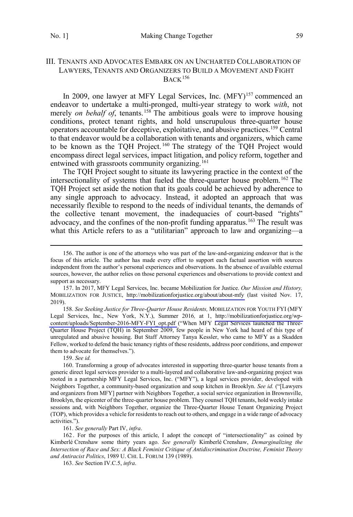## <span id="page-28-0"></span>III. TENANTS AND ADVOCATES EMBARK ON AN UNCHARTED COLLABORATION OF LAWYERS, TENANTS AND ORGANIZERS TO BUILD A MOVEMENT AND FIGHT  $BACK$ <sup>156</sup>

In 2009, one lawyer at MFY Legal Services, Inc. (MFY)<sup>157</sup> commenced an endeavor to undertake a multi-pronged, multi-year strategy to work *with*, not merely *on behalf of*, tenants.<sup>158</sup> The ambitious goals were to improve housing conditions, protect tenant rights, and hold unscrupulous three-quarter house operators accountable for deceptive, exploitative, and abusive practices.159 Central to that endeavor would be a collaboration with tenants and organizers, which came to be known as the TQH Project. <sup>160</sup> The strategy of the TQH Project would encompass direct legal services, impact litigation, and policy reform, together and entwined with grassroots community organizing.<sup>161</sup>

The TQH Project sought to situate its lawyering practice in the context of the intersectionality of systems that fueled the three-quarter house problem.<sup>162</sup> The TQH Project set aside the notion that its goals could be achieved by adherence to any single approach to advocacy. Instead, it adopted an approach that was necessarily flexible to respond to the needs of individual tenants, the demands of the collective tenant movement, the inadequacies of court-based "rights" advocacy, and the confines of the non-profit funding apparatus.<sup>163</sup> The result was what this Article refers to as a "utilitarian" approach to law and organizing—a

158. See Seeking Justice for Three-Quarter House Residents, MOBILIZATION FOR YOUTH FYI (MFY Legal Services, Inc., New York, N.Y.), Summer 2016*,* at 1, [http://mobilizationforjustice.org/wp](http://mobilizationforjustice.org/wp-content/uploads/September-2016-MFY-FYI_opt.pdf)[content/uploads/September-2016-MFY-FYI\\_opt.pdf](http://mobilizationforjustice.org/wp-content/uploads/September-2016-MFY-FYI_opt.pdf) ("When MFY Legal Services launched the Three-Quarter House Project (TQH) in September 2009, few people in New York had heard of this type of unregulated and abusive housing. But Staff Attorney Tanya Kessler, who came to MFY as a Skadden Fellow, worked to defend the basic tenancy rights of these residents, address poor conditions, and empower them to advocate for themselves.").

159. *See id.*

160. Transforming a group of advocates interested in supporting three-quarter house tenants from a generic direct legal services provider to a multi-layered and collaborative law-and-organizing project was rooted in a partnership MFY Legal Services, Inc. ("MFY"), a legal services provider, developed with Neighbors Together, a community-based organization and soup kitchen in Brooklyn. *See id.* ("[Lawyers and organizers from MFY] partner with Neighbors Together, a social service organization in Brownsville, Brooklyn, the epicenter of the three-quarter house problem. They counsel TQH tenants, hold weekly intake sessions and, with Neighbors Together, organize the Three-Quarter House Tenant Organizing Project (TOP), which provides a vehicle for residents to reach out to others, and engage in a wide range of advocacy activities.").

161. *See generally* Part IV, *infra*.

162 . For the purposes of this article, I adopt the concept of "intersectionality" as coined by Kimberlé Crenshaw some thirty years ago. *See generally* Kimberlé Crenshaw, *Demarginalizing the Intersection of Race and Sex: A Black Feminist Critique of Antidiscrimination Doctrine, Feminist Theory and Antiracist Politics*, 1989 U. CHI. L. FORUM 139 (1989).

163. *See* Section IV.C.5, *infra*.

 <sup>156.</sup> The author is one of the attorneys who was part of the law-and-organizing endeavor that is the focus of this article. The author has made every effort to support each factual assertion with sources independent from the author's personal experiences and observations. In the absence of available external sources, however, the author relies on those personal experiences and observations to provide context and support as necessary.

<sup>157.</sup> In 2017, MFY Legal Services, Inc. became Mobilization for Justice. Our Mission and History, MOBILIZATION FOR JUSTICE, [http://mobilizationforjustice.org/about/about-mfy](http://mobilizationforjustice.org/about/about-mfy/) (last visited Nov. 17, 2019).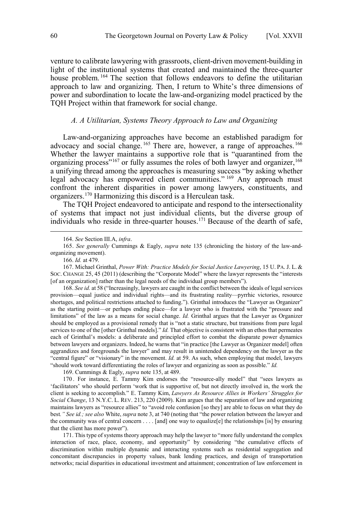<span id="page-29-0"></span>venture to calibrate lawyering with grassroots, client-driven movement-building in light of the institutional systems that created and maintained the three-quarter house problem. <sup>164</sup> The section that follows endeavors to define the utilitarian approach to law and organizing. Then, I return to White's three dimensions of power and subordination to locate the law-and-organizing model practiced by the TQH Project within that framework for social change.

## *A. A Utilitarian, Systems Theory Approach to Law and Organizing*

Law-and-organizing approaches have become an established paradigm for advocacy and social change.<sup>165</sup> There are, however, a range of approaches.<sup>166</sup> Whether the lawyer maintains a supportive role that is "quarantined from the organizing process"<sup>167</sup> or fully assumes the roles of both lawyer and organizer,<sup>168</sup> a unifying thread among the approaches is measuring success "by asking whether legal advocacy has empowered client communities." <sup>169</sup> Any approach must confront the inherent disparities in power among lawyers, constituents, and organizers.170 Harmonizing this discord is a Herculean task.

The TQH Project endeavored to anticipate and respond to the intersectionality of systems that impact not just individual clients, but the diverse group of individuals who reside in three-quarter houses.171 Because of the dearth of safe,

168. *See id.* at 58 ("Increasingly, lawyers are caught in the conflict between the ideals of legal services provision—equal justice and individual rights—and its frustrating reality—pyrrhic victories, resource shortages, and political restrictions attached to funding."). Grinthal introduces the "Lawyer as Organizer" as the starting point—or perhaps ending place—for a lawyer who is frustrated with the "pressure and limitations" of the law as a means for social change. *Id.* Grinthal argues that the Lawyer as Organizer should be employed as a provisional remedy that is "not a static structure, but transitions from pure legal services to one of the [other Grinthal models]." *Id.* That objective is consistent with an ethos that permeates each of Grinthal's models: a deliberate and principled effort to combat the disparate power dynamics between lawyers and organizers. Indeed, he warns that "in practice [the Lawyer as Organizer model] often aggrandizes and foregrounds the lawyer" and may result in unintended dependency on the lawyer as the "central figure" or "visionary" in the movement. *Id.* at 59. As such, when employing that model, lawyers "should work toward differentiating the roles of lawyer and organizing as soon as possible." *Id.*

169. Cummings & Eagly, *supra* note 135, at 489.

170 . For instance, E. Tammy Kim endorses the "resource-ally model" that "sees lawyers as 'facilitators' who should perform 'work that is supportive of, but not directly involved in, the work the client is seeking to accomplish." E. Tammy Kim, *Lawyers As Resource Allies in Workers' Struggles for Social Change*, 13 N.Y.C. L. REV. 213, 220 (2009). Kim argues that the separation of law and organizing maintains lawyers as "resource allies" to "avoid role confusion [so they] are able to focus on what they do best*." See id.; see also* White, *supra* note 3, at 740 (noting that "the power relation between the lawyer and the community was of central concern . . . . [and] one way to equalize[e] the relationships [is] by ensuring that the client has more power").

171. This type of systems theory approach may help the lawyer to "more fully understand the complex interaction of race, place, economy, and opportunity" by considering "the cumulative effects of discrimination within multiple dynamic and interacting systems such as residential segregation and concomitant discrepancies in property values, bank lending practices, and design of transportation networks; racial disparities in educational investment and attainment; concentration of law enforcement in

 <sup>164.</sup> *See* Section III.A, *infra*.

<sup>165.</sup> *See generally* Cummings & Eagly, *supra* note 135 (chronicling the history of the law-andorganizing movement).

<sup>166.</sup> *Id.* at 479.

<sup>167.</sup> Michael Grinthal, *Power With: Practice Models for Social Justice Lawyering*, 15 U. PA. J. L. & SOC. CHANGE 25, 45 (2011) (describing the "Corporate Model" where the lawyer represents the "interests [of an organization] rather than the legal needs of the individual group members").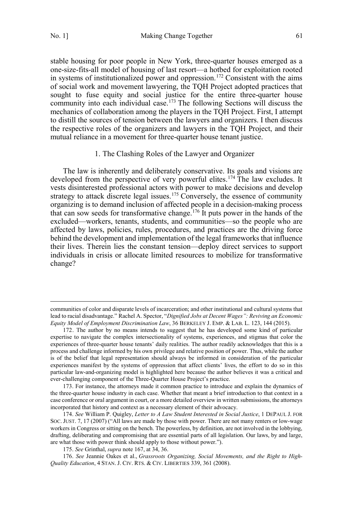$\overline{a}$ 

<span id="page-30-0"></span>stable housing for poor people in New York, three-quarter houses emerged as a one-size-fits-all model of housing of last resort—a hotbed for exploitation rooted in systems of institutionalized power and oppression.<sup>172</sup> Consistent with the aims of social work and movement lawyering, the TQH Project adopted practices that sought to fuse equity and social justice for the entire three-quarter house community into each individual case.<sup>173</sup> The following Sections will discuss the mechanics of collaboration among the players in the TQH Project. First, I attempt to distill the sources of tension between the lawyers and organizers. I then discuss the respective roles of the organizers and lawyers in the TQH Project, and their mutual reliance in a movement for three-quarter house tenant justice.

## 1. The Clashing Roles of the Lawyer and Organizer

The law is inherently and deliberately conservative. Its goals and visions are developed from the perspective of very powerful elites.<sup>174</sup> The law excludes. It vests disinterested professional actors with power to make decisions and develop strategy to attack discrete legal issues.<sup>175</sup> Conversely, the essence of community organizing is to demand inclusion of affected people in a decision-making process that can sow seeds for transformative change.176 It puts power in the hands of the excluded—workers, tenants, students, and communities—so the people who are affected by laws, policies, rules, procedures, and practices are the driving force behind the development and implementation of the legal frameworks that influence their lives. Therein lies the constant tension—deploy direct services to support individuals in crisis or allocate limited resources to mobilize for transformative change?

communities of color and disparate levels of incarceration; and other institutional and cultural systems that lead to racial disadvantage." Rachel A. Spector, "*Dignified Jobs at Decent Wages": Reviving an Economic Equity Model of Employment Discrimination Law*, 36 BERKELEY J. EMP. & LAB. L. 123, 144 (2015).

<sup>172.</sup> The author by no means intends to suggest that he has developed some kind of particular expertise to navigate the complex intersectionality of systems, experiences, and stigmas that color the experiences of three-quarter house tenants' daily realities. The author readily acknowledges that this is a process and challenge informed by his own privilege and relative position of power. Thus, while the author is of the belief that legal representation should always be informed in consideration of the particular experiences manifest by the systems of oppression that affect clients' lives, the effort to do so in this particular law-and-organizing model is highlighted here because the author believes it was a critical and ever-challenging component of the Three-Quarter House Project's practice.

<sup>173.</sup> For instance, the attorneys made it common practice to introduce and explain the dynamics of the three-quarter house industry in each case. Whether that meant a brief introduction to that context in a case conference or oral argument in court, or a more detailed overview in written submissions, the attorneys incorporated that history and context as a necessary element of their advocacy.

<sup>174.</sup> *See* William P. Quigley, *Letter to A Law Student Interested in Social Justice*, 1 DEPAUL J. FOR SOC. JUST. 7, 17 (2007) ("All laws are made by those with power. There are not many renters or low-wage workers in Congress or sitting on the bench. The powerless, by definition, are not involved in the lobbying, drafting, deliberating and compromising that are essential parts of all legislation. Our laws, by and large, are what those with power think should apply to those without power.").

<sup>175.</sup> *See* Grinthal, *supra* note 167, at 34, 36.

<sup>176.</sup> *See* Jeannie Oakes et al., *Grassroots Organizing, Social Movements, and the Right to High-Quality Education*, 4 STAN. J. CIV. RTS. & CIV. LIBERTIES 339, 361 (2008).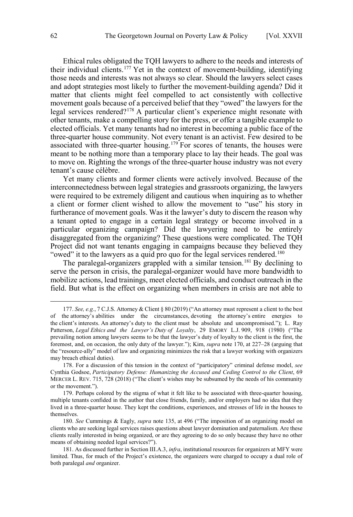Ethical rules obligated the TQH lawyers to adhere to the needs and interests of their individual clients.<sup>177</sup> Yet in the context of movement-building, identifying those needs and interests was not always so clear. Should the lawyers select cases and adopt strategies most likely to further the movement-building agenda? Did it matter that clients might feel compelled to act consistently with collective movement goals because of a perceived belief that they "owed" the lawyers for the legal services rendered?<sup>178</sup> A particular client's experience might resonate with other tenants, make a compelling story for the press, or offer a tangible example to elected officials. Yet many tenants had no interest in becoming a public face of the three-quarter house community. Not every tenant is an activist. Few desired to be associated with three-quarter housing.<sup>179</sup> For scores of tenants, the houses were meant to be nothing more than a temporary place to lay their heads. The goal was to move on. Righting the wrongs of the three-quarter house industry was not every tenant's cause célèbre.

Yet many clients and former clients were actively involved. Because of the interconnectedness between legal strategies and grassroots organizing, the lawyers were required to be extremely diligent and cautious when inquiring as to whether a client or former client wished to allow the movement to "use" his story in furtherance of movement goals. Was it the lawyer's duty to discern the reason why a tenant opted to engage in a certain legal strategy or become involved in a particular organizing campaign? Did the lawyering need to be entirely disaggregated from the organizing? These questions were complicated. The TQH Project did not want tenants engaging in campaigns because they believed they "owed" it to the lawyers as a quid pro quo for the legal services rendered.<sup>180</sup>

The paralegal-organizers grappled with a similar tension.<sup>181</sup> By declining to serve the person in crisis, the paralegal-organizer would have more bandwidth to mobilize actions, lead trainings, meet elected officials, and conduct outreach in the field. But what is the effect on organizing when members in crisis are not able to

179. Perhaps colored by the stigma of what it felt like to be associated with three-quarter housing, multiple tenants confided in the author that close friends, family, and/or employers had no idea that they lived in a three-quarter house. They kept the conditions, experiences, and stresses of life in the houses to themselves.

180. *See* Cummings & Eagly, *supra* note 135, at 496 ("The imposition of an organizing model on clients who are seeking legal services raises questions about lawyer domination and paternalism. Are these clients really interested in being organized, or are they agreeing to do so only because they have no other means of obtaining needed legal services?").

181. As discussed further in Section III.A.3, *infra*, institutional resources for organizers at MFY were limited. Thus, for much of the Project's existence, the organizers were charged to occupy a dual role of both paralegal *and* organizer.

 <sup>177.</sup> *See, e.g.*, 7 C.J.S. Attorney & Client § 80 (2019) ("An attorney must represent a client to the best of the attorney's abilities under the circumstances, devoting the attorney's entire energies to the client's interests. An attorney's duty to the client must be absolute and uncompromised."); L. Ray Patterson, *Legal Ethics and the Lawyer's Duty of Loyalty*, 29 EMORY L.J. 909, 918 (1980) ("The prevailing notion among lawyers seems to be that the lawyer's duty of loyalty to the client is the first, the foremost, and, on occasion, the only duty of the lawyer."); Kim, *supra* note 170, at 227–28 (arguing that the "resource-ally" model of law and organizing minimizes the risk that a lawyer working with organizers may breach ethical duties).

<sup>178.</sup> For a discussion of this tension in the context of "participatory" criminal defense model, *see* Cynthia Godsoe, *Participatory Defense: Humanizing the Accused and Ceding Control to the Client*, 69 MERCER L. REV. 715, 728 (2018) ("The client's wishes may be subsumed by the needs of his community or the movement.").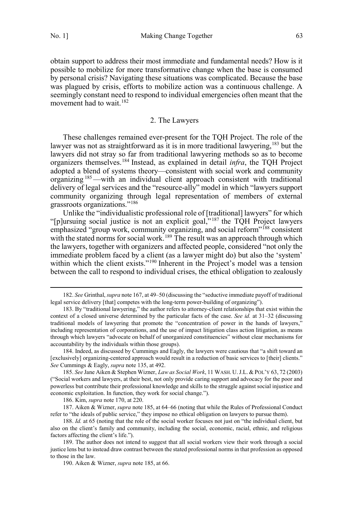<span id="page-32-0"></span>obtain support to address their most immediate and fundamental needs? How is it possible to mobilize for more transformative change when the base is consumed by personal crisis? Navigating these situations was complicated. Because the base was plagued by crisis, efforts to mobilize action was a continuous challenge. A seemingly constant need to respond to individual emergencies often meant that the movement had to wait.<sup>182</sup>

#### 2. The Lawyers

These challenges remained ever-present for the TQH Project. The role of the lawyer was not as straightforward as it is in more traditional lawyering,<sup>183</sup> but the lawyers did not stray so far from traditional lawyering methods so as to become organizers themselves.184 Instead, as explained in detail *infra*, the TQH Project adopted a blend of systems theory—consistent with social work and community organizing 185—with an individual client approach consistent with traditional delivery of legal services and the "resource-ally" model in which "lawyers support community organizing through legal representation of members of external grassroots organizations."186

Unlike the "individualistic professional role of [traditional] lawyers" for which "[p]ursuing social justice is not an explicit goal," <sup>187</sup> the TQH Project lawyers emphasized "group work, community organizing, and social reform"<sup>188</sup> consistent with the stated norms for social work.<sup>189</sup> The result was an approach through which the lawyers, together with organizers and affected people, considered "not only the immediate problem faced by a client (as a lawyer might do) but also the 'system' within which the client exists."<sup>190</sup> Inherent in the Project's model was a tension between the call to respond to individual crises, the ethical obligation to zealously

 <sup>182.</sup> *See* Grinthal, *supra* note 167, at 49–50 (discussing the "seductive immediate payoff of traditional legal service delivery [that] competes with the long-term power-building of organizing").

<sup>183.</sup> By "traditional lawyering," the author refers to attorney-client relationships that exist within the context of a closed universe determined by the particular facts of the case. *See id.* at 31–32 (discussing traditional models of lawyering that promote the "concentration of power in the hands of lawyers," including representation of corporations, and the use of impact litigation class action litigation, as means through which lawyers "advocate on behalf of unorganized constituencies" without clear mechanisms for accountability by the individuals within those groups).

<sup>184.</sup> Indeed, as discussed by Cummings and Eagly, the lawyers were cautious that "a shift toward an [exclusively] organizing-centered approach would result in a reduction of basic services to [their] clients." *See* Cummings & Eagly, *supra* note 135, at 492.

<sup>185.</sup> *See* Jane Aiken & Stephen Wizner, *Law as Social Work*, 11 WASH. U.J.L. &POL'Y 63, 72 (2003) ("Social workers and lawyers, at their best, not only provide caring support and advocacy for the poor and powerless but contribute their professional knowledge and skills to the struggle against social injustice and economic exploitation. In function, they work for social change.").

<sup>186.</sup> Kim, *supra* note 170, at 220.

<sup>187.</sup> Aiken & Wizner, *supra* note 185, at 64–66 (noting that while the Rules of Professional Conduct refer to "the ideals of public service," they impose no ethical obligation on lawyers to pursue them).

<sup>188.</sup> *Id.* at 65 (noting that the role of the social worker focuses not just on "the individual client, but also on the client's family and community, including the social, economic, racial, ethnic, and religious factors affecting the client's life.").

<sup>189.</sup> The author does not intend to suggest that all social workers view their work through a social justice lens but to instead draw contrast between the stated professional norms in that profession as opposed to those in the law.

<sup>190.</sup> Aiken & Wizner, *supra* note 185, at 66.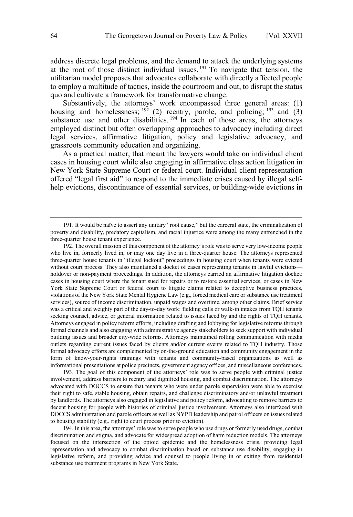address discrete legal problems, and the demand to attack the underlying systems at the root of those distinct individual issues.<sup>191</sup> To navigate that tension, the utilitarian model proposes that advocates collaborate with directly affected people to employ a multitude of tactics, inside the courtroom and out, to disrupt the status quo and cultivate a framework for transformative change.

Substantively, the attorneys' work encompassed three general areas: (1) housing and homelessness;  $192$  (2) reentry, parole, and policing;  $193$  and (3) substance use and other disabilities.  $194 \text{ In each of those areas, the attempts}$ employed distinct but often overlapping approaches to advocacy including direct legal services, affirmative litigation, policy and legislative advocacy, and grassroots community education and organizing.

As a practical matter, that meant the lawyers would take on individual client cases in housing court while also engaging in affirmative class action litigation in New York State Supreme Court or federal court. Individual client representation offered "legal first aid" to respond to the immediate crises caused by illegal selfhelp evictions, discontinuance of essential services, or building-wide evictions in

192. The overall mission of this component of the attorney's role was to serve very low-income people who live in, formerly lived in, or may one day live in a three-quarter house. The attorneys represented three-quarter house tenants in "illegal lockout" proceedings in housing court when tenants were evicted without court process. They also maintained a docket of cases representing tenants in lawful evictions holdover or non-payment proceedings. In addition, the attorneys carried an affirmative litigation docket: cases in housing court where the tenant sued for repairs or to restore essential services, or cases in New York State Supreme Court or federal court to litigate claims related to deceptive business practices, violations of the New York State Mental Hygiene Law (e.g., forced medical care or substance use treatment services), source of income discrimination, unpaid wages and overtime, among other claims. Brief service was a critical and weighty part of the day-to-day work: fielding calls or walk-in intakes from TQH tenants seeking counsel, advice, or general information related to issues faced by and the rights of TQH tenants. Attorneys engaged in policy reform efforts, including drafting and lobbying for legislative reforms through formal channels and also engaging with administrative agency stakeholders to seek support with individual building issues and broader city-wide reforms. Attorneys maintained rolling communication with media outlets regarding current issues faced by clients and/or current events related to TQH industry. Those formal advocacy efforts are complemented by on-the-ground education and community engagement in the form of know-your-rights trainings with tenants and community-based organizations as well as informational presentations at police precincts, government agency offices, and miscellaneous conferences.

193. The goal of this component of the attorneys' role was to serve people with criminal justice involvement, address barriers to reentry and dignified housing, and combat discrimination. The attorneys advocated with DOCCS to ensure that tenants who were under parole supervision were able to exercise their right to safe, stable housing, obtain repairs, and challenge discriminatory and/or unlawful treatment by landlords. The attorneys also engaged in legislative and policy reform, advocating to remove barriers to decent housing for people with histories of criminal justice involvement. Attorneys also interfaced with DOCCS administration and parole officers as well as NYPD leadership and patrol officers on issues related to housing stability (e.g., right to court process prior to eviction).

194. In this area, the attorneys' role was to serve people who use drugs or formerly used drugs, combat discrimination and stigma, and advocate for widespread adoption of harm reduction models. The attorneys focused on the intersection of the opioid epidemic and the homelessness crisis, providing legal representation and advocacy to combat discrimination based on substance use disability, engaging in legislative reform, and providing advice and counsel to people living in or exiting from residential substance use treatment programs in New York State.

 <sup>191.</sup> It would be naïve to assert any unitary "root cause," but the carceral state, the criminalization of poverty and disability, predatory capitalism, and racial injustice were among the many entrenched in the three-quarter house tenant experience.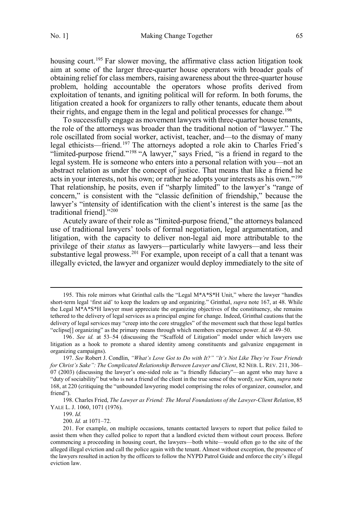housing court.<sup>195</sup> Far slower moving, the affirmative class action litigation took aim at some of the larger three-quarter house operators with broader goals of obtaining relief for class members, raising awareness about the three-quarter house problem, holding accountable the operators whose profits derived from exploitation of tenants, and igniting political will for reform. In both forums, the litigation created a hook for organizers to rally other tenants, educate them about their rights, and engage them in the legal and political processes for change.<sup>196</sup>

To successfully engage as movement lawyers with three-quarter house tenants, the role of the attorneys was broader than the traditional notion of "lawyer." The role oscillated from social worker, activist, teacher, and—to the dismay of many legal ethicists—friend.<sup>197</sup> The attorneys adopted a role akin to Charles Fried's "limited-purpose friend."198 "A lawyer," says Fried, "is a friend in regard to the legal system. He is someone who enters into a personal relation with you—not an abstract relation as under the concept of justice. That means that like a friend he acts in your interests, not his own; or rather he adopts your interests as his own."199 That relationship, he posits, even if "sharply limited" to the lawyer's "range of concern," is consistent with the "classic definition of friendship," because the lawyer's "intensity of identification with the client's interest is the same [as the traditional friend]."<sup>200</sup>

Acutely aware of their role as "limited-purpose friend," the attorneys balanced use of traditional lawyers' tools of formal negotiation, legal argumentation, and litigation, with the capacity to deliver non-legal aid more attributable to the privilege of their *status* as lawyers—particularly white lawyers—and less their substantive legal prowess.<sup>201</sup> For example, upon receipt of a call that a tenant was illegally evicted, the lawyer and organizer would deploy immediately to the site of

199. *Id.*

200. *Id.* at 1071–72.

 <sup>195.</sup> This role mirrors what Grinthal calls the "Legal M\*A\*S\*H Unit," where the lawyer "handles short-term legal 'first aid' to keep the leaders up and organizing." Grinthal, *supra* note 167, at 48. While the Legal  $M^*A^*S^*H$  lawyer must appreciate the organizing objectives of the constituency, she remains tethered to the delivery of legal services as a principal engine for change. Indeed, Grinthal cautions that the delivery of legal services may "creep into the core struggles" of the movement such that those legal battles "eclipse[] organizing" as the primary means through which members experience power. *Id.* at 49–50.

<sup>196.</sup> *See id.* at 53–54 (discussing the "Scaffold of Litigation" model under which lawyers use litigation as a hook to promote a shared identity among constituents and galvanize engagement in organizing campaigns).

<sup>197.</sup> *See* Robert J. Condlin, *"What's Love Got to Do with It?" "It's Not Like They're Your Friends for Christ's Sake": The Complicated Relationship Between Lawyer and Client*, 82 NEB. L. REV. 211, 306– 07 (2003) (discussing the lawyer's one-sided role as "a friendly fiduciary"—an agent who may have a "duty of sociability" but who is not a friend of the client in the true sense of the word); *see* Kim, *supra* note 168, at 220 (critiquing the "unbounded lawyering model comprising the roles of organizer, counselor, and friend").

<sup>198.</sup> Charles Fried, *The Lawyer as Friend: The Moral Foundations of the Lawyer-Client Relation*, 85 YALE L. J. 1060, 1071 (1976).

<sup>201.</sup> For example, on multiple occasions, tenants contacted lawyers to report that police failed to assist them when they called police to report that a landlord evicted them without court process. Before commencing a proceeding in housing court, the lawyers—both white—would often go to the site of the alleged illegal eviction and call the police again with the tenant. Almost without exception, the presence of the lawyers resulted in action by the officers to follow the NYPD Patrol Guide and enforce the city's illegal eviction law.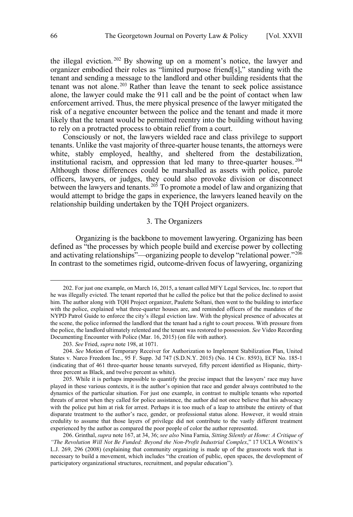<span id="page-35-0"></span>the illegal eviction.  $202$  By showing up on a moment's notice, the lawyer and organizer embodied their roles as "limited purpose friend[s]," standing with the tenant and sending a message to the landlord and other building residents that the tenant was not alone.<sup>203</sup> Rather than leave the tenant to seek police assistance alone, the lawyer could make the 911 call and be the point of contact when law enforcement arrived. Thus, the mere physical presence of the lawyer mitigated the risk of a negative encounter between the police and the tenant and made it more likely that the tenant would be permitted reentry into the building without having to rely on a protracted process to obtain relief from a court.

Consciously or not, the lawyers wielded race and class privilege to support tenants. Unlike the vast majority of three-quarter house tenants, the attorneys were white, stably employed, healthy, and sheltered from the destabilization, institutional racism, and oppression that led many to three-quarter houses. <sup>204</sup> Although those differences could be marshalled as assets with police, parole officers, lawyers, or judges, they could also provoke division or disconnect between the lawyers and tenants.<sup>205</sup> To promote a model of law and organizing that would attempt to bridge the gaps in experience, the lawyers leaned heavily on the relationship building undertaken by the TQH Project organizers.

#### 3. The Organizers

Organizing is the backbone to movement lawyering. Organizing has been defined as "the processes by which people build and exercise power by collecting and activating relationships"—organizing people to develop "relational power."<sup>206</sup> In contrast to the sometimes rigid, outcome-driven focus of lawyering, organizing

 <sup>202.</sup> For just one example, on March 16, 2015, a tenant called MFY Legal Services, Inc. to report that he was illegally evicted. The tenant reported that he called the police but that the police declined to assist him. The author along with TQH Project organizer, Paulette Soltani, then went to the building to interface with the police, explained what three-quarter houses are, and reminded officers of the mandates of the NYPD Patrol Guide to enforce the city's illegal eviction law. With the physical presence of advocates at the scene, the police informed the landlord that the tenant had a right to court process. With pressure from the police, the landlord ultimately relented and the tenant was restored to possession. *See* Video Recording Documenting Encounter with Police (Mar. 16, 2015) (on file with author).

<sup>203.</sup> *See* Fried, *supra* note 198, at 1071.

<sup>204.</sup> *See* Motion of Temporary Receiver for Authorization to Implement Stabilization Plan, United States v. Narco Freedom Inc*.*, 95 F. Supp. 3d 747 (S.D.N.Y. 2015) (No. 14 Civ. 8593), ECF No. 185-1 (indicating that of 461 three-quarter house tenants surveyed, fifty percent identified as Hispanic, thirtythree percent as Black, and twelve percent as white).

<sup>205.</sup> While it is perhaps impossible to quantify the precise impact that the lawyers' race may have played in these various contexts, it is the author's opinion that race and gender always contributed to the dynamics of the particular situation. For just one example, in contrast to multiple tenants who reported threats of arrest when they called for police assistance, the author did not once believe that his advocacy with the police put him at risk for arrest. Perhaps it is too much of a leap to attribute the entirety of that disparate treatment to the author's race, gender, or professional status alone. However, it would strain credulity to assume that those layers of privilege did not contribute to the vastly different treatment experienced by the author as compared the poor people of color the author represented.

<sup>206.</sup> Grinthal, *supra* note 167, at 34, 36; *see also* Nina Farnia, *Sitting Silently at Home: A Critique of "The Revolution Will Not Be Funded: Beyond the Non-Profit Industrial Complex*," 17 UCLA WOMEN'S L.J. 269, 296 (2008) (explaining that community organizing is made up of the grassroots work that is necessary to build a movement, which includes "the creation of public, open spaces, the development of participatory organizational structures, recruitment, and popular education").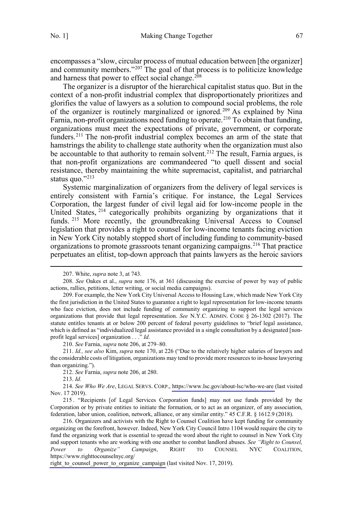encompasses a "slow, circular process of mutual education between [the organizer] and community members."<sup>207</sup> The goal of that process is to politicize knowledge and harness that power to effect social change.<sup>208</sup>

The organizer is a disruptor of the hierarchical capitalist status quo. But in the context of a non-profit industrial complex that disproportionately prioritizes and glorifies the value of lawyers as a solution to compound social problems, the role of the organizer is routinely marginalized or ignored.<sup>209</sup> As explained by Nina Farnia, non-profit organizations need funding to operate.<sup>210</sup> To obtain that funding, organizations must meet the expectations of private, government, or corporate funders.<sup>211</sup> The non-profit industrial complex becomes an arm of the state that hamstrings the ability to challenge state authority when the organization must also be accountable to that authority to remain solvent.<sup>212</sup> The result, Farnia argues, is that non-profit organizations are commandeered "to quell dissent and social resistance, thereby maintaining the white supremacist, capitalist, and patriarchal status quo."213

Systemic marginalization of organizers from the delivery of legal services is entirely consistent with Farnia's critique. For instance, the Legal Services Corporation, the largest funder of civil legal aid for low-income people in the United States, <sup>214</sup> categorically prohibits organizing by organizations that it funds.<sup>215</sup> More recently, the groundbreaking Universal Access to Counsel legislation that provides a right to counsel for low-income tenants facing eviction in New York City notably stopped short of including funding to community-based organizations to promote grassroots tenant organizing campaigns.<sup>216</sup> That practice perpetuates an elitist, top-down approach that paints lawyers as the heroic saviors

213. *Id.*

 <sup>207.</sup> White, *supra* note 3, at 743.

<sup>208.</sup> *See* Oakes et al., *supra* note 176, at 361 (discussing the exercise of power by way of public actions, rallies, petitions, letter writing, or social media campaigns).

<sup>209.</sup> For example, the New York City Universal Access to Housing Law, which made New York City the first jurisdiction in the United States to guarantee a right to legal representation for low-income tenants who face eviction, does not include funding of community organizing to support the legal services organizations that provide that legal representation. *See* N.Y.C. ADMIN. CODE § 26-1302 (2017). The statute entitles tenants at or below 200 percent of federal poverty guidelines to "brief legal assistance, which is defined as "individualized legal assistance provided in a single consultation by a designated [nonprofit legal services] organization . . ." *Id.*

<sup>210.</sup> *See* Farnia, *supra* note 206, at 279–80.

<sup>211.</sup> *Id., see also* Kim, *supra* note 170, at 226 ("Due to the relatively higher salaries of lawyers and the considerable costs of litigation, organizations may tend to provide more resources to in-house lawyering than organizing.").

<sup>212.</sup> *See* Farnia, *supra* note 206, at 280.

*See Who We Are*, LEGAL SERVS. CORP., <https://www.lsc.gov/about-lsc/who-we-are> (last visited 214. Nov. 17 2019).

<sup>215</sup> . "Recipients [of Legal Services Corporation funds] may not use funds provided by the Corporation or by private entities to initiate the formation, or to act as an organizer, of any association, federation, labor union, coalition, network, alliance, or any similar entity." 45 C.F.R. § 1612.9 (2018).

<sup>216.</sup> Organizers and activists with the Right to Counsel Coalition have kept funding for community organizing on the forefront, however. Indeed, New York City Council Intro 1104 would require the city to fund the organizing work that is essential to spread the word about the right to counsel in New York City and support tenants who are working with one another to combat landlord abuses. *See "Right to Counsel, Power to Organize" Campaign*, RIGHT TO COUNSEL NYC COALITION, https://www.righttocounselnyc.org/

right to counsel power to organize campaign (last visited Nov. 17, 2019).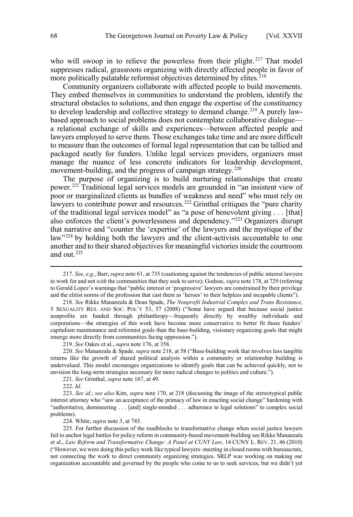who will swoop in to relieve the powerless from their plight. <sup>217</sup> That model suppresses radical, grassroots organizing with directly affected people in favor of more politically palatable reformist objectives determined by elites.<sup>218</sup>

Community organizers collaborate with affected people to build movements. They embed themselves in communities to understand the problem, identify the structural obstacles to solutions, and then engage the expertise of the constituency to develop leadership and collective strategy to demand change.<sup>219</sup> A purely lawbased approach to social problems does not contemplate collaborative dialogue a relational exchange of skills and experiences—between affected people and lawyers employed to serve them. Those exchanges take time and are more difficult to measure than the outcomes of formal legal representation that can be tallied and packaged neatly for funders. Unlike legal services providers, organizers must manage the nuance of less concrete indicators for leadership development, movement-building, and the progress of campaign strategy.<sup>220</sup>

The purpose of organizing is to build nurturing relationships that create power.221 Traditional legal services models are grounded in "an insistent view of poor or marginalized clients as bundles of weakness and need" who must rely on lawyers to contribute power and resources.<sup>222</sup> Grinthal critiques the "pure charity" of the traditional legal services model" as "a pose of benevolent giving . . . [that] also enforces the client's powerlessness and dependency."<sup>223</sup> Organizers disrupt that narrative and "counter the 'expertise' of the lawyers and the mystique of the law"<sup>224</sup> by holding both the lawyers and the client-activists accountable to one another and to their shared objectives for meaningful victories inside the courtroom and out.225

221. *See* Grinthal, *supra* note 167, at 49.

224. White, *supra* note 3, at 745.

 <sup>217.</sup> *See, e.g.*, Barr, *supra* note 61, at 735 (cautioning against the tendencies of public interest lawyers to work for and not *with* the communities that they seek to serve); Godsoe, *supra* note 178, at 729 (referring to Gerald Lopez's warnings that "public interest or 'progressive' lawyers are constrained by their privilege and the elitist norms of the profession that cast them as 'heroes' to their helpless and incapable clients").

<sup>218.</sup> *See* Rikke Mananzala & Dean Spade, *The Nonprofit Industrial Complex and Trans Resistance*, 5 SEXUALITY RES. AND SOC. POL'Y 53, 57 (2008) ("Some have argued that because social justice nonprofits are funded through philanthropy—frequently directly by wealthy individuals and corporations—the strategies of this work have become more conservative to better fit those funders' capitalism maintenance and reformist goals than the base-building, visionary organizing goals that might emerge more directly from communities facing oppression.").

<sup>219.</sup> *See* Oakes et al., *supra* note 176, at 358.

<sup>220.</sup> *See* Mananzala & Spade, *supra* note 218, at 58 ("Base-building work that involves less tangible returns like the growth of shared political analysis within a community or relationship building is undervalued. This model encourages organizations to identify goals that can be achieved quickly, not to envision the long-term strategies necessary for more radical changes to politics and culture.").

<sup>222.</sup> *Id.* 

<sup>223.</sup> *See id.*; *see also* Kim, *supra* note 170, at 218 (discussing the image of the stereotypical public interest attorney who "saw an acceptance of the primacy of law in enacting social change" hardening with "authoritative, domineering . . . [and] single-minded . . . adherence to legal solutions" to complex social problems).

<sup>225.</sup> For further discussion of the roadblocks to transformative change when social justice lawyers fail to anchor legal battles for policy reform in community-based movement-building see Rikke Mananzala et al., *Law Reform and Transformative Change: A Panel at CUNY Law*, 14 CUNY L. REV. 21, 46 (2010) ("However, we were doing this policy work like typical lawyers–meeting in closed rooms with bureaucrats, not connecting the work to direct community organizing strategies. SRLP was working on making our organization accountable and governed by the people who come to us to seek services, but we didn't yet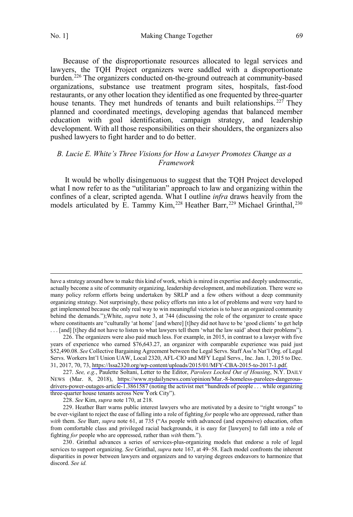$\overline{a}$ 

<span id="page-38-0"></span>No. 1] Making Change Together 69

Because of the disproportionate resources allocated to legal services and lawyers, the TQH Project organizers were saddled with a disproportionate burden.<sup>226</sup> The organizers conducted on-the-ground outreach at community-based organizations, substance use treatment program sites, hospitals, fast-food restaurants, or any other location they identified as one frequented by three-quarter house tenants. They met hundreds of tenants and built relationships.<sup>227</sup> They planned and coordinated meetings, developing agendas that balanced member education with goal identification, campaign strategy, and leadership development. With all those responsibilities on their shoulders, the organizers also pushed lawyers to fight harder and to do better.

## *B. Lucie E. White's Three Visions for How a Lawyer Promotes Change as a Framework*

It would be wholly disingenuous to suggest that the TQH Project developed what I now refer to as the "utilitarian" approach to law and organizing within the confines of a clear, scripted agenda. What I outline *infra* draws heavily from the models articulated by E. Tammy Kim, 228 Heather Barr, 229 Michael Grinthal, 230

228. *See* Kim, *supra* note 170, at 218.

229. Heather Barr warns public interest lawyers who are motivated by a desire to "right wrongs" to be ever-vigilant to reject the ease of falling into a role of fighting *for* people who are oppressed, rather than *with* them. *See* Barr, *supra* note 61, at 735 ("As people with advanced (and expensive) education, often from comfortable class and privileged racial backgrounds, it is easy for [lawyers] to fall into a role of fighting *for* people who are oppressed, rather than *with* them.").

have a strategy around how to make this kind of work, which is mired in expertise and deeply undemocratic, actually become a site of community organizing, leadership development, and mobilization. There were so many policy reform efforts being undertaken by SRLP and a few others without a deep community organizing strategy. Not surprisingly, these policy efforts ran into a lot of problems and were very hard to get implemented because the only real way to win meaningful victories is to have an organized community behind the demands.");White, *supra* note 3, at 744 (discussing the role of the organizer to create space where constituents are "culturally 'at home' [and where] [t]hey did not have to be 'good clients' to get help . . . [and] [t]hey did not have to listen to what lawyers tell them 'what the law said' about their problems").

<sup>226.</sup> The organizers were also paid much less. For example, in 2015, in contrast to a lawyer with five years of experience who earned \$76,643.27, an organizer with comparable experience was paid just \$52,490.08. *See* Collective Bargaining Agreement between the Legal Servs. Staff Ass'n Nat'l Org. of Legal Servs. Workers Int'l Union UAW, Local 2320, AFL-CIO and MFY Legal Servs., Inc. Jan. 1, 2015 to Dec. 31, 2017, 70, 73, [https://lssa2320.org/wp-content/uploads/2015/01/MFY-CBA-2015-to-2017-1.pdf.](https://lssa2320.org/wp-content/uploads/2015/01/MFY-CBA-2015-to-2017-1.pdf)

*See, e.g.*, Paulette Soltani, Letter to the Editor, *Parolees Locked Out of Housing*, N.Y. DAILY 227. NEWS (Mar. 8, 2018), [https://www.nydailynews.com/opinion/Mar.-8-homeless-parolees-dangerous](https://www.nydailynews.com/opinion/Mar.-8-homeless-parolees-dangerous-drivers-)[drivers-power-outages-article-1.3861587](https://www.nydailynews.com/opinion/Mar.-8-homeless-parolees-dangerous-drivers-) (noting the activist met "hundreds of people . . . while organizing three-quarter house tenants across New York City").

<sup>230.</sup> Grinthal advances a series of services-plus-organizing models that endorse a role of legal services to support organizing. *See* Grinthal, *supra* note 167, at 49–58. Each model confronts the inherent disparities in power between lawyers and organizers and to varying degrees endeavors to harmonize that discord. *See id.*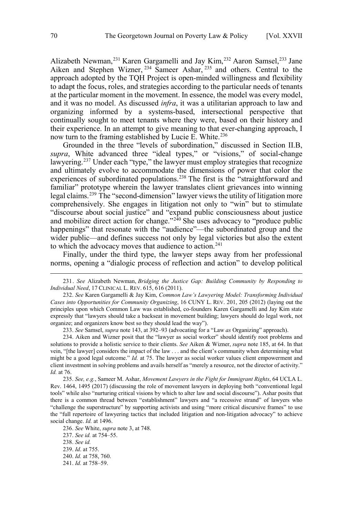Alizabeth Newman,  $^{231}$  Karen Gargamelli and Jay Kim,  $^{232}$  Aaron Samsel,  $^{233}$  Jane Aiken and Stephen Wizner, <sup>234</sup> Sameer Ashar, <sup>235</sup> and others. Central to the approach adopted by the TQH Project is open-minded willingness and flexibility to adapt the focus, roles, and strategies according to the particular needs of tenants at the particular moment in the movement. In essence, the model was every model, and it was no model. As discussed *infra*, it was a utilitarian approach to law and organizing informed by a systems-based, intersectional perspective that continually sought to meet tenants where they were, based on their history and their experience. In an attempt to give meaning to that ever-changing approach, I now turn to the framing established by Lucie E. White.<sup>236</sup>

Grounded in the three "levels of subordination," discussed in Section II.B, *supra*, White advanced three "ideal types," or "visions," of social-change lawyering.<sup>237</sup> Under each "type," the lawyer must employ strategies that recognize and ultimately evolve to accommodate the dimensions of power that color the experiences of subordinated populations.<sup>238</sup> The first is the "straightforward and familiar" prototype wherein the lawyer translates client grievances into winning legal claims.239 The "second-dimension" lawyer views the utility of litigation more comprehensively. She engages in litigation not only to "win" but to stimulate "discourse about social justice" and "expand public consciousness about justice and mobilize direct action for change."<sup>240</sup> She uses advocacy to "produce public happenings" that resonate with the "audience"—the subordinated group and the wider public—and defines success not only by legal victories but also the extent to which the advocacy moves that audience to action.<sup>241</sup>

Finally, under the third type, the lawyer steps away from her professional norms, opening a "dialogic process of reflection and action" to develop political

233. *See* Samsel, *supra* note 143, at 392–93 (advocating for a "Law *as* Organizing" approach).

234. Aiken and Wizner posit that the "lawyer as social worker" should identify root problems and solutions to provide a holistic service to their clients. *See* Aiken & Wizner, *supra* note 185, at 64. In that vein, "[the lawyer] considers the impact of the law . . . and the client's community when determining what might be a good legal outcome." *Id.* at 75. The lawyer as social worker values client empowerment and client investment in solving problems and avails herself as "merely a resource, not the director of activity." *Id.* at 76.

235. *See, e.g.*, Sameer M. Ashar, *Movement Lawyers in the Fight for Immigrant Rights*, 64 UCLA L. Rev. 1464, 1495 (2017) (discussing the role of movement lawyers in deploying both "conventional legal tools" while also "nurturing critical visions by which to alter law and social discourse"). Ashar posits that there is a common thread between "establishment" lawyers and "a recessive strand" of lawyers who "challenge the superstructure" by supporting activists and using "more critical discursive frames" to use the "full repertoire of lawyering tactics that included litigation and non-litigation advocacy" to achieve social change. *Id.* at 1496.

236. *See* White, *supra* note 3, at 748.

237. *See id.* at 754–55.

 <sup>231.</sup> *See* Alizabeth Newman, *Bridging the Justice Gap: Building Community by Responding to Individual Need*, 17 CLINICAL L. REV. 615, 616 (2011).

<sup>232.</sup> *See* Karen Gargamelli & Jay Kim, *Common Law's Lawyering Model: Transforming Individual Cases into Opportunities for Community Organizing*, 16 CUNY L. REV. 201, 205 (2012) (laying out the principles upon which Common Law was established, co-founders Karen Gargamelli and Jay Kim state expressly that "lawyers should take a backseat in movement building; lawyers should do legal work, not organize; and organizers know best so they should lead the way").

<sup>238.</sup> *See id.* 

<sup>239.</sup> *Id*. at 755.

<sup>240.</sup> *Id.* at 758, 760.

<sup>241.</sup> *Id.* at 758–59.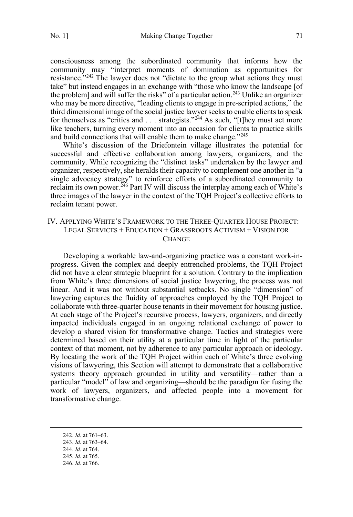<span id="page-40-0"></span>

consciousness among the subordinated community that informs how the community may "interpret moments of domination as opportunities for resistance."<sup>242</sup> The lawyer does not "dictate to the group what actions they must take" but instead engages in an exchange with "those who know the landscape [of the problem] and will suffer the risks" of a particular action.<sup>243</sup> Unlike an organizer who may be more directive, "leading clients to engage in pre-scripted actions," the third dimensional image of the social justice lawyer seeks to enable clients to speak for themselves as "critics and  $\ldots$  strategists."<sup>244</sup> As such, "[t]hey must act more like teachers, turning every moment into an occasion for clients to practice skills and build connections that will enable them to make change."<sup>245</sup>

White's discussion of the Driefontein village illustrates the potential for successful and effective collaboration among lawyers, organizers, and the community. While recognizing the "distinct tasks" undertaken by the lawyer and organizer, respectively, she heralds their capacity to complement one another in "a single advocacy strategy" to reinforce efforts of a subordinated community to reclaim its own power.<sup> $246$ </sup> Part IV will discuss the interplay among each of White's three images of the lawyer in the context of the TQH Project's collective efforts to reclaim tenant power.

## IV. APPLYING WHITE'S FRAMEWORK TO THE THREE-QUARTER HOUSE PROJECT: LEGAL SERVICES + EDUCATION + GRASSROOTS ACTIVISM + VISION FOR **CHANGE**

Developing a workable law-and-organizing practice was a constant work-inprogress. Given the complex and deeply entrenched problems, the TQH Project did not have a clear strategic blueprint for a solution. Contrary to the implication from White's three dimensions of social justice lawyering, the process was not linear. And it was not without substantial setbacks. No single "dimension" of lawyering captures the fluidity of approaches employed by the TQH Project to collaborate with three-quarter house tenants in their movement for housing justice. At each stage of the Project's recursive process, lawyers, organizers, and directly impacted individuals engaged in an ongoing relational exchange of power to develop a shared vision for transformative change. Tactics and strategies were determined based on their utility at a particular time in light of the particular context of that moment, not by adherence to any particular approach or ideology. By locating the work of the TQH Project within each of White's three evolving visions of lawyering, this Section will attempt to demonstrate that a collaborative systems theory approach grounded in utility and versatility—rather than a particular "model" of law and organizing—should be the paradigm for fusing the work of lawyers, organizers, and affected people into a movement for transformative change.

 <sup>242.</sup> *Id.* at 761–63.

<sup>243.</sup> *Id.* at 763–64.

<sup>244.</sup> *Id.* at 764.

<sup>245.</sup> *Id.* at 765.

<sup>246.</sup> *Id.* at 766.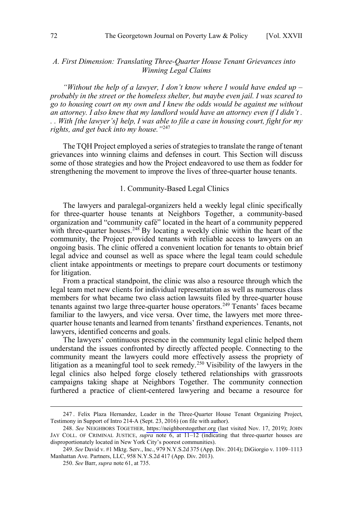## <span id="page-41-0"></span>*A. First Dimension: Translating Three-Quarter House Tenant Grievances into Winning Legal Claims*

*"Without the help of a lawyer, I don't know where I would have ended up – probably in the street or the homeless shelter, but maybe even jail. I was scared to go to housing court on my own and I knew the odds would be against me without an attorney. I also knew that my landlord would have an attorney even if I didn't . . . With [the lawyer's] help, I was able to file a case in housing court, fight for my rights, and get back into my house."*<sup>247</sup>

The TQH Project employed a series of strategies to translate the range of tenant grievances into winning claims and defenses in court. This Section will discuss some of those strategies and how the Project endeavored to use them as fodder for strengthening the movement to improve the lives of three-quarter house tenants.

#### 1. Community-Based Legal Clinics

The lawyers and paralegal-organizers held a weekly legal clinic specifically for three-quarter house tenants at Neighbors Together, a community-based organization and "community café" located in the heart of a community peppered with three-quarter houses.<sup>248</sup> By locating a weekly clinic within the heart of the community, the Project provided tenants with reliable access to lawyers on an ongoing basis. The clinic offered a convenient location for tenants to obtain brief legal advice and counsel as well as space where the legal team could schedule client intake appointments or meetings to prepare court documents or testimony for litigation.

From a practical standpoint, the clinic was also a resource through which the legal team met new clients for individual representation as well as numerous class members for what became two class action lawsuits filed by three-quarter house tenants against two large three-quarter house operators.<sup>249</sup> Tenants' faces became familiar to the lawyers, and vice versa. Over time, the lawyers met more threequarter house tenants and learned from tenants' firsthand experiences. Tenants, not lawyers, identified concerns and goals.

The lawyers' continuous presence in the community legal clinic helped them understand the issues confronted by directly affected people. Connecting to the community meant the lawyers could more effectively assess the propriety of litigation as a meaningful tool to seek remedy.250 Visibility of the lawyers in the legal clinics also helped forge closely tethered relationships with grassroots campaigns taking shape at Neighbors Together. The community connection furthered a practice of client-centered lawyering and became a resource for

 <sup>247</sup> . Felix Plaza Hernandez, Leader in the Three-Quarter House Tenant Organizing Project, Testimony in Support of Intro 214-A (Sept. 23, 2016) (on file with author).

*See* NEIGHBORS TOGETHER, [https://neighborstogether.org](https://neighborstogether.org/) (last visited Nov. 17, 2019); JOHN 248. JAY COLL. OF CRIMINAL JUSTICE, *supra* note 6, at 11–12 (indicating that three-quarter houses are disproportionately located in New York City's poorest communities).

<sup>249.</sup> *See* David v. #1 Mktg. Serv., Inc., 979 N.Y.S.2d 375 (App. Div. 2014); DiGiorgio v. 1109–1113 Manhattan Ave. Partners, LLC, 958 N.Y.S.2d 417 (App. Div. 2013).

<sup>250.</sup> *See* Barr, *supra* note 61, at 735.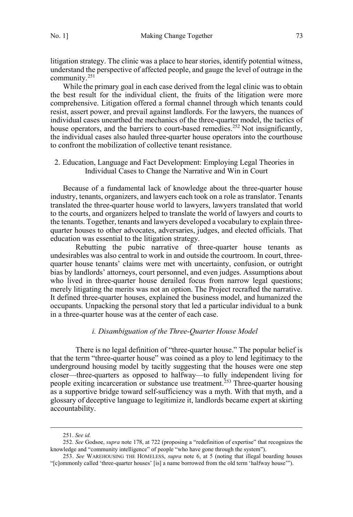<span id="page-42-0"></span>litigation strategy. The clinic was a place to hear stories, identify potential witness, understand the perspective of affected people, and gauge the level of outrage in the community.251

While the primary goal in each case derived from the legal clinic was to obtain the best result for the individual client, the fruits of the litigation were more comprehensive. Litigation offered a formal channel through which tenants could resist, assert power, and prevail against landlords. For the lawyers, the nuances of individual cases unearthed the mechanics of the three-quarter model, the tactics of house operators, and the barriers to court-based remedies.<sup>252</sup> Not insignificantly, the individual cases also hauled three-quarter house operators into the courthouse to confront the mobilization of collective tenant resistance.

2. Education, Language and Fact Development: Employing Legal Theories in Individual Cases to Change the Narrative and Win in Court

Because of a fundamental lack of knowledge about the three-quarter house industry, tenants, organizers, and lawyers each took on a role as translator. Tenants translated the three-quarter house world to lawyers, lawyers translated that world to the courts, and organizers helped to translate the world of lawyers and courts to the tenants. Together, tenants and lawyers developed a vocabulary to explain threequarter houses to other advocates, adversaries, judges, and elected officials. That education was essential to the litigation strategy.

Rebutting the pubic narrative of three-quarter house tenants as undesirables was also central to work in and outside the courtroom. In court, threequarter house tenants' claims were met with uncertainty, confusion, or outright bias by landlords' attorneys, court personnel, and even judges. Assumptions about who lived in three-quarter house derailed focus from narrow legal questions; merely litigating the merits was not an option. The Project recrafted the narrative. It defined three-quarter houses, explained the business model, and humanized the occupants. Unpacking the personal story that led a particular individual to a bunk in a three-quarter house was at the center of each case.

## *i. Disambiguation of the Three-Quarter House Model*

There is no legal definition of "three-quarter house." The popular belief is that the term "three-quarter house" was coined as a ploy to lend legitimacy to the underground housing model by tacitly suggesting that the houses were one step closer—three-quarters as opposed to halfway—to fully independent living for people exiting incarceration or substance use treatment.253 Three-quarter housing as a supportive bridge toward self-sufficiency was a myth. With that myth, and a glossary of deceptive language to legitimize it, landlords became expert at skirting accountability.

 <sup>251.</sup> *See id.*

<sup>252.</sup> *See* Godsoe, *supra* note 178, at 722 (proposing a "redefinition of expertise" that recognizes the knowledge and "community intelligence" of people "who have gone through the system").

<sup>253.</sup> *See* WAREHOUSING THE HOMELESS, *supra* note 6, at 5 (noting that illegal boarding houses "[c]ommonly called 'three-quarter houses' [is] a name borrowed from the old term 'halfway house'").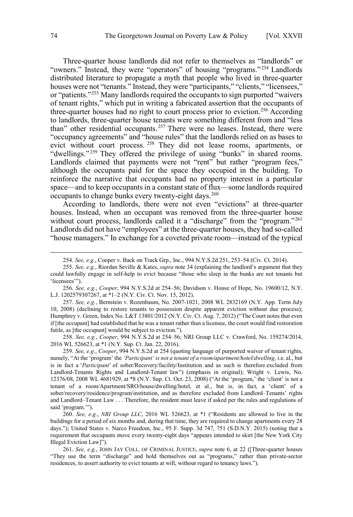Three-quarter house landlords did not refer to themselves as "landlords" or "owners." Instead, they were "operators" of housing "programs." <sup>254</sup> Landlords distributed literature to propagate a myth that people who lived in three-quarter houses were not "tenants." Instead, they were "participants," "clients," "licensees," or "patients."255 Many landlords required the occupants to sign purported "waivers of tenant rights," which put in writing a fabricated assertion that the occupants of three-quarter houses had no right to court process prior to eviction.<sup>256</sup> According to landlords, three-quarter house tenants were something different from and "less than" other residential occupants.<sup>257</sup> There were no leases. Instead, there were "occupancy agreements" and "house rules" that the landlords relied on as bases to evict without court process. <sup>258</sup> They did not lease rooms, apartments, or "dwellings."<sup>259</sup> They offered the privilege of using "bunks" in shared rooms. Landlords claimed that payments were not "rent" but rather "program fees," although the occupants paid for the space they occupied in the building. To reinforce the narrative that occupants had no property interest in a particular space—and to keep occupants in a constant state of flux—some landlords required occupants to change bunks every twenty-eight days.<sup>260</sup>

According to landlords, there were not even "evictions" at three-quarter houses. Instead, when an occupant was removed from the three-quarter house without court process, landlords called it a "discharge" from the "program."<sup>261</sup> Landlords did not have "employees" at the three-quarter houses, they had so-called "house managers." In exchange for a coveted private room—instead of the typical

257. *See, e.g.*, Bernstein v. Rozenbaum, No. 2007-1021, 2008 WL 2832169 (N.Y. App. Term July 10, 2008) (declining to restore tenants to possession despite apparent eviction without due process); Humphrey v. Green, Index No. L&T 13801/2012 (N.Y. Civ. Ct. Aug. 7, 2012) ("The Court notes that even if [the occupant] had established that he was a tenant rather than a licensee, the court would find restoration futile, as [the occupant] would be subject to eviction.").

258. *See, e.g.*, *Cooper*, 994 N.Y.S.2d at 254–56; NRI Group LLC v. Crawford, No. 159274/2014, 2016 WL 526623, at \*1 (N.Y. Sup. Ct. Jan. 22, 2016).

259. *See, e.g.*, *Cooper*, 994 N.Y.S.2d at 254 (quoting language of purported waiver of tenant rights, namely, "At the 'program' the *'Participant' is not a tenant of a room/apartment/hotel/dwelling*, i.e. al., but is in fact a '*Participant*' of sober/Recovery/facility/Institution and as such is therefore excluded from Landlord-Tenants Rights and Landlord-Tenant law") (emphasis in original); Wright v. Lewis, No. 12376/08, 2008 WL 4681929, at \*8 (N.Y. Sup. Ct. Oct. 23, 2008) ("At the 'program,' the 'client' is not a tenant of a room/Apartment/SRO/house/dwelling/hotel, et al., but is, in fact, a 'client' of a sober/recovery/residence/program/institution, and as therefore excluded from Landlord–Tenants' rights and Landlord–Tenant Law . . . Therefore, the resident must leave if asked per the rules and regulations of said 'program.'").

260. *See, e.g.*, *NRI Group LLC*, 2016 WL 526623, at \*1 ("Residents are allowed to live in the buildings for a period of six months and, during that time, they are required to change apartments every 28 days."); United States v. Narco Freedom, Inc., 95 F. Supp. 3d 747, 751 (S.D.N.Y. 2015) (noting that a requirement that occupants move every twenty-eight days "appears intended to skirt [the New York City Illegal Eviction Law]").

261. *See, e.g.*, JOHN JAY COLL. OF CRIMINAL JUSTICE, *supra* note 6, at 22 ([Three-quarter houses "They use the term "discharge" and hold themselves out as "programs," rather than private-sector residences, to assert authority to evict tenants at will, without regard to tenancy laws.").

 <sup>254.</sup> *See, e.g.*, Cooper v. Back on Track Grp., Inc., 994 N.Y.S.2d 251, 253–54 (Civ. Ct. 2014).

<sup>255.</sup> *See, e.g.*, Riordan Seville & Kates, *supra* note 34 (explaining the landlord's argument that they could lawfully engage in self-help to evict because "those who sleep in the bunks are not tenants but 'licensees'").

<sup>256.</sup> *See, e.g.*, *Cooper*, 994 N.Y.S.2d at 254–56; Davidson v. House of Hope, No. 19600/12, N.Y. L.J. 1202579307267, at \*1–2 (N.Y. Civ. Ct. Nov. 15, 2012).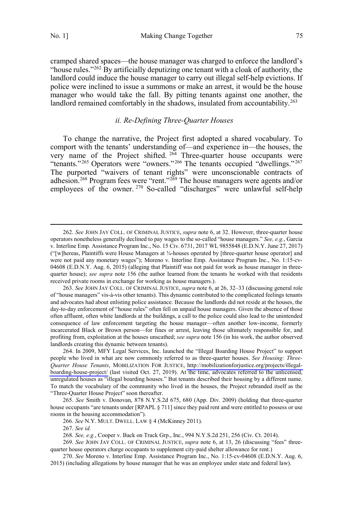cramped shared spaces—the house manager was charged to enforce the landlord's "house rules."<sup>262</sup> By artificially deputizing one tenant with a cloak of authority, the landlord could induce the house manager to carry out illegal self-help evictions. If police were inclined to issue a summons or make an arrest, it would be the house manager who would take the fall. By pitting tenants against one another, the landlord remained comfortably in the shadows, insulated from accountability.<sup>263</sup>

## *ii. Re-Defining Three-Quarter Houses*

To change the narrative, the Project first adopted a shared vocabulary. To comport with the tenants' understanding of—and experience in—the houses, the very name of the Project shifted.  $264$  Three-quarter house occupants were "tenants."<sup>265</sup> Operators were "owners."<sup>266</sup> The tenants occupied "dwellings."<sup>267</sup> The purported "waivers of tenant rights" were unconscionable contracts of adhesion.<sup>268</sup> Program fees were "rent."<sup>269</sup> The house managers were agents and/or employees of the owner. <sup>270</sup> So-called "discharges" were unlawful self-help

264. In 2009, MFY Legal Services, Inc. launched the "Illegal Boarding House Project" to support people who lived in what are now commonly referred to as three-quarter houses. *See Housing: Three-Quarter House Tenants*, MOBILIZATION FOR JUSTICE, [http://mobilizationforjustice.org/projects/illegal](http://mobilizationforjustice.org/projects/illegal-boarding-house-project/)[boarding-house-project/](http://mobilizationforjustice.org/projects/illegal-boarding-house-project/) (last visited Oct. 27, 2019). At the time, advocates referred to the unlicensed, unregulated houses as "illegal boarding houses." But tenants described their housing by a different name. To match the vocabulary of the community who lived in the houses, the Project rebranded itself as the "Three-Quarter House Project" soon thereafter.

 <sup>262.</sup> *See* JOHN JAY COLL. OF CRIMINAL JUSTICE, *supra* note 6, at 32. However, three-quarter house operators nonetheless generally declined to pay wages to the so-called "house managers." *See, e.g.*, Garcia v. Interline Emp. Assistance Program Inc., No. 15 Civ. 6731, 2017 WL 9855848 (E.D.N.Y. June 27, 2017) ("[w]hereas, Plaintiffs were House Managers at  $\frac{3}{4}$ -houses operated by [three-quarter house operator] and were not paid any monetary wages"); Moreno v. Interline Emp. Assistance Program Inc., No. 1:15-cv-04608 (E.D.N.Y. Aug. 6, 2015) (alleging that Plaintiff was not paid for work as house manager in threequarter house); *see supra* note 156 (the author learned from the tenants he worked with that residents received private rooms in exchange for working as house managers.).

<sup>263.</sup> *See* JOHN JAY COLL. OF CRIMINAL JUSTICE, *supra* note 6, at 26, 32–33 (discussing general role of "house managers" vis-à-vis other tenants). This dynamic contributed to the complicated feelings tenants and advocates had about enlisting police assistance. Because the landlords did not reside at the houses, the day-to-day enforcement of "house rules" often fell on unpaid house managers. Given the absence of those often affluent, often white landlords at the buildings, a call to the police could also lead to the unintended consequence of law enforcement targeting the house manager—often another low-income, formerly incarcerated Black or Brown person—for fines or arrest, leaving those ultimately responsible for, and profiting from, exploitation at the houses unscathed; *see supra* note 156 (in his work, the author observed landlords creating this dynamic between tenants).

<sup>265.</sup> *See* Smith v. Donovan, 878 N.Y.S.2d 675, 680 (App. Div. 2009) (holding that three-quarter house occupants "are tenants under [RPAPL § 711] since they paid rent and were entitled to possess or use rooms in the housing accommodation").

<sup>266.</sup> *See* N.Y. MULT. DWELL. LAW § 4 (McKinney 2011).

<sup>267.</sup> *See id.* 

<sup>268.</sup> *See, e.g.*, Cooper v. Back on Track Grp., Inc., 994 N.Y.S.2d 251, 256 (Civ. Ct. 2014).

<sup>269.</sup> *See* JOHN JAY COLL. OF CRIMINAL JUSTICE, *supra* note 6, at 13, 26 (discussing "fees" threequarter house operators charge occupants to supplement city-paid shelter allowance for rent.)

<sup>270.</sup> *See* Moreno v. Interline Emp. Assistance Program Inc., No. 1:15-cv-04608 (E.D.N.Y. Aug. 6, 2015) (including allegations by house manager that he was an employee under state and federal law).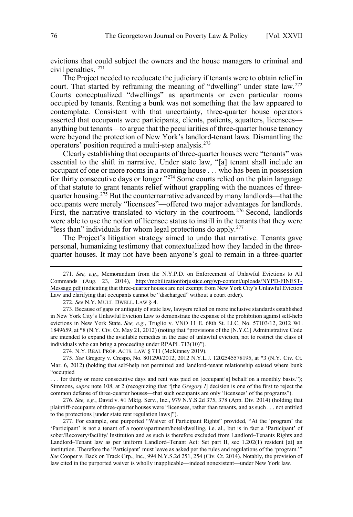evictions that could subject the owners and the house managers to criminal and civil penalties. 271

The Project needed to reeducate the judiciary if tenants were to obtain relief in court. That started by reframing the meaning of "dwelling" under state law.<sup>272</sup> Courts conceptualized "dwellings" as apartments or even particular rooms occupied by tenants. Renting a bunk was not something that the law appeared to contemplate. Consistent with that uncertainty, three-quarter house operators asserted that occupants were participants, clients, patients, squatters, licensees anything but tenants—to argue that the peculiarities of three-quarter house tenancy were beyond the protection of New York's landlord-tenant laws. Dismantling the operators' position required a multi-step analysis.273

Clearly establishing that occupants of three-quarter houses were "tenants" was essential to the shift in narrative. Under state law, "[a] tenant shall include an occupant of one or more rooms in a rooming house . . . who has been in possession for thirty consecutive days or longer."<sup>274</sup> Some courts relied on the plain language of that statute to grant tenants relief without grappling with the nuances of threequarter housing.<sup>275</sup> But the counternarrative advanced by many landlords—that the occupants were merely "licensees"—offered two major advantages for landlords. First, the narrative translated to victory in the courtroom.<sup>276</sup> Second, landlords were able to use the notion of licensee status to instill in the tenants that they were "less than" individuals for whom legal protections do apply.<sup>277</sup>

The Project's litigation strategy aimed to undo that narrative. Tenants gave personal, humanizing testimony that contextualized how they landed in the threequarter houses. It may not have been anyone's goal to remain in a three-quarter

274. N.Y. REAL PROP. ACTS. LAW § 711 (McKinney 2019).

*See, e.g.*, Memorandum from the N.Y.P.D. on Enforcement of Unlawful Evictions to All 271. Commands (Aug. 23, 2014), [http://mobilizationforjustice.org/wp-content/uploads/NYPD-FINEST-](http://mobilizationforjustice.org/wp-content/uploads/NYPD-FINEST-Message.pdf)[Message.pdf](http://mobilizationforjustice.org/wp-content/uploads/NYPD-FINEST-Message.pdf) (indicating that three-quarter houses are not exempt from New York City's Unlawful Eviction Law and clarifying that occupants cannot be "discharged" without a court order).

<sup>272.</sup> *See* N.Y. MULT. DWELL. LAW § 4.

<sup>273.</sup> Because of gaps or antiquity of state law, lawyers relied on more inclusive standards established in New York City's Unlawful Eviction Law to demonstrate the expanse of the prohibition against self-help evictions in New York State. *See, e.g.*, Truglio v. VNO 11 E. 68th St. LLC, No. 57103/12, 2012 WL 1849659, at \*8 (N.Y. Civ. Ct. May 21, 2012) (noting that "provisions of the [N.Y.C.] Administrative Code are intended to expand the available remedies in the case of unlawful eviction, not to restrict the class of individuals who can bring a proceeding under RPAPL 713(10)").

<sup>275.</sup> *See* Gregory v. Crespo, No. 801290/2012, 2012 N.Y.L.J. 1202545578195, at \*3 (N.Y. Civ. Ct. Mar. 6, 2012) (holding that self-help not permitted and landlord-tenant relationship existed where bunk "occupied

<sup>. . .</sup> for thirty or more consecutive days and rent was paid on [occupant's] behalf on a monthly basis."); Simmons, *supra* note 108, at 2 (recognizing that "[the *Gregory I*] decision is one of the first to reject the common defense of three-quarter houses—that such occupants are only 'licensees' of the programs").

<sup>276.</sup> *See, e.g.*, David v. #1 Mktg. Serv., Inc., 979 N.Y.S.2d 375, 378 (App. Div. 2014) (holding that plaintiff-occupants of three-quarter houses were "licensees, rather than tenants, and as such . . . not entitled to the protections [under state rent regulation laws]").

<sup>277.</sup> For example, one purported "Waiver of Participant Rights" provided, "At the 'program' the 'Participant' is not a tenant of a room/apartment/hotel/dwelling, i.e. al., but is in fact a 'Participant' of sober/Recovery/facility/ Institution and as such is therefore excluded from Landlord–Tenants Rights and Landlord–Tenant law as per uniform Landlord–Tenant Act: Set part II, sec 1.202(1) resident [at] an institution. Therefore the 'Participant' must leave as asked per the rules and regulations of the 'program.'" *See* Cooper v. Back on Track Grp., Inc., 994 N.Y.S.2d 251, 254 (Civ. Ct. 2014). Notably, the provision of law cited in the purported waiver is wholly inapplicable—indeed nonexistent—under New York law.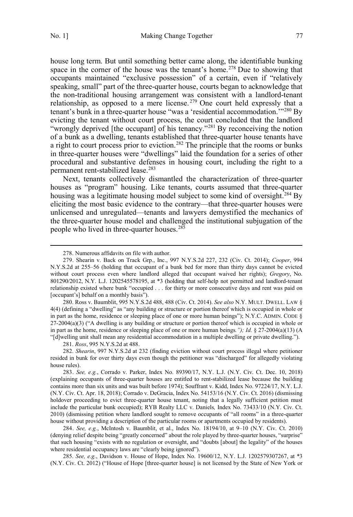house long term. But until something better came along, the identifiable bunking space in the corner of the house was the tenant's home.<sup>278</sup> Due to showing that occupants maintained "exclusive possession" of a certain, even if "relatively speaking, small" part of the three-quarter house, courts began to acknowledge that the non-traditional housing arrangement was consistent with a landlord-tenant relationship, as opposed to a mere license.<sup>279</sup> One court held expressly that a tenant's bunk in a three-quarter house "was a 'residential accommodation.<sup>'"280</sup> By evicting the tenant without court process, the court concluded that the landlord "wrongly deprived [the occupant] of his tenancy."<sup>281</sup> By reconceiving the notion of a bunk as a dwelling, tenants established that three-quarter house tenants have a right to court process prior to eviction.<sup>282</sup> The principle that the rooms or bunks in three-quarter houses were "dwellings" laid the foundation for a series of other procedural and substantive defenses in housing court, including the right to a permanent rent-stabilized lease.<sup>283</sup>

Next, tenants collectively dismantled the characterization of three-quarter houses as "program" housing. Like tenants, courts assumed that three-quarter housing was a legitimate housing model subject to some kind of oversight.<sup>284</sup> By eliciting the most basic evidence to the contrary—that three-quarter houses were unlicensed and unregulated—tenants and lawyers demystified the mechanics of the three-quarter house model and challenged the institutional subjugation of the people who lived in three-quarter houses.<sup>285</sup>

280. Ross v. Baumblit, 995 N.Y.S.2d 488, 488 (Civ. Ct. 2014). *See also* N.Y. MULT. DWELL. LAW § 4(4) (defining a "dwelling" as "any building or structure or portion thereof which is occupied in whole or in part as the home, residence or sleeping place of one or more human beings"); N.Y.C. ADMIN. CODE § 27-2004(a)(3) ("A dwelling is any building or structure or portion thereof which is occupied in whole or in part as the home, residence or sleeping place of one or more human beings*."); Id.* § 27-2004(a)(13) (A "[d]welling unit shall mean any residential accommodation in a multiple dwelling or private dwelling.").

281. *Ross*, 995 N.Y.S.2d at 488.

282. *Shearin*, 997 N.Y.S.2d at 232 (finding eviction without court process illegal where petitioner resided in bunk for over thirty days even though the petitioner was "discharged" for allegedly violating house rules).

284. *See, e.g.*, McIntosh v. Baumblit, et al., Index No. 18194/10, at 9–10 (N.Y. Civ. Ct. 2010) (denying relief despite being "greatly concerned" about the role played by three-quarter houses, "surprise" that such housing "exists with no regulation or oversight, and "doubts [about] the legality" of the houses where residential occupancy laws are "clearly being ignored").

285. *See, e.g.*, Davidson v. House of Hope, Index No. 19600/12, N.Y. L.J. 1202579307267, at \*3 (N.Y. Civ. Ct. 2012) ("House of Hope [three-quarter house] is not licensed by the State of New York or

 <sup>278.</sup> Numerous affidavits on file with author.

<sup>279.</sup> Shearin v. Back on Track Grp., Inc., 997 N.Y.S.2d 227, 232 (Civ. Ct. 2014); *Cooper*, 994 N.Y.S.2d at 255–56 (holding that occupant of a bunk bed for more than thirty days cannot be evicted without court process even where landlord alleged that occupant waived her rights); *Gregory*, No. 801290/2012, N.Y. L.J. 1202545578195, at \*3 (holding that self-help not permitted and landlord-tenant relationship existed where bunk "occupied . . . for thirty or more consecutive days and rent was paid on [occupant's] behalf on a monthly basis").

<sup>283.</sup> *See, e.g.*, Corrado v. Parker, Index No. 89390/17, N.Y. L.J. (N.Y. Civ. Ct. Dec. 10, 2018) (explaining occupants of three-quarter houses are entitled to rent-stabilized lease because the building contains more than six units and was built before 1974); Souffrant v. Kidd, Index No. 97224/17, N.Y. L.J. (N.Y. Civ. Ct. Apr. 18, 2018); Corrado v. DeGracia, Index No. 54153/16 (N.Y. Civ. Ct. 2016) (dismissing holdover proceeding to evict three-quarter house tenant, noting that a legally sufficient petition must include the particular bunk occupied); RYB Realty LLC v. Daniels*,* Index No. 73433/10 (N.Y. Civ. Ct. 2010) (dismissing petition where landlord sought to remove occupants of "all rooms" in a three-quarter house without providing a description of the particular rooms or apartments occupied by residents).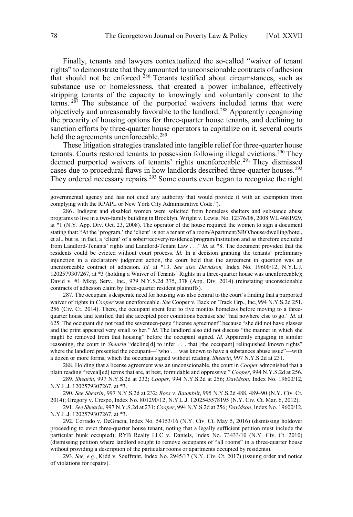Finally, tenants and lawyers contextualized the so-called "waiver of tenant rights" to demonstrate that they amounted to unconscionable contracts of adhesion that should not be enforced.<sup>286</sup> Tenants testified about circumstances, such as substance use or homelessness, that created a power imbalance, effectively stripping tenants of the capacity to knowingly and voluntarily consent to the terms.  $287$  The substance of the purported waivers included terms that were objectively and unreasonably favorable to the landlord.288 Apparently recognizing the precarity of housing options for three-quarter house tenants, and declining to sanction efforts by three-quarter house operators to capitalize on it, several courts held the agreements unenforceable.<sup>289</sup>

These litigation strategies translated into tangible relief for three-quarter house tenants. Courts restored tenants to possession following illegal evictions.<sup>290</sup> They deemed purported waivers of tenants' rights unenforceable.<sup>291</sup> They dismissed cases due to procedural flaws in how landlords described three-quarter houses.<sup>292</sup> They ordered necessary repairs.<sup>293</sup> Some courts even began to recognize the right

287. The occupant's desperate need for housing was also central to the court's finding that a purported waiver of rights in *Cooper* was unenforceable. *See* Cooper v. Back on Track Grp., Inc*.,*994 N.Y.S.2d 251, 256 (Civ. Ct. 2014). There, the occupant spent four to five months homeless before moving to a threequarter house and testified that she accepted poor conditions because she "had nowhere else to go." *Id.* at 625. The occupant did not read the seventeen-page "license agreement" because "she did not have glasses and the print appeared very small to her." *Id.* The landlord also did not discuss "the manner in which she might be removed from that housing" before the occupant signed. *Id.* Apparently engaging in similar reasoning, the court in *Shearin* "decline<sup>[d]</sup> to infer . . . that [the occupant] relinquished known rights" where the landlord presented the occupant—"who . . . was known to have a substances abuse issue"—with a dozen or more forms, which the occupant signed without reading. *Shearin*, 997 N.Y.S.2d at 231.

288. Holding that a license agreement was an unconscionable, the court in *Cooper* admonished that a plain reading "reveal[ed] terms that are, at best, formidable and oppressive." *Cooper*, 994 N.Y.S.2d at 256.

289. *Shearin*, 997 N.Y.S.2d at 232; *Cooper*, 994 N.Y.S.2d at 256; *Davidson*, Index No. 19600/12, N.Y.L.J. 1202579307267, at \*3.

290. *See Shearin*, 997 N.Y.S.2d at 232; *Ross v. Baumblit*, 995 N.Y.S.2d 488, 489–90 (N.Y. Civ. Ct. 2014); Gregory v. Crespo, Index No. 801290/12, N.Y.L.J. 1202545578195 (N.Y. Civ. Ct. Mar. 6, 2012).

291. *See Shearin*, 997 N.Y.S.2d at 231; *Cooper*, 994 N.Y.S.2d at 256; *Davidson*, Index No. 19600/12, N.Y.L.J. 1202579307267, at \*3.

292. Corrado v. DeGracia, Index No. 54153/16 (N.Y. Civ. Ct. May 5, 2016) (dismissing holdover proceeding to evict three-quarter house tenant, noting that a legally sufficient petition must include the particular bunk occupied); RYB Realty LLC v. Daniels, Index No. 73433/10 (N.Y. Civ. Ct. 2010) (dismissing petition where landlord sought to remove occupants of "all rooms" in a three-quarter house without providing a description of the particular rooms or apartments occupied by residents).

293. *See, e.g.*, Kidd v. Souffrant, Index No. 2945/17 (N.Y. Civ. Ct. 2017) (issuing order and notice of violations for repairs).

 $\overline{a}$ 

governmental agency and has not cited any authority that would provide it with an exemption from complying with the RPAPL or New York City Administrative Code.").

<sup>286.</sup> Indigent and disabled women were solicited from homeless shelters and substance abuse programs to live in a two-family building in Brooklyn. Wright v. Lewis, No. 12376/08, 2008 WL 4681929, at \*1 (N.Y. App. Div. Oct. 23, 2008). The operator of the house required the women to sign a document stating that: "At the 'program,' the 'client' is not a tenant of a room/Apartment/SRO/house/dwelling/hotel, et al., but is, in fact, a 'client' of a sober/recovery/residence/program/institution and as therefore excluded from Landlord-Tenants' rights and Landlord-Tenant Law . . ." *Id.* at \*8. The document provided that the residents could be evicted without court process. *Id.* In a decision granting the tenants' preliminary injunction in a declaratory judgment action, the court held that the agreement in question was an unenforceable contract of adhesion. *Id.* at \*13. *See also Davidson,* Index No. 19600/12, N.Y.L.J. 1202579307267, at \*3 (holding a Waiver of Tenants' Rights in a three-quarter house was unenforceable); David v. #1 Mktg. Serv., Inc., 979 N.Y.S.2d 375, 378 (App. Div. 2014) (reinstating unconscionable contracts of adhesion claim by three-quarter resident plaintiffs).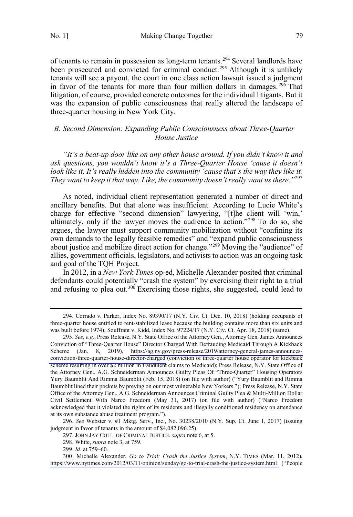<span id="page-48-0"></span>No. 1] Making Change Together 79

of tenants to remain in possession as long-term tenants.<sup>294</sup> Several landlords have been prosecuted and convicted for criminal conduct.<sup>295</sup> Although it is unlikely tenants will see a payout, the court in one class action lawsuit issued a judgment in favor of the tenants for more than four million dollars in damages.<sup>296</sup> That litigation, of course, provided concrete outcomes for the individual litigants. But it was the expansion of public consciousness that really altered the landscape of three-quarter housing in New York City.

## *B. Second Dimension: Expanding Public Consciousness about Three-Quarter House Justice*

*"It's a beat-up door like on any other house around. If you didn't know it and ask questions, you wouldn't know it's a Three-Quarter House 'cause it doesn't*  look like it. It's really hidden into the community 'cause that's the way they like it. *They want to keep it that way. Like, the community doesn't really want us there."*<sup>297</sup>

As noted, individual client representation generated a number of direct and ancillary benefits. But that alone was insufficient. According to Lucie White's charge for effective "second dimension" lawyering, "[t]he client will 'win,' ultimately, only if the lawyer moves the audience to action."<sup>298</sup> To do so, she argues, the lawyer must support community mobilization without "confining its own demands to the legally feasible remedies" and "expand public consciousness about justice and mobilize direct action for change."<sup>299</sup> Moving the "audience" of allies, government officials, legislators, and activists to action was an ongoing task and goal of the TQH Project.

In 2012, in a *New York Times* op-ed, Michelle Alexander posited that criminal defendants could potentially "crash the system" by exercising their right to a trial and refusing to plea out.<sup>300</sup> Exercising those rights, she suggested, could lead to

296. *See* Webster v. #1 Mktg. Serv., Inc., No. 30238/2010 (N.Y. Sup. Ct. June 1, 2017) (issuing judgment in favor of tenants in the amount of \$4,082,096.25).

 <sup>294.</sup> Corrado v. Parker, Index No. 89390/17 (N.Y. Civ. Ct. Dec. 10, 2018) (holding occupants of three-quarter house entitled to rent-stabilized lease because the building contains more than six units and was built before 1974); Souffrant v. Kidd, Index No. 97224/17 (N.Y. Civ. Ct. Apr. 18, 2018) (same).

<sup>295.</sup>  *See, e.g.*, Press Release, N.Y. State Office of the Attorney Gen., Attorney Gen. James Announces Conviction of "Three-Quarter House" Director Charged With Defrauding Medicaid Through A Kickback Scheme (Jan. 8, 2019), [https://ag.ny.gov/press-release/2019/attorney-general-james-announces](https://ag.ny.gov/press-release/2019/attorney-general-james-announces-conviction-three-quarter-house-director-charged)[conviction-three-quarter-house-director-charged](https://ag.ny.gov/press-release/2019/attorney-general-james-announces-conviction-three-quarter-house-director-charged) (conviction of three-quarter house operator for kickback scheme resulting in over \$2 million in fraudulent claims to Medicaid); Press Release, N.Y. State Office of the Attorney Gen., A.G. Schneiderman Announces Guilty Pleas Of "Three-Quarter" Housing Operators Yury Baumblit And Rimma Baumblit (Feb. 15, 2018) (on file with author) ("Yury Baumblit and Rimma Baumblit lined their pockets by preying on our most vulnerable New Yorkers."); Press Release, N.Y. State Office of the Attorney Gen., A.G. Schneiderman Announces Criminal Guilty Plea & Multi-Million Dollar Civil Settlement With Narco Freedom (May 31, 2017) (on file with author) ("Narco Freedom acknowledged that it violated the rights of its residents and illegally conditioned residency on attendance at its own substance abuse treatment program.").

<sup>297.</sup> JOHN JAY COLL. OF CRIMINAL JUSTICE, *supra* note 6, at 5.

<sup>298.</sup> White, *supra* note 3, at 759.

<sup>299.</sup> *Id.* at 759–60.

<sup>300.</sup>  Michelle Alexander, *Go to Trial: Crash the Justice System*, N.Y. TIMES (Mar. 11, 2012), <https://www.nytimes.com/2012/03/11/opinion/sunday/go-to-trial-crash-the-justice-system.html> ("People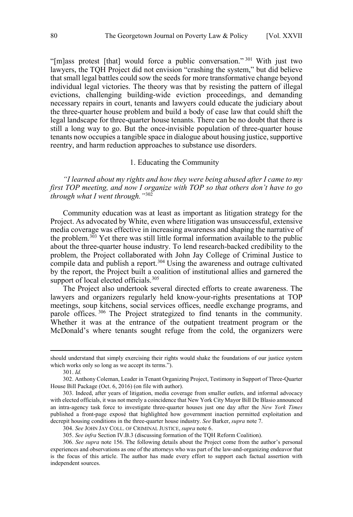<span id="page-49-0"></span>"[m]ass protest [that] would force a public conversation."<sup>301</sup> With just two lawyers, the TQH Project did not envision "crashing the system," but did believe that small legal battles could sow the seeds for more transformative change beyond individual legal victories. The theory was that by resisting the pattern of illegal evictions, challenging building-wide eviction proceedings, and demanding necessary repairs in court, tenants and lawyers could educate the judiciary about the three-quarter house problem and build a body of case law that could shift the legal landscape for three-quarter house tenants. There can be no doubt that there is still a long way to go. But the once-invisible population of three-quarter house tenants now occupies a tangible space in dialogue about housing justice, supportive reentry, and harm reduction approaches to substance use disorders.

#### 1. Educating the Community

*"I learned about my rights and how they were being abused after I came to my first TOP meeting, and now I organize with TOP so that others don't have to go through what I went through."*<sup>302</sup>

Community education was at least as important as litigation strategy for the Project. As advocated by White, even where litigation was unsuccessful, extensive media coverage was effective in increasing awareness and shaping the narrative of the problem.303 Yet there was still little formal information available to the public about the three-quarter house industry. To lend research-backed credibility to the problem, the Project collaborated with John Jay College of Criminal Justice to compile data and publish a report.<sup>304</sup> Using the awareness and outrage cultivated by the report, the Project built a coalition of institutional allies and garnered the support of local elected officials.<sup>305</sup>

The Project also undertook several directed efforts to create awareness. The lawyers and organizers regularly held know-your-rights presentations at TOP meetings, soup kitchens, social services offices, needle exchange programs, and parole offices. <sup>306</sup> The Project strategized to find tenants in the community. Whether it was at the entrance of the outpatient treatment program or the McDonald's where tenants sought refuge from the cold, the organizers were

 $\overline{a}$ 

should understand that simply exercising their rights would shake the foundations of our justice system which works only so long as we accept its terms.").

<sup>301.</sup> *Id.* 

<sup>302.</sup> Anthony Coleman, Leader in Tenant Organizing Project, Testimony in Support of Three-Quarter House Bill Package (Oct. 6, 2016) (on file with author).

<sup>303.</sup> Indeed, after years of litigation, media coverage from smaller outlets, and informal advocacy with elected officials, it was not merely a coincidence that New York City Mayor Bill De Blasio announced an intra-agency task force to investigate three-quarter houses just one day after the *New York Times* published a front-page exposé that highlighted how government inaction permitted exploitation and decrepit housing conditions in the three-quarter house industry. *See* Barker, *supra* note 7.

<sup>304.</sup> *See* JOHN JAY COLL. OF CRIMINAL JUSTICE, *supra* note 6.

<sup>305.</sup> *See infra* Section IV.B.3 (discussing formation of the TQH Reform Coalition).

<sup>306.</sup> *See supra* note 156. The following details about the Project come from the author's personal experiences and observations as one of the attorneys who was part of the law-and-organizing endeavor that is the focus of this article. The author has made every effort to support each factual assertion with independent sources.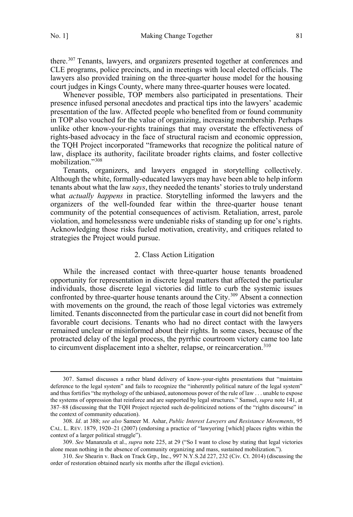<span id="page-50-0"></span>there.<sup>307</sup> Tenants, lawyers, and organizers presented together at conferences and CLE programs, police precincts, and in meetings with local elected officials. The lawyers also provided training on the three-quarter house model for the housing court judges in Kings County, where many three-quarter houses were located.

Whenever possible, TOP members also participated in presentations. Their presence infused personal anecdotes and practical tips into the lawyers' academic presentation of the law. Affected people who benefited from or found community in TOP also vouched for the value of organizing, increasing membership. Perhaps unlike other know-your-rights trainings that may overstate the effectiveness of rights-based advocacy in the face of structural racism and economic oppression, the TQH Project incorporated "frameworks that recognize the political nature of law, displace its authority, facilitate broader rights claims, and foster collective mobilization."308

Tenants, organizers, and lawyers engaged in storytelling collectively. Although the white, formally-educated lawyers may have been able to help inform tenants about what the law *says*, they needed the tenants' stories to truly understand what *actually happens* in practice. Storytelling informed the lawyers and the organizers of the well-founded fear within the three-quarter house tenant community of the potential consequences of activism. Retaliation, arrest, parole violation, and homelessness were undeniable risks of standing up for one's rights. Acknowledging those risks fueled motivation, creativity, and critiques related to strategies the Project would pursue.

#### 2. Class Action Litigation

While the increased contact with three-quarter house tenants broadened opportunity for representation in discrete legal matters that affected the particular individuals, those discrete legal victories did little to curb the systemic issues confronted by three-quarter house tenants around the City.<sup>309</sup> Absent a connection with movements on the ground, the reach of those legal victories was extremely limited. Tenants disconnected from the particular case in court did not benefit from favorable court decisions. Tenants who had no direct contact with the lawyers remained unclear or misinformed about their rights. In some cases, because of the protracted delay of the legal process, the pyrrhic courtroom victory came too late to circumvent displacement into a shelter, relapse, or reincarceration.<sup>310</sup>

 <sup>307.</sup> Samsel discusses a rather bland delivery of know-your-rights presentations that "maintains deference to the legal system" and fails to recognize the "inherently political nature of the legal system" and thus fortifies "the mythology of the unbiased, autonomous power of the rule of law . . . unable to expose the systems of oppression that reinforce and are supported by legal structures." Samsel, *supra* note 141, at 387–88 (discussing that the TQH Project rejected such de-politicized notions of the "rights discourse" in the context of community education).

<sup>308.</sup> *Id*. at 388; *see also* Sameer M. Ashar, *Public Interest Lawyers and Resistance Movements*, 95 CAL. L. REV. 1879, 1920–21 (2007) (endorsing a practice of "lawyering [which] places rights within the context of a larger political struggle").

<sup>309.</sup> *See* Mananzala et al., *supra* note 225, at 29 ("So I want to close by stating that legal victories alone mean nothing in the absence of community organizing and mass, sustained mobilization.").

<sup>310.</sup> *See* Shearin v. Back on Track Grp., Inc., 997 N.Y.S.2d 227, 232 (Civ. Ct. 2014) (discussing the order of restoration obtained nearly six months after the illegal eviction).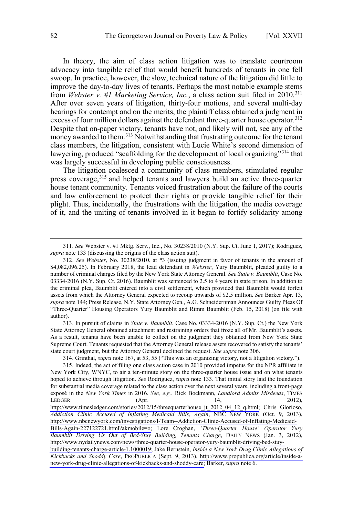In theory, the aim of class action litigation was to translate courtroom advocacy into tangible relief that would benefit hundreds of tenants in one fell swoop. In practice, however, the slow, technical nature of the litigation did little to improve the day-to-day lives of tenants. Perhaps the most notable example stems from *Webster v. #1 Marketing Service, Inc.*, a class action suit filed in 2010.311 After over seven years of litigation, thirty-four motions, and several multi-day hearings for contempt and on the merits, the plaintiff class obtained a judgment in excess of four million dollars against the defendant three-quarter house operator.<sup>312</sup> Despite that on-paper victory, tenants have not, and likely will not, see any of the money awarded to them.<sup>313</sup> Notwithstanding that frustrating outcome for the tenant class members, the litigation, consistent with Lucie White's second dimension of lawyering, produced "scaffolding for the development of local organizing"<sup>314</sup> that was largely successful in developing public consciousness.

The litigation coalesced a community of class members, stimulated regular press coverage,<sup>315</sup> and helped tenants and lawyers build an active three-quarter house tenant community. Tenants voiced frustration about the failure of the courts and law enforcement to protect their rights or provide tangible relief for their plight. Thus, incidentally, the frustrations with the litigation, the media coverage of it, and the uniting of tenants involved in it began to fortify solidarity among

313. In pursuit of claims in *State v. Baumblit*, Case No. 03334-2016 (N.Y. Sup. Ct.) the New York State Attorney General obtained attachment and restraining orders that froze all of Mr. Baumblit's assets. As a result, tenants have been unable to collect on the judgment they obtained from New York State Supreme Court. Tenants requested that the Attorney General release assets recovered to satisfy the tenants' state court judgment, but the Attorney General declined the request. *See supra* note 306.

314. Grinthal, *supra* note 167, at 53, 55 ("This was an organizing victory, not a litigation victory.").

 <sup>311.</sup> *See* Webster v. #1 Mktg. Serv., Inc., No. 30238/2010 (N.Y. Sup. Ct. June 1, 2017); Rodriguez, *supra* note 133 (discussing the origins of the class action suit).

<sup>312.</sup> *See Webster*, No. 30238/2010, at \*3 (issuing judgment in favor of tenants in the amount of \$4,082,096.25). In February 2018, the lead defendant in *Webster*, Yury Baumblit, pleaded guilty to a number of criminal charges filed by the New York State Attorney General. *See State v. Baumblit*, Case No. 03334-2016 (N.Y. Sup. Ct. 2016). Baumblit was sentenced to 2.5 to 4 years in state prison. In addition to the criminal plea, Baumblit entered into a civil settlement, which provided that Baumblit would forfeit assets from which the Attorney General expected to recoup upwards of \$2.5 million. *See* Barker Apr. 13, *supra* note 144; Press Release, N.Y. State Attorney Gen., A.G. Schneidernman Announces Guilty Pleas Of "Three-Quarter" Housing Operators Yury Baumblit and Rimm Baumblit (Feb. 15, 2018) (on file with author).

<sup>315.</sup> Indeed, the act of filing one class action case in 2010 provided impetus for the NPR affiliate in New York City, WNYC, to air a ten-minute story on the three-quarter house issue and on what tenants hoped to achieve through litigation. *See* Rodriguez, *supra* note 133. That initial story laid the foundation for substantial media coverage related to the class action over the next several years, including a front-page exposé in the *New York Times* in 2016. *See, e.g.*, Rick Bockmann, *Landlord Admits Misdeeds*, TIMES LEDGER (Apr. 14, 2012), [http://www.timesledger.com/stories/2012/15/threequarterhouse\\_jt\\_2012\\_04\\_12\\_q.html;](http://www.timesledger.com/stories/2012/15/threequarterhouse_jt_2012_04_12_q.html) Chris Glorioso, *Addiction Clinic Accused of Inflating Medicaid Bills, Again*, NBC NEW YORK (Oct. 9, 2013), [http://www.nbcnewyork.com/investigations/I-Team--Addiction-Clinic-Accused-of-Inflating-Medicaid-](https://www.nbcnewyork.com/investigations/I-Team--Addiction-Clinic-Accused-of-Inflating-Medicaid-Bills-Again-227122721.html?akmobile=o)[Bills-Again-227122721.html?akmobile=o;](https://www.nbcnewyork.com/investigations/I-Team--Addiction-Clinic-Accused-of-Inflating-Medicaid-Bills-Again-227122721.html?akmobile=o) Lore Croghan, *'Three-Quarter House' Operator Yury Baumblit Driving Us Out of Bed-Stuy Building, Tenants Charge*, DAILY NEWS (Jan. 3, 2012), [http://www.nydailynews.com/news/three-quarter-house-operator-yury-baumblit-driving-bed-stuy-](http://www.nydailynews.com/news/three-quarter-house-operator-yury-baumblit-driving-bed-stuy-building-tenants-charge-article-1.1000019)

[building-tenants-charge-article-1.1000019;](http://www.nydailynews.com/news/three-quarter-house-operator-yury-baumblit-driving-bed-stuy-building-tenants-charge-article-1.1000019) Jake Bernstein, *Inside a New York Drug Clinic Allegations of Kickbacks and Shoddy Care*, PROPUBLICA (Sept. 9, 2013), [http://www.propublica.org/article/inside-a](http://www.propublica.org/article/inside-a-new-york-drug-clinic-allegations-of-kickbacks-and-shoddy-care)[new-york-drug-clinic-allegations-of-kickbacks-and-shoddy-care;](http://www.propublica.org/article/inside-a-new-york-drug-clinic-allegations-of-kickbacks-and-shoddy-care) Barker, *supra* note 6.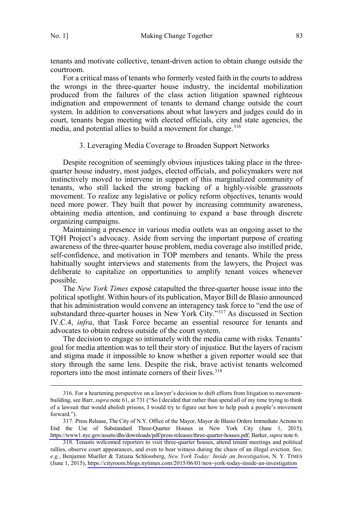<span id="page-52-0"></span>tenants and motivate collective, tenant-driven action to obtain change outside the courtroom.

For a critical mass of tenants who formerly vested faith in the courts to address the wrongs in the three-quarter house industry, the incidental mobilization produced from the failures of the class action litigation spawned righteous indignation and empowerment of tenants to demand change outside the court system. In addition to conversations about what lawyers and judges could do in court, tenants began meeting with elected officials, city and state agencies, the media, and potential allies to build a movement for change.<sup>316</sup>

## 3. Leveraging Media Coverage to Broaden Support Networks

Despite recognition of seemingly obvious injustices taking place in the threequarter house industry, most judges, elected officials, and policymakers were not instinctively moved to intervene in support of this marginalized community of tenants, who still lacked the strong backing of a highly-visible grassroots movement. To realize any legislative or policy reform objectives, tenants would need more power. They built that power by increasing community awareness, obtaining media attention, and continuing to expand a base through discrete organizing campaigns.

Maintaining a presence in various media outlets was an ongoing asset to the TQH Project's advocacy. Aside from serving the important purpose of creating awareness of the three-quarter house problem, media coverage also instilled pride, self-confidence, and motivation in TOP members and tenants. While the press habitually sought interviews and statements from the lawyers, the Project was deliberate to capitalize on opportunities to amplify tenant voices whenever possible.

The *New York Times* exposé catapulted the three-quarter house issue into the political spotlight. Within hours of its publication, Mayor Bill de Blasio announced that his administration would convene an interagency task force to "end the use of substandard three-quarter houses in New York City."317 As discussed in Section IV.C.4, *infra*, that Task Force became an essential resource for tenants and advocates to obtain redress outside of the court system.

The decision to engage so intimately with the media came with risks. Tenants' goal for media attention was to tell their story of injustice. But the layers of racism and stigma made it impossible to know whether a given reporter would see that story through the same lens. Despite the risk, brave activist tenants welcomed reporters into the most intimate corners of their lives.<sup>318</sup>

 <sup>316.</sup> For a heartening perspective on a lawyer's decision to shift efforts from litigation to movementbuilding, see Barr, *supra* note 61, at 731 ("So I decided that rather than spend all of my time trying to think of a lawsuit that would abolish prisons, I would try to figure out how to help push a people's movement forward.").

<sup>317.</sup> Press Release, The City of N.Y. Office of the Mayor, Mayor de Blasio Orders Immediate Actions to End the Use of Substandard Three-Quarter Houses in New York City (June 1, 2015), [https://www1.nyc.gov/assets/dhs/downloads/pdf/press-releases/three-quarter-houses.pdf;](https://www1.nyc.gov/assets/dhs/downloads/pdf/press-releases/three-quarter-houses.pdf) Barker, *supra* note 6.

<sup>318.</sup> Tenants welcomed reporters to visit three-quarter houses, attend tenant meetings and political rallies, observe court appearances, and even to bear witness during the chaos of an illegal eviction. *See, e.g.*, Benjamin Mueller & Tatiana Schlossberg, *New York Today: Inside an Investigation*, N. Y. TIMES (June 1, 2015),<https://cityroom.blogs.nytimes.com/2015/06/01/new-york-today-inside-an-investigation>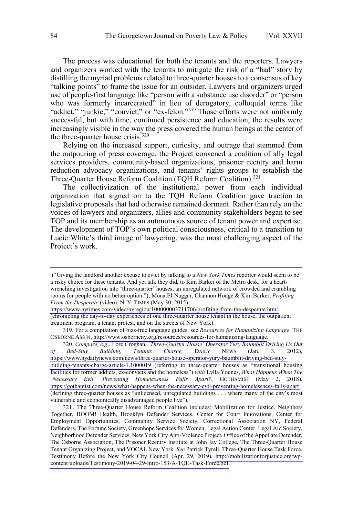The process was educational for both the tenants and the reporters. Lawyers and organizers worked with the tenants to mitigate the risk of a "bad" story by distilling the myriad problems related to three-quarter houses to a consensus of key "talking points" to frame the issue for an outsider. Lawyers and organizers urged use of people-first language like "person with a substance use disorder" or "person who was formerly incarcerated" in lieu of derogatory, colloquial terms like "addict," "junkie," "convict," or "ex-felon."<sup>319</sup> Those efforts were not uniformly successful, but with time, continued persistence and education, the results were increasingly visible in the way the press covered the human beings at the center of the three-quarter house crisis. $320$ 

Relying on the increased support, curiosity, and outrage that stemmed from the outpouring of press coverage, the Project convened a coalition of ally legal services providers, community-based organizations, prisoner reentry and harm reduction advocacy organizations, and tenants' rights groups to establish the Three-Quarter House Reform Coalition (TQH Reform Coalition).<sup>321</sup>

The collectivization of the institutional power from each individual organization that signed on to the TQH Reform Coalition gave traction to legislative proposals that had otherwise remained dormant. Rather than rely on the voices of lawyers and organizers, allies and community stakeholders began to see TOP and its membership as an autonomous source of tenant power and expertise. The development of TOP's own political consciousness, critical to a transition to Lucie White's third image of lawyering, was the most challenging aspect of the Project's work.

319. For a compilation of bias-free language guides, see *Resources for Humanizing Language*, THE OSBORNE ASS'N, [http://www.osborneny.org/resources/resources-for-humanizing-language.](http://www.osborneny.org/resources/resources-for-humanizing-language)

*Compare, e.g.*, Lore Croghan, *'Three-Quarter House' Operator Yury Baumblit Driving Us Out*  320. *of Bed-Stuy Building, Tenants Charge,* DAILY NEWS (Jan. 3, 2012), [https://www.nydailynews.com/news/three-quarter-house-operator-yury-baumblit-driving-bed-stuy](https://www.nydailynews.com/news/three-quarter-house-operator-yury-baumblit-driving-bed-stuy-building-tenants-charge-article-1.1000019)[building-tenants-charge-article-1.1000019](https://www.nydailynews.com/news/three-quarter-house-operator-yury-baumblit-driving-bed-stuy-building-tenants-charge-article-1.1000019) (referring to three-quarter houses as "transitional housing facilities for former addicts, ex-convicts and the homeless") *with* Lylla Younes, *What Happens When The 'Necessary Evil' Preventing Homelessness Falls Apart?*, GOTHAMIST (May 2, 2018), <https://gothamist.com/news/what-happens-when-the-necessary-evil-preventing-homelessness-falls-apart> (defining three-quarter houses as "unlicensed, unregulated buildings . . . where many of the city's most vulnerable and economically disadvantaged people live").

321. The Three-Quarter House Reform Coalition includes: Mobilization for Justice, Neighbors Together, BOOM! Health, Brooklyn Defender Services, Center for Court Innovations, Center for Employment Opportunities, Community Service Society, Correctional Association NY, Federal Defenders, The Fortune Society, Greenhope Services for Women, Legal Action Center, Legal Aid Society, Neighborhood Defender Services, New York City Anti-Violence Project, Office of the Appellate Defender, The Osborne Association, The Prisoner Reentry Institute at John Jay College, The Three-Quarter House Tenant Organizing Project, and VOCAL New York. *See* Patrick Tyrell, Three-Quarter House Task Force, Testimony Before the New York City Council (Apr. 29, 2019), [http://mobilizationforjustice.org/wp](http://mobilizationforjustice.org/wp-content/uploads/Testimony-2019-04-29-Intro-153-A-TQH-Task-Force.pdf)[content/uploads/Testimony-2019-04-29-Intro-153-A-TQH-Task-Force.pdf.](http://mobilizationforjustice.org/wp-content/uploads/Testimony-2019-04-29-Intro-153-A-TQH-Task-Force.pdf)

 $\overline{a}$ 

<sup>(&</sup>quot;Giving the landlord another excuse to evict by talking to a *New York Times* reporter would seem to be a risky choice for these tenants. And yet talk they did, to Kim Barker of the Metro desk, for a heartwrenching investigation into 'three-quarter' houses, an unregulated network of crowded and crumbling rooms for people with no better option."); Mona El-Naggar, Channon Hodge & Kim Barker, *Profiting From the Desperate* (video), N. Y. TIMES (May 30, 2015),

<https://www.nytimes.com/video/nyregion/100000003711706/profiting-from-the-desperate.html> (chronicling the day-to-day experiences of one three-quarter house tenant in the house, the outpatient treatment program, a tenant protest, and on the streets of New York).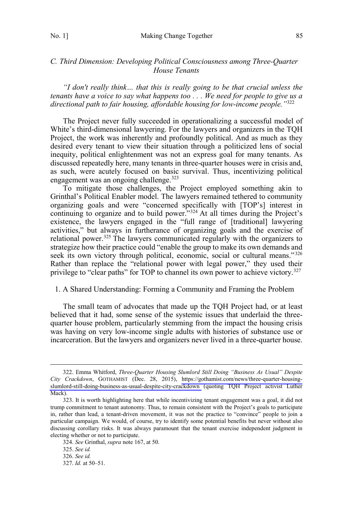## <span id="page-54-0"></span>*C. Third Dimension: Developing Political Consciousness among Three-Quarter House Tenants*

*"I don't really think… that this is really going to be that crucial unless the tenants have a voice to say what happens too . . . We need for people to give us a directional path to fair housing, affordable housing for low-income people."*<sup>322</sup>

The Project never fully succeeded in operationalizing a successful model of White's third-dimensional lawyering. For the lawyers and organizers in the TQH Project, the work was inherently and profoundly political. And as much as they desired every tenant to view their situation through a politicized lens of social inequity, political enlightenment was not an express goal for many tenants. As discussed repeatedly here, many tenants in three-quarter houses were in crisis and, as such, were acutely focused on basic survival. Thus, incentivizing political engagement was an ongoing challenge.<sup>323</sup>

To mitigate those challenges, the Project employed something akin to Grinthal's Political Enabler model. The lawyers remained tethered to community organizing goals and were "concerned specifically with [TOP's] interest in continuing to organize and to build power."<sup>324</sup> At all times during the Project's existence, the lawyers engaged in the "full range of [traditional] lawyering activities," but always in furtherance of organizing goals and the exercise of relational power.<sup>325</sup> The lawyers communicated regularly with the organizers to strategize how their practice could "enable the group to make its own demands and seek its own victory through political, economic, social or cultural means."<sup>326</sup> Rather than replace the "relational power with legal power," they used their privilege to "clear paths" for TOP to channel its own power to achieve victory.<sup>327</sup>

## 1. A Shared Understanding: Forming a Community and Framing the Problem

The small team of advocates that made up the TQH Project had, or at least believed that it had, some sense of the systemic issues that underlaid the threequarter house problem, particularly stemming from the impact the housing crisis was having on very low-income single adults with histories of substance use or incarceration. But the lawyers and organizers never lived in a three-quarter house.

Emma Whitford, *Three-Quarter Housing Slumlord Still Doing "Business As Usual" Despite*  322. *City Crackdown*, GOTHAMIST (Dec. 28, 2015), [https://gothamist.com/news/three-quarter-housing](https://gothamist.com/news/three-quarter-housing-slumlord-still-doing-business-as-usual-despite-city-crackdown)[slumlord-still-doing-business-as-usual-despite-city-crackdown](https://gothamist.com/news/three-quarter-housing-slumlord-still-doing-business-as-usual-despite-city-crackdown) (quoting TQH Project activist Luther Mack).

<sup>323.</sup> It is worth highlighting here that while incentivizing tenant engagement was a goal, it did not trump commitment to tenant autonomy. Thus, to remain consistent with the Project's goals to participate in, rather than lead, a tenant-driven movement, it was not the practice to "convince" people to join a particular campaign. We would, of course, try to identify some potential benefits but never without also discussing corollary risks. It was always paramount that the tenant exercise independent judgment in electing whether or not to participate.

<sup>324.</sup> *See* Grinthal, *supra* note 167, at 50.

<sup>325.</sup> *See id.* 

<sup>326.</sup> *See id.*

<sup>327.</sup> *Id.* at 50–51.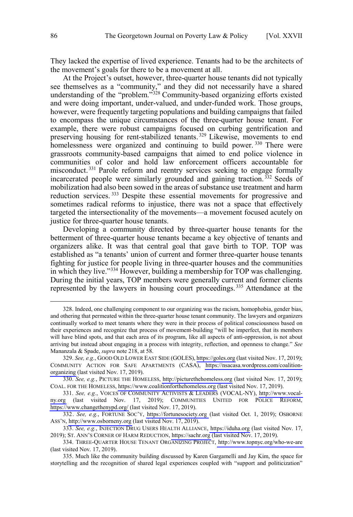They lacked the expertise of lived experience. Tenants had to be the architects of the movement's goals for there to be a movement at all.

At the Project's outset, however, three-quarter house tenants did not typically see themselves as a "community," and they did not necessarily have a shared understanding of the "problem." $328$  Community-based organizing efforts existed and were doing important, under-valued, and under-funded work. Those groups, however, were frequently targeting populations and building campaigns that failed to encompass the unique circumstances of the three-quarter house tenant. For example, there were robust campaigns focused on curbing gentrification and preserving housing for rent-stabilized tenants.<sup>329</sup> Likewise, movements to end homelessness were organized and continuing to build power.<sup>330</sup> There were grassroots community-based campaigns that aimed to end police violence in communities of color and hold law enforcement officers accountable for misconduct.<sup>331</sup> Parole reform and reentry services seeking to engage formally incarcerated people were similarly grounded and gaining traction.<sup>332</sup> Seeds of mobilization had also been sowed in the areas of substance use treatment and harm reduction services.<sup>333</sup> Despite these essential movements for progressive and sometimes radical reforms to injustice, there was not a space that effectively targeted the intersectionality of the movements—a movement focused acutely on justice for three-quarter house tenants.

Developing a community directed by three-quarter house tenants for the betterment of three-quarter house tenants became a key objective of tenants and organizers alike. It was that central goal that gave birth to TOP. TOP was established as "a tenants' union of current and former three-quarter house tenants fighting for justice for people living in three-quarter houses and the communities in which they live."<sup>334</sup> However, building a membership for TOP was challenging. During the initial years, TOP members were generally current and former clients represented by the lawyers in housing court proceedings. <sup>335</sup> Attendance at the

 <sup>328.</sup> Indeed, one challenging component to our organizing was the racism, homophobia, gender bias, and othering that permeated within the three-quarter house tenant community. The lawyers and organizers continually worked to meet tenants where they were in their process of political consciousness based on their experiences and recognize that process of movement-building "will be imperfect, that its members will have blind spots, and that each area of its program, like all aspects of anti-oppression, is not about arriving but instead about engaging in a process with integrity, reflection, and openness to change." *See*  Mananzala & Spade, *supra* note 218, at 58.

*See, e.g.*, GOOD OLD LOWER EAST SIDE (GOLES), [https://goles.org](https://goles.org/) (last visited Nov. 17, 2019); 329. COMMUNITY ACTION FOR SAFE APARTMENTS (CASA), [https://nsacasa.wordpress.com/coalition](https://nsacasa.wordpress.com/coalition-organizing)[organizing](https://nsacasa.wordpress.com/coalition-organizing) (last visited Nov. 17, 2019).

<sup>330.</sup> See, e.g., PICTURE THE HOMELESS, [http://picturethehomeless.org](http://picturethehomeless.org/) (last visited Nov. 17, 2019); COAL. FOR THE HOMELESS, [https://www.coalitionforthehomeless.org](https://www.coalitionforthehomeless.org/) (last visited Nov. 17, 2019).

*See, e.g.*, VOICES OF COMMUNITY ACTIVISTS & LEADERS (VOCAL-NY), [http://www.vocal-](http://www.vocal-ny.org/)331. [ny.org](http://www.vocal-ny.org/) (last visited Nov. 17, 2019); COMMUNITIES UNITED FOR POLICE REFORM, <https://www.changethenypd.org/> (last visited Nov. 17, 2019).

<sup>332.</sup> See, e.g., FORTUNE SOC'Y, [https://fortunesociety.org](https://fortunesociety.org/) (last visited Oct. 1, 2019); OSBORNE ASS'N, [http://www.osborneny.org](https://fortunesociety.org/) (last visited Nov. 17, 2019).

<sup>333.</sup> See, e.g., INJECTION DRUG USERS HEALTH ALLIANCE, [https://iduha.org](https://iduha.org/) (last visited Nov. 17, 2019); ST. ANN'S CORNER OF HARM REDUCTION, [https://sachr.org](https://sachr.org/) (last visited Nov. 17, 2019).

THREE-QUARTER HOUSE TENANT ORGANIZING PROJECT,<http://www.topnyc.org/who-we-are> 334. (last visited Nov. 17, 2019).

<sup>335.</sup> Much like the community building discussed by Karen Gargamelli and Jay Kim, the space for storytelling and the recognition of shared legal experiences coupled with "support and politicization"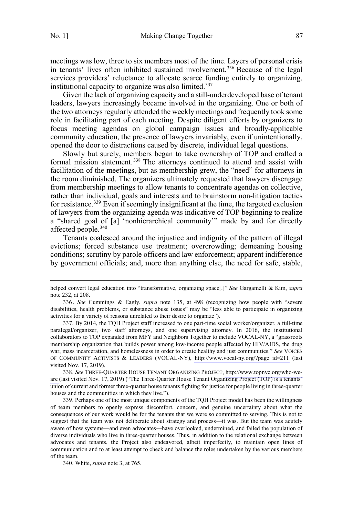$\overline{a}$ 

meetings was low, three to six members most of the time. Layers of personal crisis in tenants' lives often inhibited sustained involvement.<sup>336</sup> Because of the legal services providers' reluctance to allocate scarce funding entirely to organizing, institutional capacity to organize was also limited.<sup>337</sup>

Given the lack of organizing capacity and a still-underdeveloped base of tenant leaders, lawyers increasingly became involved in the organizing. One or both of the two attorneys regularly attended the weekly meetings and frequently took some role in facilitating part of each meeting. Despite diligent efforts by organizers to focus meeting agendas on global campaign issues and broadly-applicable community education, the presence of lawyers invariably, even if unintentionally, opened the door to distractions caused by discrete, individual legal questions.

Slowly but surely, members began to take ownership of TOP and crafted a formal mission statement.<sup>338</sup> The attorneys continued to attend and assist with facilitation of the meetings, but as membership grew, the "need" for attorneys in the room diminished. The organizers ultimately requested that lawyers disengage from membership meetings to allow tenants to concentrate agendas on collective, rather than individual, goals and interests and to brainstorm non-litigation tactics for resistance.<sup>339</sup> Even if seemingly insignificant at the time, the targeted exclusion of lawyers from the organizing agenda was indicative of TOP beginning to realize a "shared goal of [a] 'nonhierarchical community'" made by and for directly affected people.340

Tenants coalesced around the injustice and indignity of the pattern of illegal evictions; forced substance use treatment; overcrowding; demeaning housing conditions; scrutiny by parole officers and law enforcement; apparent indifference by government officials; and, more than anything else, the need for safe, stable,

340. White, *supra* note 3, at 765.

helped convert legal education into "transformative, organizing space[.]" *See* Gargamelli & Kim, *supra*  note 232, at 208.

<sup>336</sup> . *See* Cummings & Eagly, *supra* note 135, at 498 (recognizing how people with "severe disabilities, health problems, or substance abuse issues" may be "less able to participate in organizing activities for a variety of reasons unrelated to their desire to organize").

<sup>337.</sup>  By 2014, the TQH Project staff increased to one part-time social worker/organizer, a full-time paralegal/organizer, two staff attorneys, and one supervising attorney. In 2016, the institutional collaborators to TOP expanded from MFY and Neighbors Together to include VOCAL-NY, a "grassroots membership organization that builds power among low-income people affected by HIV/AIDS, the drug war, mass incarceration, and homelessness in order to create healthy and just communities." *See* VOICES OF COMMUNITY ACTIVISTS & LEADERS (VOCAL-NY), [http://www.vocal-ny.org/?page\\_id=211](http://www.vocal-ny.org/?page_id=211) (last visited Nov. 17, 2019).

<sup>338.</sup>  *See* THREE-QUARTER HOUSE TENANT ORGANIZING PROJECT, [http://www.topnyc.org/who-we](http://www.topnyc.org/who-we-are)[are](http://www.topnyc.org/who-we-are) (last visited Nov. 17, 2019) ("The Three-Quarter House Tenant Organizing Project (TOP) is a tenants' union of current and former three-quarter house tenants fighting for justice for people living in three-quarter houses and the communities in which they live.").

<sup>339.</sup> Perhaps one of the most unique components of the TQH Project model has been the willingness of team members to openly express discomfort, concern, and genuine uncertainty about what the consequences of our work would be for the tenants that we were so committed to serving. This is not to suggest that the team was not deliberate about strategy and process—it was. But the team was acutely aware of how systems—and even advocates—have overlooked, undermined, and failed the population of diverse individuals who live in three-quarter houses. Thus, in addition to the relational exchange between advocates and tenants, the Project also endeavored, albeit imperfectly, to maintain open lines of communication and to at least attempt to check and balance the roles undertaken by the various members of the team.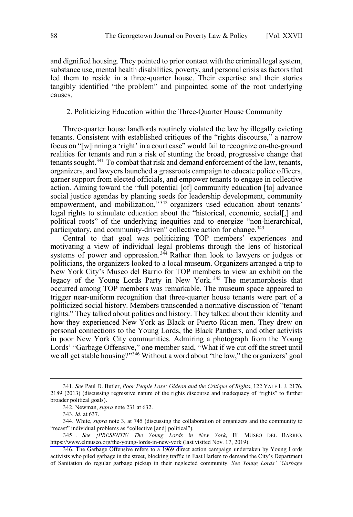<span id="page-57-0"></span>and dignified housing. They pointed to prior contact with the criminal legal system, substance use, mental health disabilities, poverty, and personal crisis as factors that led them to reside in a three-quarter house. Their expertise and their stories tangibly identified "the problem" and pinpointed some of the root underlying causes.

## 2. Politicizing Education within the Three-Quarter House Community

Three-quarter house landlords routinely violated the law by illegally evicting tenants. Consistent with established critiques of the "rights discourse," a narrow focus on "[w]inning a 'right' in a court case" would fail to recognize on-the-ground realities for tenants and run a risk of stunting the broad, progressive change that tenants sought.<sup>341</sup> To combat that risk and demand enforcement of the law, tenants, organizers, and lawyers launched a grassroots campaign to educate police officers, garner support from elected officials, and empower tenants to engage in collective action. Aiming toward the "full potential [of] community education [to] advance social justice agendas by planting seeds for leadership development, community empowerment, and mobilization,"<sup>342</sup> organizers used education about tenants' legal rights to stimulate education about the "historical, economic, social[,] and political roots" of the underlying inequities and to energize "non-hierarchical, participatory, and community-driven" collective action for change.<sup>343</sup>

Central to that goal was politicizing TOP members' experiences and motivating a view of individual legal problems through the lens of historical systems of power and oppression.<sup>344</sup> Rather than look to lawyers or judges or politicians, the organizers looked to a local museum. Organizers arranged a trip to New York City's Museo del Barrio for TOP members to view an exhibit on the legacy of the Young Lords Party in New York.<sup>345</sup> The metamorphosis that occurred among TOP members was remarkable. The museum space appeared to trigger near-uniform recognition that three-quarter house tenants were part of a politicized social history. Members transcended a normative discussion of "tenant rights." They talked about politics and history. They talked about their identity and how they experienced New York as Black or Puerto Rican men. They drew on personal connections to the Young Lords, the Black Panthers, and other activists in poor New York City communities. Admiring a photograph from the Young Lords' "Garbage Offensive," one member said, "What if we cut off the street until we all get stable housing?"<sup>346</sup> Without a word about "the law," the organizers' goal

 <sup>341.</sup> *See* Paul D. Butler, *Poor People Lose: Gideon and the Critique of Rights*, 122 YALE L.J. 2176, 2189 (2013) (discussing regressive nature of the rights discourse and inadequacy of "rights" to further broader political goals).

<sup>342.</sup> Newman, *supra* note 231 at 632.

<sup>343.</sup> *Id.* at 637.

<sup>344.</sup> White, *supra* note 3, at 745 (discussing the collaboration of organizers and the community to "recast" individual problems as "collective [and] political").

*See ¡PRESENTE! The Young Lords in New York*, EL MUSEO DEL BARRIO, 345 . <https://www.elmuseo.org/the-young-lords-in-new-york> (last visited Nov. 17, 2019).

<sup>346.</sup> The Garbage Offensive refers to a 1969 direct action campaign undertaken by Young Lords activists who piled garbage in the street, blocking traffic in East Harlem to demand the City's Department of Sanitation do regular garbage pickup in their neglected community. *See Young Lords' 'Garbage*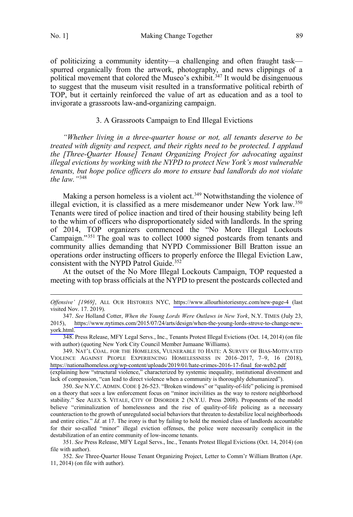$\overline{a}$ 

<span id="page-58-0"></span>No. 1] Making Change Together 89

of politicizing a community identity—a challenging and often fraught task spurred organically from the artwork, photography, and news clippings of a political movement that colored the Museo's exhibit.<sup>347</sup> It would be disingenuous to suggest that the museum visit resulted in a transformative political rebirth of TOP, but it certainly reinforced the value of art as education and as a tool to invigorate a grassroots law-and-organizing campaign.

## 3. A Grassroots Campaign to End Illegal Evictions

*"Whether living in a three-quarter house or not, all tenants deserve to be treated with dignity and respect, and their rights need to be protected. I applaud the [Three-Quarter House] Tenant Organizing Project for advocating against illegal evictions by working with the NYPD to protect New York's most vulnerable tenants, but hope police officers do more to ensure bad landlords do not violate the law."*<sup>348</sup>

Making a person homeless is a violent act.<sup>349</sup> Notwithstanding the violence of illegal eviction, it is classified as a mere misdemeanor under New York law.<sup>350</sup> Tenants were tired of police inaction and tired of their housing stability being left to the whim of officers who disproportionately sided with landlords. In the spring of 2014, TOP organizers commenced the "No More Illegal Lockouts Campaign."351 The goal was to collect 1000 signed postcards from tenants and community allies demanding that NYPD Commissioner Bill Bratton issue an operations order instructing officers to properly enforce the Illegal Eviction Law, consistent with the NYPD Patrol Guide.<sup>352</sup>

At the outset of the No More Illegal Lockouts Campaign, TOP requested a meeting with top brass officials at the NYPD to present the postcards collected and

NAT'L COAL. FOR THE HOMELESS, VULNERABLE TO HATE: A SURVEY OF BIAS-MOTIVATED 349. VIOLENCE AGAINST PEOPLE EXPERIENCING HOMELESSNESS IN 2016–2017, 7–9, 16 (2018), [https://nationalhomeless.org/wp-content/uploads/2019/01/hate-crimes-2016-17-final\\_for-web2.pdf](https://nationalhomeless.org/wp-content/uploads/2019/01/hate-crimes-2016-17-final_for-web2.pdf) (explaining how "structural violence," characterized by systemic inequality, institutional divestment and lack of compassion, "can lead to direct violence when a community is thoroughly dehumanized").

350. *See* N.Y.C. ADMIN. CODE § 26-523. "Broken windows" or "quality-of-life" policing is premised on a theory that sees a law enforcement focus on "minor incivilities as the way to restore neighborhood stability." See ALEX S. VITALE, CITY OF DISORDER 2 (N.Y.U. Press 2008). Proponents of the model believe "criminalization of homelessness and the rise of quality-of-life policing as a necessary counteraction to the growth of unregulated social behaviors that threaten to destabilize local neighborhoods and entire cities." *Id.* at 17. The irony is that by failing to hold the monied class of landlords accountable for their so-called "minor" illegal eviction offenses, the police were necessarily complicit in the destabilization of an entire community of low-income tenants.

351. *See* Press Release, MFY Legal Servs., Inc., Tenants Protest Illegal Evictions (Oct. 14, 2014) (on file with author).

352. *See* Three-Quarter House Tenant Organizing Project, Letter to Comm'r William Bratton (Apr. 11, 2014) (on file with author).

*Offensive' [1969]*, ALL OUR HISTORIES NYC, <https://www.allourhistoriesnyc.com/new-page-4>(last visited Nov. 17. 2019).

<sup>347.</sup>  *See* Holland Cotter, *When the Young Lords Were Outlaws in New York*, N.Y. TIMES (July 23, 2015), [https://www.nytimes.com/2015/07/24/arts/design/when-the-young-lords-strove-to-change-new](https://www.nytimes.com/2015/07/24/arts/design/when-the-young-lords-strove-to-change-new-york.html)[york.html](https://www.nytimes.com/2015/07/24/arts/design/when-the-young-lords-strove-to-change-new-york.html).

<sup>348.</sup> Press Release, MFY Legal Servs., Inc., Tenants Protest Illegal Evictions (Oct. 14, 2014) (on file with author) (quoting New York City Council Member Jumaane Williams).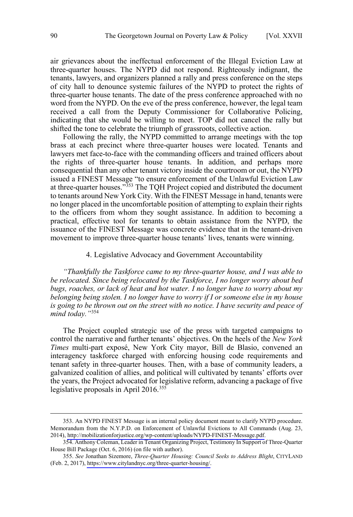<span id="page-59-0"></span>air grievances about the ineffectual enforcement of the Illegal Eviction Law at three-quarter houses. The NYPD did not respond. Righteously indignant, the tenants, lawyers, and organizers planned a rally and press conference on the steps of city hall to denounce systemic failures of the NYPD to protect the rights of three-quarter house tenants. The date of the press conference approached with no word from the NYPD. On the eve of the press conference, however, the legal team received a call from the Deputy Commissioner for Collaborative Policing, indicating that she would be willing to meet. TOP did not cancel the rally but shifted the tone to celebrate the triumph of grassroots, collective action.

Following the rally, the NYPD committed to arrange meetings with the top brass at each precinct where three-quarter houses were located. Tenants and lawyers met face-to-face with the commanding officers and trained officers about the rights of three-quarter house tenants. In addition, and perhaps more consequential than any other tenant victory inside the courtroom or out, the NYPD issued a FINEST Message "to ensure enforcement of the Unlawful Eviction Law at three-quarter houses."<sup>353</sup> The TQH Project copied and distributed the document to tenants around New York City. With the FINEST Message in hand, tenants were no longer placed in the uncomfortable position of attempting to explain their rights to the officers from whom they sought assistance. In addition to becoming a practical, effective tool for tenants to obtain assistance from the NYPD, the issuance of the FINEST Message was concrete evidence that in the tenant-driven movement to improve three-quarter house tenants' lives, tenants were winning.

#### 4. Legislative Advocacy and Government Accountability

*"Thankfully the Taskforce came to my three-quarter house, and I was able to be relocated. Since being relocated by the Taskforce, I no longer worry about bed bugs, roaches, or lack of heat and hot water. I no longer have to worry about my belonging being stolen. I no longer have to worry if I or someone else in my house*  is going to be thrown out on the street with no notice. I have security and peace of *mind today."*<sup>354</sup>

The Project coupled strategic use of the press with targeted campaigns to control the narrative and further tenants' objectives. On the heels of the *New York Times* multi-part exposé, New York City mayor, Bill de Blasio, convened an interagency taskforce charged with enforcing housing code requirements and tenant safety in three-quarter houses. Then, with a base of community leaders, a galvanized coalition of allies, and political will cultivated by tenants' efforts over the years, the Project advocated for legislative reform, advancing a package of five legislative proposals in April 2016.<sup>355</sup>

<sup>353.</sup> An NYPD FINEST Message is an internal policy document meant to clarify NYPD procedure. Memorandum from the N.Y.P.D. on Enforcement of Unlawful Evictions to All Commands (Aug. 23, 2014), [http://mobilizationforjustice.org/wp-content/uploads/NYPD-FINEST-Message.pdf.](http://mobilizationforjustice.org/wp-content/uploads/NYPD-FINEST-Message.pdf)

<sup>354.</sup> Anthony Coleman, Leader in Tenant Organizing Project, Testimony In Support of Three-Quarter House Bill Package (Oct. 6, 2016) (on file with author).

<sup>355.</sup> *See* Jonathan Sizemore, *Three-Quarter Housing: Council Seeks to Address Blight*, CITYLAND (Feb. 2, 2017),<https://www.citylandnyc.org/three-quarter-housing/>.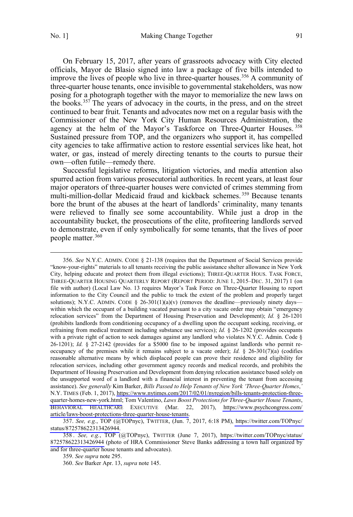On February 15, 2017, after years of grassroots advocacy with City elected officials, Mayor de Blasio signed into law a package of five bills intended to improve the lives of people who live in three-quarter houses.<sup>356</sup> A community of three-quarter house tenants, once invisible to governmental stakeholders, was now posing for a photograph together with the mayor to memorialize the new laws on the books.<sup>357</sup> The years of advocacy in the courts, in the press, and on the street continued to bear fruit. Tenants and advocates now met on a regular basis with the Commissioner of the New York City Human Resources Administration, the agency at the helm of the Mayor's Taskforce on Three-Quarter Houses.<sup>358</sup> Sustained pressure from TOP, and the organizers who support it, has compelled city agencies to take affirmative action to restore essential services like heat, hot water, or gas, instead of merely directing tenants to the courts to pursue their own—often futile—remedy there.

Successful legislative reforms, litigation victories, and media attention also spurred action from various prosecutorial authorities. In recent years, at least four major operators of three-quarter houses were convicted of crimes stemming from multi-million-dollar Medicaid fraud and kickback schemes. <sup>359</sup> Because tenants bore the brunt of the abuses at the heart of landlords' criminality, many tenants were relieved to finally see some accountability. While just a drop in the accountability bucket, the prosecutions of the elite, profiteering landlords served to demonstrate, even if only symbolically for some tenants, that the lives of poor people matter.360

*See* N.Y.C. ADMIN. CODE § 21-138 (requires that the Department of Social Services provide 356. "know-your-rights" materials to all tenants receiving the public assistance shelter allowance in New York City, helping educate and protect them from illegal evictions); THREE-QUARTER HOUS. TASK FORCE, THREE-QUARTER HOUSING QUARTERLY REPORT (REPORT PERIOD: JUNE 1, 2015–DEC. 31, 2017) 1 (on file with author) (Local Law No. 13 requires Mayor's Task Force on Three-Quarter Housing to report information to the City Council and the public to track the extent of the problem and properly target solutions); N.Y.C. ADMIN. CODE § 26-301(1)(a)(v) (removes the deadline—previously ninety days within which the occupant of a building vacated pursuant to a city vacate order may obtain "emergency relocation services" from the Department of Housing Preservation and Development); *Id.* § 26-1201 (prohibits landlords from conditioning occupancy of a dwelling upon the occupant seeking, receiving, or refraining from medical treatment including substance use services); *Id.* § 26-1202 (provides occupants with a private right of action to seek damages against any landlord who violates N.Y.C. Admin. Code § 26-1201); *Id.* § 27-2142 (provides for a \$5000 fine to be imposed against landlords who permit reoccupancy of the premises while it remains subject to a vacate order); *Id.*  $\S$  26-301(7)(a) (codifies reasonable alternative means by which displaced people can prove their residence and eligibility for relocation services, including other government agency records and medical records, and prohibits the Department of Housing Preservation and Development from denying relocation assistance based solely on the unsupported word of a landlord with a financial interest in preventing the tenant from accessing assistance). *See generally* Kim Barker, *Bills Passed to Help Tenants of New York 'Three-Quarter Homes*,*'* N.Y. TIMES (Feb. 1, 2017), [https://www.nytimes.com/2017/02/01/nyregion/bills-tenants-protection-three](https://www.nytimes.com/2017/02/01/nyregion/bills-tenants-protection-three-quarter-homes-new-york.html)[quarter-homes-new-york.html](https://www.nytimes.com/2017/02/01/nyregion/bills-tenants-protection-three-quarter-homes-new-york.html); Tom Valentino, *Laws Boost Protections for Three-Quarter House Tenants*, BEHAVIORAL HEALTHCARE EXECUTIVE (Mar. 22, 2017), [https://www.psychcongress.com/](https://www.psychcongress.com/%20%20article/laws-boost-protections-three-quarter-house-tenants) [article/laws-boost-protections-three-quarter-house-tenants.](https://www.psychcongress.com/%20%20article/laws-boost-protections-three-quarter-house-tenants)

*See, e.g.*, TOP (@TOPnyc), TWITTER, (Jun. 7, 2017, 6:18 PM), [https://twitter.com/TOPnyc/](https://twitter.com/TOPnyc/status/872578622313426944) 357. [status/872578622313426944.](https://twitter.com/TOPnyc/status/872578622313426944)

*See, e.g.*, TOP (@TOPnyc), TWITTER (June 7, 2017), [https://twitter.com/TOPnyc/status/](https://twitter.com/TOPnyc/status/872578622313426944) 358 . [872578622313426944](https://twitter.com/TOPnyc/status/872578622313426944) (photo of HRA Commissioner Steve Banks addressing a town hall organized by and for three-quarter house tenants and advocates).

359. *See supra* note 295.

360. *See* Barker Apr. 13, *supra* note 145.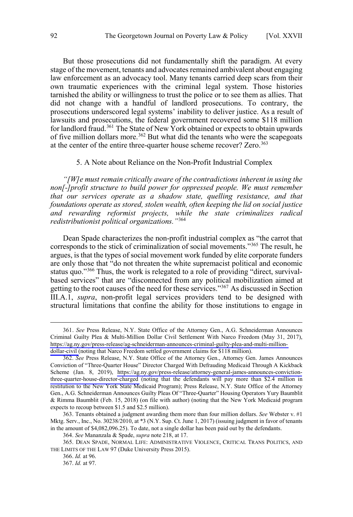<span id="page-61-0"></span>But those prosecutions did not fundamentally shift the paradigm. At every stage of the movement, tenants and advocates remained ambivalent about engaging law enforcement as an advocacy tool. Many tenants carried deep scars from their own traumatic experiences with the criminal legal system. Those histories tarnished the ability or willingness to trust the police or to see them as allies. That did not change with a handful of landlord prosecutions. To contrary, the prosecutions underscored legal systems' inability to deliver justice. As a result of lawsuits and prosecutions, the federal government recovered some \$118 million for landlord fraud.<sup>361</sup> The State of New York obtained or expects to obtain upwards of five million dollars more.<sup>362</sup> But what did the tenants who were the scapegoats at the center of the entire three-quarter house scheme recover? Zero.<sup>363</sup>

#### 5. A Note about Reliance on the Non-Profit Industrial Complex

*"[W]e must remain critically aware of the contradictions inherent in using the non[-]profit structure to build power for oppressed people. We must remember that our services operate as a shadow state, quelling resistance, and that foundations operate as stored, stolen wealth, often keeping the lid on social justice and rewarding reformist projects, while the state criminalizes radical redistributionist political organizations."*<sup>364</sup>

Dean Spade characterizes the non-profit industrial complex as "the carrot that corresponds to the stick of criminalization of social movements."365 The result, he argues, is that the types of social movement work funded by elite corporate funders are only those that "do not threaten the white supremacist political and economic status quo."366 Thus, the work is relegated to a role of providing "direct, survivalbased services" that are "disconnected from any political mobilization aimed at getting to the root causes of the need for these services."367 As discussed in Section III.A.1, *supra*, non-profit legal services providers tend to be designed with structural limitations that confine the ability for those institutions to engage in

 <sup>361.</sup>  *See* Press Release, N.Y. State Office of the Attorney Gen., A.G. Schneiderman Announces Criminal Guilty Plea & Multi-Million Dollar Civil Settlement With Narco Freedom (May 31, 2017), [https://ag.ny.gov/press-release/ag-schneiderman-announces-criminal-guilty-plea-and-multi-million](https://ag.ny.gov/press-release/ag-schneiderman-announces-criminal-guilty-plea-and-multi-million-dollar-civil)[dollar-civil](https://ag.ny.gov/press-release/ag-schneiderman-announces-criminal-guilty-plea-and-multi-million-dollar-civil) (noting that Narco Freedom settled government claims for \$118 million).

<sup>362.</sup>  *See* Press Release, N.Y. State Office of the Attorney Gen., Attorney Gen. James Announces Conviction of "Three-Quarter House" Director Charged With Defrauding Medicaid Through A Kickback Scheme (Jan. 8, 2019), [https://ag.ny.gov/press-release/attorney-general-james-announces-conviction](https://ag.ny.gov/press-release/attorney-general-james-announces-conviction-three-quarter-house-director-charged)[three-quarter-house-director-charged](https://ag.ny.gov/press-release/attorney-general-james-announces-conviction-three-quarter-house-director-charged) (noting that the defendants will pay more than \$2.4 million in restitution to the New York State Medicaid Program); Press Release, N.Y. State Office of the Attorney Gen., A.G. Schneiderman Announces Guilty Pleas Of "Three-Quarter" Housing Operators Yury Baumblit & Rimma Baumblit (Feb. 15, 2018) (on file with author) (noting that the New York Medicaid program expects to recoup between \$1.5 and \$2.5 million).

<sup>363.</sup> Tenants obtained a judgment awarding them more than four million dollars. *See* Webster v. #1 Mktg. Serv., Inc., No. 30238/2010, at \*3 (N.Y. Sup. Ct. June 1, 2017) (issuing judgment in favor of tenants in the amount of \$4,082,096.25). To date, not a single dollar has been paid out by the defendants.

<sup>364.</sup> *See* Mananzala & Spade, *supra* note 218, at 17.

<sup>365.</sup> DEAN SPADE, NORMAL LIFE: ADMINISTRATIVE VIOLENCE, CRITICAL TRANS POLITICS, AND THE LIMITS OF THE LAW 97 (Duke University Press 2015).

<sup>366.</sup> *Id.* at 96.

<sup>367.</sup> *Id.* at 97.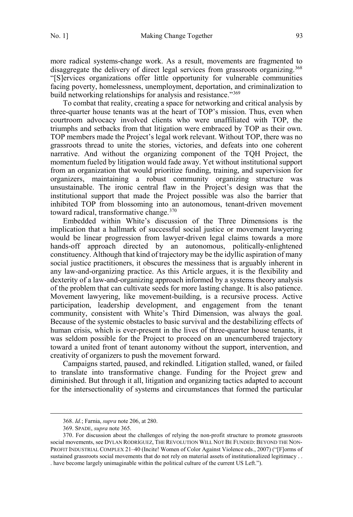more radical systems-change work. As a result, movements are fragmented to disaggregate the delivery of direct legal services from grassroots organizing.<sup>368</sup> "[S]ervices organizations offer little opportunity for vulnerable communities facing poverty, homelessness, unemployment, deportation, and criminalization to build networking relationships for analysis and resistance."<sup>369</sup>

To combat that reality, creating a space for networking and critical analysis by three-quarter house tenants was at the heart of TOP's mission. Thus, even when courtroom advocacy involved clients who were unaffiliated with TOP, the triumphs and setbacks from that litigation were embraced by TOP as their own. TOP members made the Project's legal work relevant. Without TOP, there was no grassroots thread to unite the stories, victories, and defeats into one coherent narrative. And without the organizing component of the TQH Project, the momentum fueled by litigation would fade away. Yet without institutional support from an organization that would prioritize funding, training, and supervision for organizers, maintaining a robust community organizing structure was unsustainable. The ironic central flaw in the Project's design was that the institutional support that made the Project possible was also the barrier that inhibited TOP from blossoming into an autonomous, tenant-driven movement toward radical, transformative change.<sup>370</sup>

Embedded within White's discussion of the Three Dimensions is the implication that a hallmark of successful social justice or movement lawyering would be linear progression from lawyer-driven legal claims towards a more hands-off approach directed by an autonomous, politically-enlightened constituency. Although that kind of trajectory may be the idyllic aspiration of many social justice practitioners, it obscures the messiness that is arguably inherent in any law-and-organizing practice. As this Article argues, it is the flexibility and dexterity of a law-and-organizing approach informed by a systems theory analysis of the problem that can cultivate seeds for more lasting change. It is also patience. Movement lawyering, like movement-building, is a recursive process. Active participation, leadership development, and engagement from the tenant community, consistent with White's Third Dimension, was always the goal. Because of the systemic obstacles to basic survival and the destabilizing effects of human crisis, which is ever-present in the lives of three-quarter house tenants, it was seldom possible for the Project to proceed on an unencumbered trajectory toward a united front of tenant autonomy without the support, intervention, and creativity of organizers to push the movement forward.

Campaigns started, paused, and rekindled. Litigation stalled, waned, or failed to translate into transformative change. Funding for the Project grew and diminished. But through it all, litigation and organizing tactics adapted to account for the intersectionality of systems and circumstances that formed the particular

 <sup>368.</sup> *Id.*; Farnia, *supra* note 206, at 280.

<sup>369.</sup> SPADE, *supra* note 365.

<sup>370.</sup> For discussion about the challenges of relying the non-profit structure to promote grassroots social movements, see DYLAN RODRÍGUEZ, THE REVOLUTION WILL NOT BE FUNDED: BEYOND THE NON-PROFIT INDUSTRIAL COMPLEX 21–40 (Incite! Women of Color Against Violence eds., 2007) ("[F]orms of sustained grassroots social movements that do not rely on material assets of institutionalized legitimacy . . . have become largely unimaginable within the political culture of the current US Left.").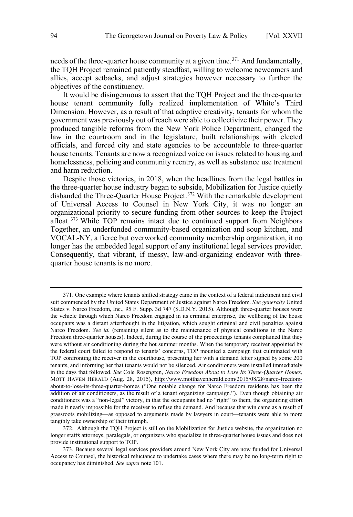needs of the three-quarter house community at a given time.<sup>371</sup> And fundamentally, the TQH Project remained patiently steadfast, willing to welcome newcomers and allies, accept setbacks, and adjust strategies however necessary to further the objectives of the constituency.

It would be disingenuous to assert that the TQH Project and the three-quarter house tenant community fully realized implementation of White's Third Dimension. However, as a result of that adaptive creativity, tenants for whom the government was previously out of reach were able to collectivize their power. They produced tangible reforms from the New York Police Department, changed the law in the courtroom and in the legislature, built relationships with elected officials, and forced city and state agencies to be accountable to three-quarter house tenants. Tenants are now a recognized voice on issues related to housing and homelessness, policing and community reentry, as well as substance use treatment and harm reduction.

Despite those victories, in 2018, when the headlines from the legal battles in the three-quarter house industry began to subside, Mobilization for Justice quietly disbanded the Three-Quarter House Project.<sup>372</sup> With the remarkable development of Universal Access to Counsel in New York City, it was no longer an organizational priority to secure funding from other sources to keep the Project afloat.<sup>373</sup> While TOP remains intact due to continued support from Neighbors Together, an underfunded community-based organization and soup kitchen, and VOCAL-NY, a fierce but overworked community membership organization, it no longer has the embedded legal support of any institutional legal services provider. Consequently, that vibrant, if messy, law-and-organizing endeavor with threequarter house tenants is no more.

<sup>371.</sup> One example where tenants shifted strategy came in the context of a federal indictment and civil suit commenced by the United States Department of Justice against Narco Freedom. *See generally* United States v. Narco Freedom, Inc., 95 F. Supp. 3d 747 (S.D.N.Y. 2015). Although three-quarter houses were the vehicle through which Narco Freedom engaged in its criminal enterprise, the wellbeing of the house occupants was a distant afterthought in the litigation, which sought criminal and civil penalties against Narco Freedom. *See id.* (remaining silent as to the maintenance of physical conditions in the Narco Freedom three-quarter houses). Indeed, during the course of the proceedings tenants complained that they were without air conditioning during the hot summer months. When the temporary receiver appointed by the federal court failed to respond to tenants' concerns, TOP mounted a campaign that culminated with TOP confronting the receiver in the courthouse, presenting her with a demand letter signed by some 200 tenants, and informing her that tenants would not be silenced. Air conditioners were installed immediately in the days that followed. *See* Cole Rosengren, *Narco Freedom About to Lose Its Three-Quarter Homes*, MOTT HAVEN HERALD (Aug. 28, 2015), [http://www.motthavenherald.com/2015/08/28/narco-freedom](http://www.motthavenherald.com/2015/08/28/narco-freedom-about-to-lose-its-three-quarter-homes/)[about-to-lose-its-three-quarter-homes](http://www.motthavenherald.com/2015/08/28/narco-freedom-about-to-lose-its-three-quarter-homes/) ("One notable change for Narco Freedom residents has been the addition of air conditioners, as the result of a tenant organizing campaign."). Even though obtaining air conditioners was a "non-legal" victory, in that the occupants had no "right" to them, the organizing effort made it nearly impossible for the receiver to refuse the demand. And because that win came as a result of grassroots mobilizing—as opposed to arguments made by lawyers in court—tenants were able to more tangibly take ownership of their triumph.

<sup>372.</sup> Although the TQH Project is still on the Mobilization for Justice website, the organization no longer staffs attorneys, paralegals, or organizers who specialize in three-quarter house issues and does not provide institutional support to TOP.

<sup>373.</sup> Because several legal services providers around New York City are now funded for Universal Access to Counsel, the historical reluctance to undertake cases where there may be no long-term right to occupancy has diminished. *See supra* note 101.